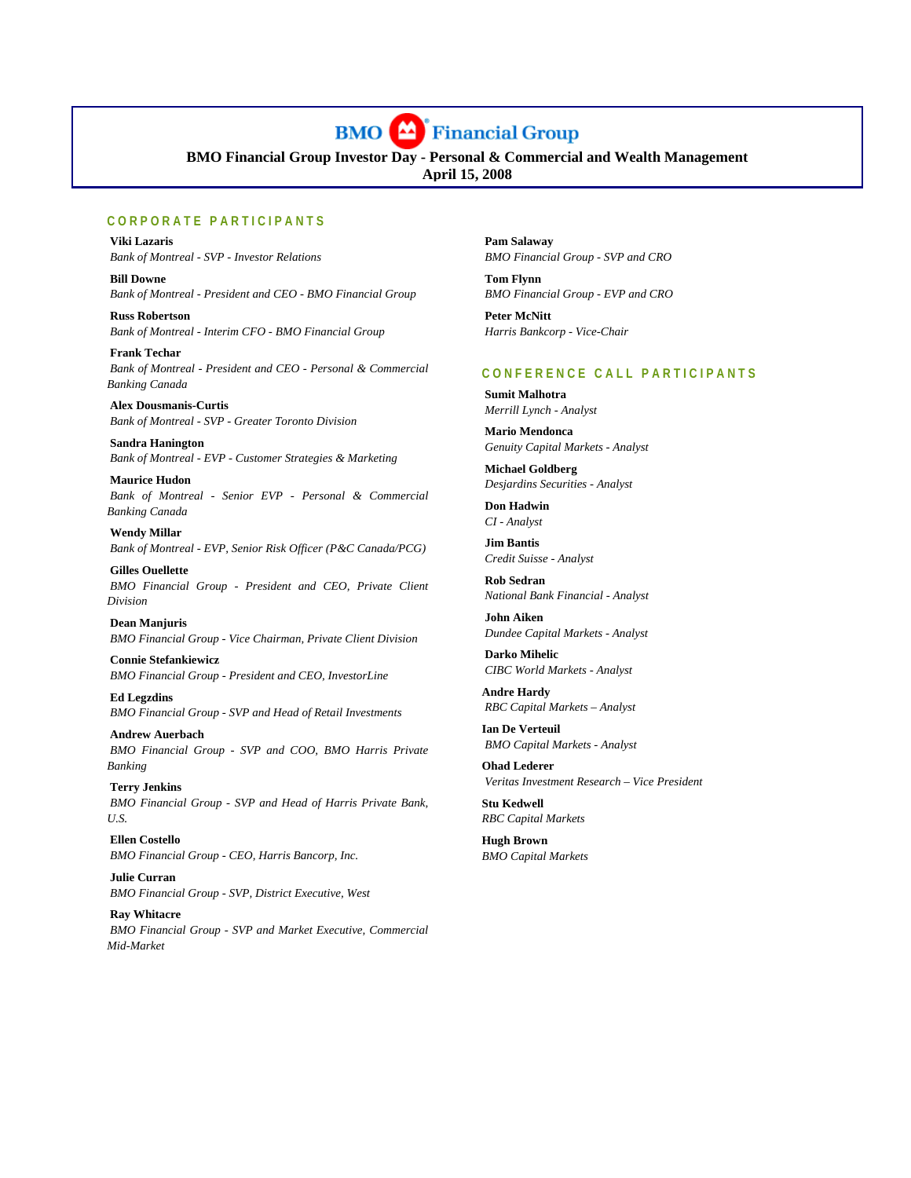

**BMO Financial Group Investor Day - Personal & Commercial and Wealth Management April 15, 2008**

# **CORPORATE PARTICIPANTS**

í

 **Viki Lazaris**   *Bank of Montreal - SVP - Investor Relations* 

 **Bill Downe**   *Bank of Montreal - President and CEO - BMO Financial Group* 

 **Russ Robertson**   *Bank of Montreal - Interim CFO - BMO Financial Group* 

 **Frank Techar**   *Bank of Montreal - President and CEO - Personal & Commercial Banking Canada* 

 **Alex Dousmanis-Curtis**   *Bank of Montreal - SVP - Greater Toronto Division* 

 **Sandra Hanington**   *Bank of Montreal - EVP - Customer Strategies & Marketing* 

 **Maurice Hudon**   *Bank of Montreal - Senior EVP - Personal & Commercial Banking Canada* 

 **Wendy Millar**   *Bank of Montreal - EVP, Senior Risk Officer (P&C Canada/PCG)* 

 **Gilles Ouellette**   *BMO Financial Group - President and CEO, Private Client Division* 

 **Dean Manjuris**   *BMO Financial Group - Vice Chairman, Private Client Division* 

 **Connie Stefankiewicz**   *BMO Financial Group - President and CEO, InvestorLine* 

 **Ed Legzdins**   *BMO Financial Group - SVP and Head of Retail Investments* 

 **Andrew Auerbach**   *BMO Financial Group - SVP and COO, BMO Harris Private Banking* 

 **Terry Jenkins**   *BMO Financial Group - SVP and Head of Harris Private Bank, U.S.* 

 **Ellen Costello**   *BMO Financial Group - CEO, Harris Bancorp, Inc.* 

 **Julie Curran**   *BMO Financial Group - SVP, District Executive, West* 

 **Ray Whitacre**   *BMO Financial Group - SVP and Market Executive, Commercial Mid-Market* 

 **Pam Salaway**   *BMO Financial Group - SVP and CRO* 

 **Tom Flynn**   *BMO Financial Group - EVP and CRO* 

 **Peter McNitt**   *Harris Bankcorp - Vice-Chair* 

# **CONFERENCE CALL PARTICIPANTS**

 **Sumit Malhotra**   *Merrill Lynch - Analyst* 

 **Mario Mendonca**   *Genuity Capital Markets - Analyst* 

 **Michael Goldberg**   *Desjardins Securities - Analyst* 

 **Don Hadwin**   *CI - Analyst* 

 **Jim Bantis**   *Credit Suisse - Analyst* 

 **Rob Sedran**   *National Bank Financial - Analyst* 

 **John Aiken**   *Dundee Capital Markets - Analyst* 

 **Darko Mihelic**   *CIBC World Markets - Analyst* 

**Andre Hardy**   *RBC Capital Markets – Analyst* 

**Ian De Verteuil**   *BMO Capital Markets - Analyst* 

**Ohad Lederer**   *Veritas Investment Research – Vice President* 

**Stu Kedwell**  *RBC Capital Markets* 

**Hugh Brown**  *BMO Capital Markets*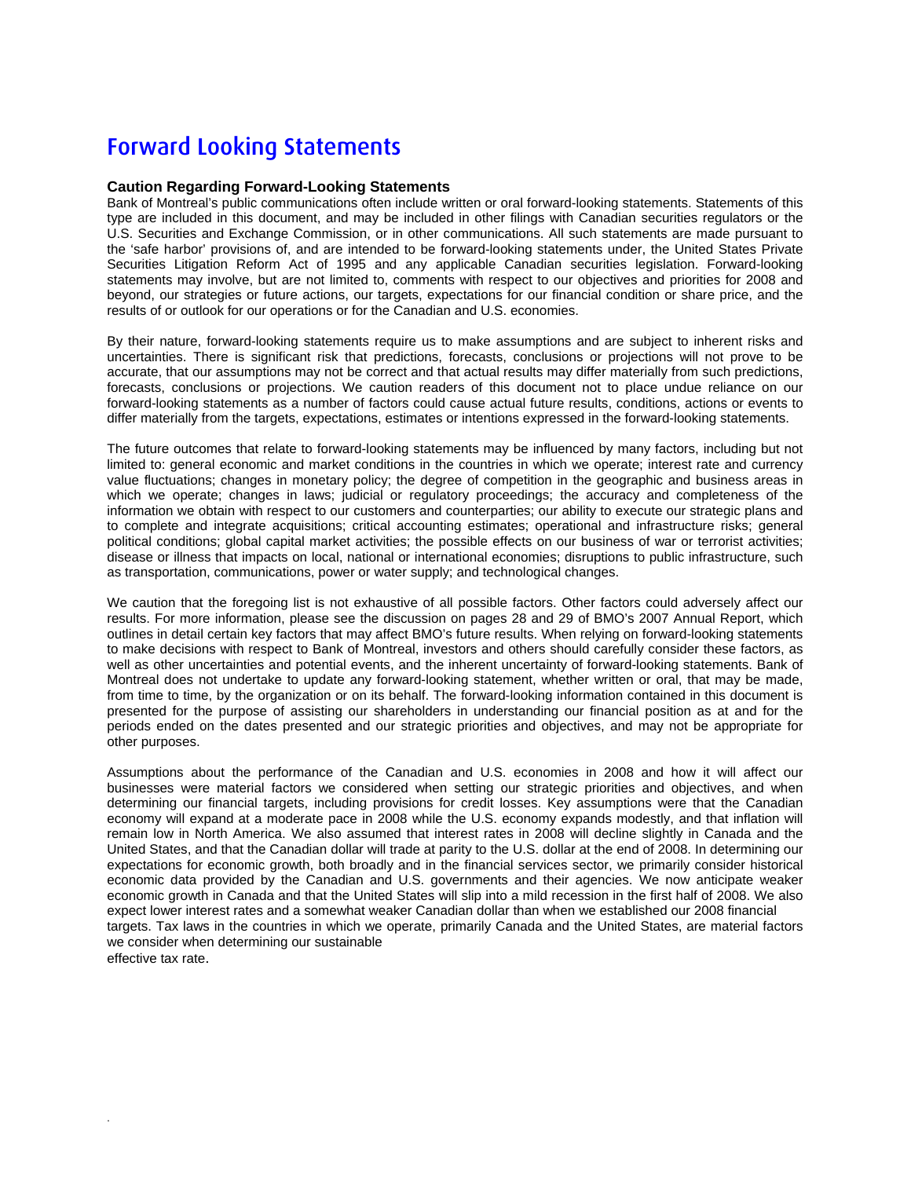# Forward Looking Statements

.

# **Caution Regarding Forward-Looking Statements**

Bank of Montreal's public communications often include written or oral forward-looking statements. Statements of this type are included in this document, and may be included in other filings with Canadian securities regulators or the U.S. Securities and Exchange Commission, or in other communications. All such statements are made pursuant to the 'safe harbor' provisions of, and are intended to be forward-looking statements under, the United States Private Securities Litigation Reform Act of 1995 and any applicable Canadian securities legislation. Forward-looking statements may involve, but are not limited to, comments with respect to our objectives and priorities for 2008 and beyond, our strategies or future actions, our targets, expectations for our financial condition or share price, and the results of or outlook for our operations or for the Canadian and U.S. economies.

By their nature, forward-looking statements require us to make assumptions and are subject to inherent risks and uncertainties. There is significant risk that predictions, forecasts, conclusions or projections will not prove to be accurate, that our assumptions may not be correct and that actual results may differ materially from such predictions, forecasts, conclusions or projections. We caution readers of this document not to place undue reliance on our forward-looking statements as a number of factors could cause actual future results, conditions, actions or events to differ materially from the targets, expectations, estimates or intentions expressed in the forward-looking statements.

The future outcomes that relate to forward-looking statements may be influenced by many factors, including but not limited to: general economic and market conditions in the countries in which we operate; interest rate and currency value fluctuations; changes in monetary policy; the degree of competition in the geographic and business areas in which we operate; changes in laws; judicial or regulatory proceedings; the accuracy and completeness of the information we obtain with respect to our customers and counterparties; our ability to execute our strategic plans and to complete and integrate acquisitions; critical accounting estimates; operational and infrastructure risks; general political conditions; global capital market activities; the possible effects on our business of war or terrorist activities; disease or illness that impacts on local, national or international economies; disruptions to public infrastructure, such as transportation, communications, power or water supply; and technological changes.

We caution that the foregoing list is not exhaustive of all possible factors. Other factors could adversely affect our results. For more information, please see the discussion on pages 28 and 29 of BMO's 2007 Annual Report, which outlines in detail certain key factors that may affect BMO's future results. When relying on forward-looking statements to make decisions with respect to Bank of Montreal, investors and others should carefully consider these factors, as well as other uncertainties and potential events, and the inherent uncertainty of forward-looking statements. Bank of Montreal does not undertake to update any forward-looking statement, whether written or oral, that may be made, from time to time, by the organization or on its behalf. The forward-looking information contained in this document is presented for the purpose of assisting our shareholders in understanding our financial position as at and for the periods ended on the dates presented and our strategic priorities and objectives, and may not be appropriate for other purposes.

Assumptions about the performance of the Canadian and U.S. economies in 2008 and how it will affect our businesses were material factors we considered when setting our strategic priorities and objectives, and when determining our financial targets, including provisions for credit losses. Key assumptions were that the Canadian economy will expand at a moderate pace in 2008 while the U.S. economy expands modestly, and that inflation will remain low in North America. We also assumed that interest rates in 2008 will decline slightly in Canada and the United States, and that the Canadian dollar will trade at parity to the U.S. dollar at the end of 2008. In determining our expectations for economic growth, both broadly and in the financial services sector, we primarily consider historical economic data provided by the Canadian and U.S. governments and their agencies. We now anticipate weaker economic growth in Canada and that the United States will slip into a mild recession in the first half of 2008. We also expect lower interest rates and a somewhat weaker Canadian dollar than when we established our 2008 financial targets. Tax laws in the countries in which we operate, primarily Canada and the United States, are material factors we consider when determining our sustainable effective tax rate.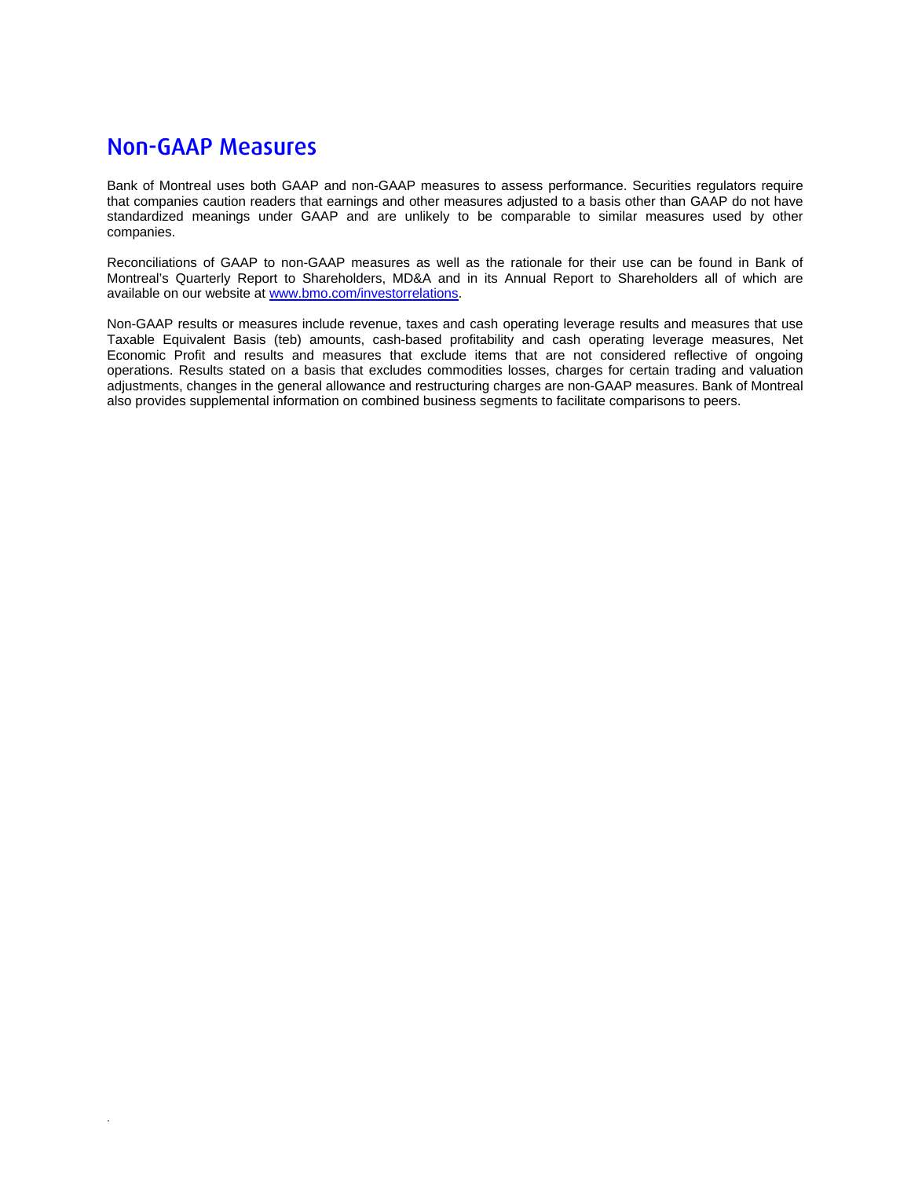# Non-GAAP Measures

.

Bank of Montreal uses both GAAP and non-GAAP measures to assess performance. Securities regulators require that companies caution readers that earnings and other measures adjusted to a basis other than GAAP do not have standardized meanings under GAAP and are unlikely to be comparable to similar measures used by other companies.

Reconciliations of GAAP to non-GAAP measures as well as the rationale for their use can be found in Bank of Montreal's Quarterly Report to Shareholders, MD&A and in its Annual Report to Shareholders all of which are available on our website at www.bmo.com/investorrelations.

Non-GAAP results or measures include revenue, taxes and cash operating leverage results and measures that use Taxable Equivalent Basis (teb) amounts, cash-based profitability and cash operating leverage measures, Net Economic Profit and results and measures that exclude items that are not considered reflective of ongoing operations. Results stated on a basis that excludes commodities losses, charges for certain trading and valuation adjustments, changes in the general allowance and restructuring charges are non-GAAP measures. Bank of Montreal also provides supplemental information on combined business segments to facilitate comparisons to peers.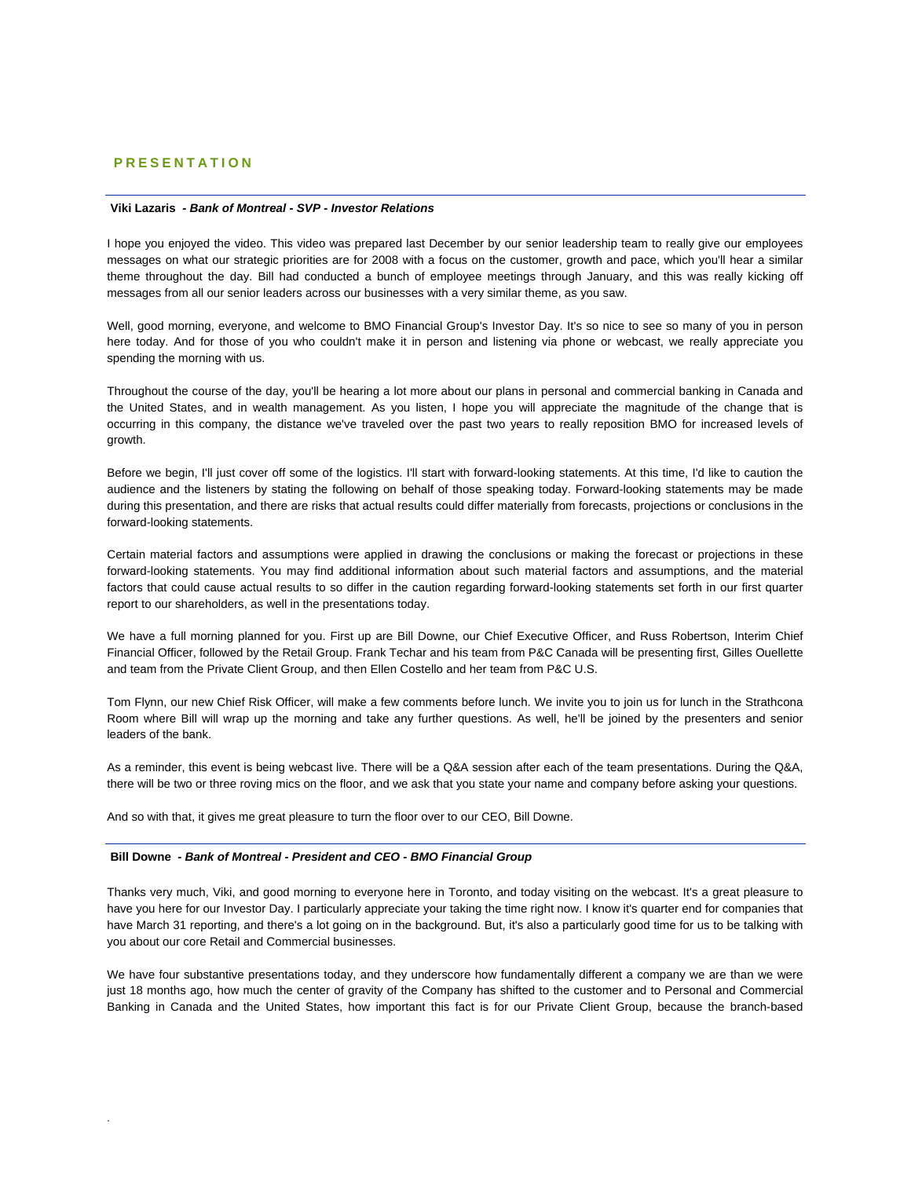# **PRESENTATION**

#### **Viki Lazaris** *- Bank of Montreal - SVP - Investor Relations*

I hope you enjoyed the video. This video was prepared last December by our senior leadership team to really give our employees messages on what our strategic priorities are for 2008 with a focus on the customer, growth and pace, which you'll hear a similar theme throughout the day. Bill had conducted a bunch of employee meetings through January, and this was really kicking off messages from all our senior leaders across our businesses with a very similar theme, as you saw.

Well, good morning, everyone, and welcome to BMO Financial Group's Investor Day. It's so nice to see so many of you in person here today. And for those of you who couldn't make it in person and listening via phone or webcast, we really appreciate you spending the morning with us.

Throughout the course of the day, you'll be hearing a lot more about our plans in personal and commercial banking in Canada and the United States, and in wealth management. As you listen, I hope you will appreciate the magnitude of the change that is occurring in this company, the distance we've traveled over the past two years to really reposition BMO for increased levels of growth.

Before we begin, I'll just cover off some of the logistics. I'll start with forward-looking statements. At this time, I'd like to caution the audience and the listeners by stating the following on behalf of those speaking today. Forward-looking statements may be made during this presentation, and there are risks that actual results could differ materially from forecasts, projections or conclusions in the forward-looking statements.

Certain material factors and assumptions were applied in drawing the conclusions or making the forecast or projections in these forward-looking statements. You may find additional information about such material factors and assumptions, and the material factors that could cause actual results to so differ in the caution regarding forward-looking statements set forth in our first quarter report to our shareholders, as well in the presentations today.

We have a full morning planned for you. First up are Bill Downe, our Chief Executive Officer, and Russ Robertson, Interim Chief Financial Officer, followed by the Retail Group. Frank Techar and his team from P&C Canada will be presenting first, Gilles Ouellette and team from the Private Client Group, and then Ellen Costello and her team from P&C U.S.

Tom Flynn, our new Chief Risk Officer, will make a few comments before lunch. We invite you to join us for lunch in the Strathcona Room where Bill will wrap up the morning and take any further questions. As well, he'll be joined by the presenters and senior leaders of the bank.

As a reminder, this event is being webcast live. There will be a Q&A session after each of the team presentations. During the Q&A, there will be two or three roving mics on the floor, and we ask that you state your name and company before asking your questions.

And so with that, it gives me great pleasure to turn the floor over to our CEO, Bill Downe.

## **Bill Downe** *- Bank of Montreal - President and CEO - BMO Financial Group*

.

Thanks very much, Viki, and good morning to everyone here in Toronto, and today visiting on the webcast. It's a great pleasure to have you here for our Investor Day. I particularly appreciate your taking the time right now. I know it's quarter end for companies that have March 31 reporting, and there's a lot going on in the background. But, it's also a particularly good time for us to be talking with you about our core Retail and Commercial businesses.

We have four substantive presentations today, and they underscore how fundamentally different a company we are than we were just 18 months ago, how much the center of gravity of the Company has shifted to the customer and to Personal and Commercial Banking in Canada and the United States, how important this fact is for our Private Client Group, because the branch-based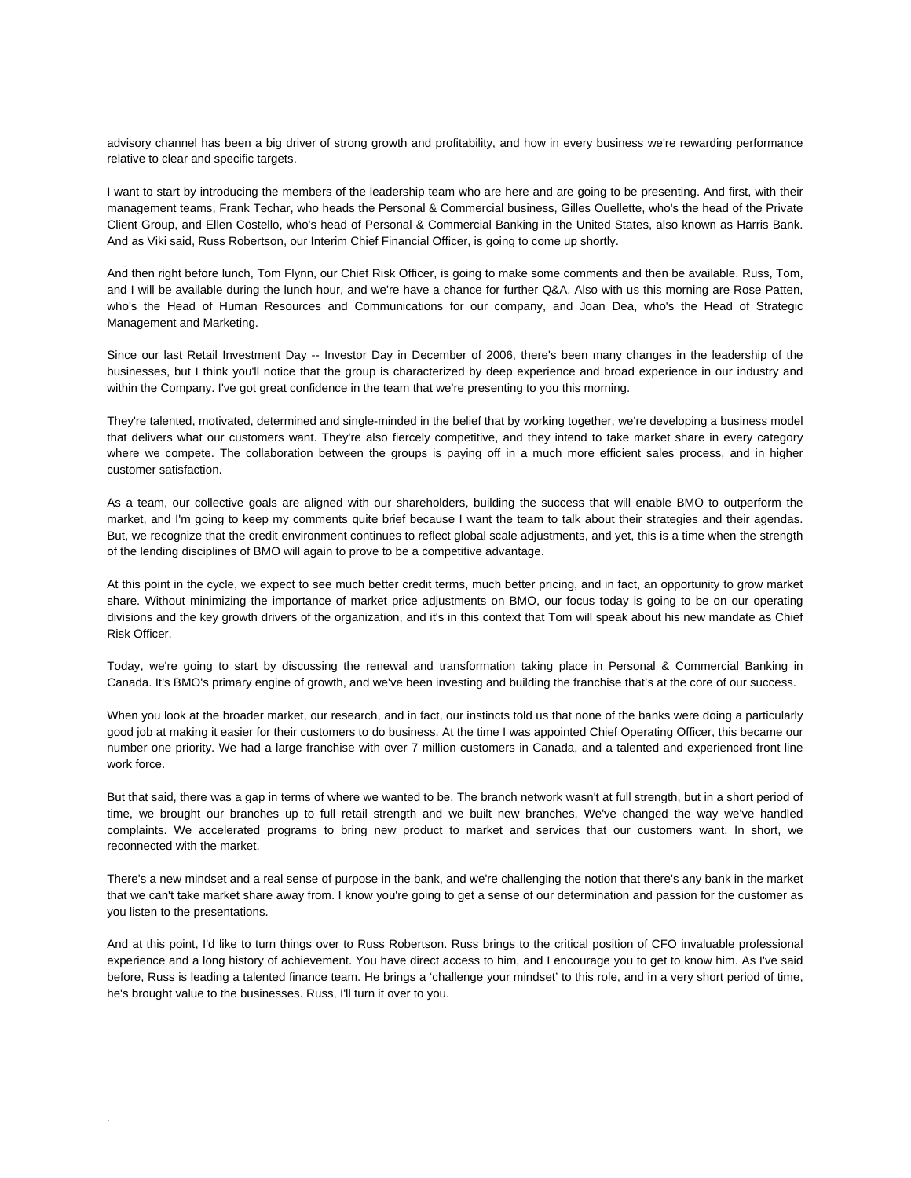advisory channel has been a big driver of strong growth and profitability, and how in every business we're rewarding performance relative to clear and specific targets.

I want to start by introducing the members of the leadership team who are here and are going to be presenting. And first, with their management teams, Frank Techar, who heads the Personal & Commercial business, Gilles Ouellette, who's the head of the Private Client Group, and Ellen Costello, who's head of Personal & Commercial Banking in the United States, also known as Harris Bank. And as Viki said, Russ Robertson, our Interim Chief Financial Officer, is going to come up shortly.

And then right before lunch, Tom Flynn, our Chief Risk Officer, is going to make some comments and then be available. Russ, Tom, and I will be available during the lunch hour, and we're have a chance for further Q&A. Also with us this morning are Rose Patten, who's the Head of Human Resources and Communications for our company, and Joan Dea, who's the Head of Strategic Management and Marketing.

Since our last Retail Investment Day -- Investor Day in December of 2006, there's been many changes in the leadership of the businesses, but I think you'll notice that the group is characterized by deep experience and broad experience in our industry and within the Company. I've got great confidence in the team that we're presenting to you this morning.

They're talented, motivated, determined and single-minded in the belief that by working together, we're developing a business model that delivers what our customers want. They're also fiercely competitive, and they intend to take market share in every category where we compete. The collaboration between the groups is paying off in a much more efficient sales process, and in higher customer satisfaction.

As a team, our collective goals are aligned with our shareholders, building the success that will enable BMO to outperform the market, and I'm going to keep my comments quite brief because I want the team to talk about their strategies and their agendas. But, we recognize that the credit environment continues to reflect global scale adjustments, and yet, this is a time when the strength of the lending disciplines of BMO will again to prove to be a competitive advantage.

At this point in the cycle, we expect to see much better credit terms, much better pricing, and in fact, an opportunity to grow market share. Without minimizing the importance of market price adjustments on BMO, our focus today is going to be on our operating divisions and the key growth drivers of the organization, and it's in this context that Tom will speak about his new mandate as Chief Risk Officer.

Today, we're going to start by discussing the renewal and transformation taking place in Personal & Commercial Banking in Canada. It's BMO's primary engine of growth, and we've been investing and building the franchise that's at the core of our success.

When you look at the broader market, our research, and in fact, our instincts told us that none of the banks were doing a particularly good job at making it easier for their customers to do business. At the time I was appointed Chief Operating Officer, this became our number one priority. We had a large franchise with over 7 million customers in Canada, and a talented and experienced front line work force.

But that said, there was a gap in terms of where we wanted to be. The branch network wasn't at full strength, but in a short period of time, we brought our branches up to full retail strength and we built new branches. We've changed the way we've handled complaints. We accelerated programs to bring new product to market and services that our customers want. In short, we reconnected with the market.

There's a new mindset and a real sense of purpose in the bank, and we're challenging the notion that there's any bank in the market that we can't take market share away from. I know you're going to get a sense of our determination and passion for the customer as you listen to the presentations.

And at this point, I'd like to turn things over to Russ Robertson. Russ brings to the critical position of CFO invaluable professional experience and a long history of achievement. You have direct access to him, and I encourage you to get to know him. As I've said before, Russ is leading a talented finance team. He brings a 'challenge your mindset' to this role, and in a very short period of time, he's brought value to the businesses. Russ, I'll turn it over to you.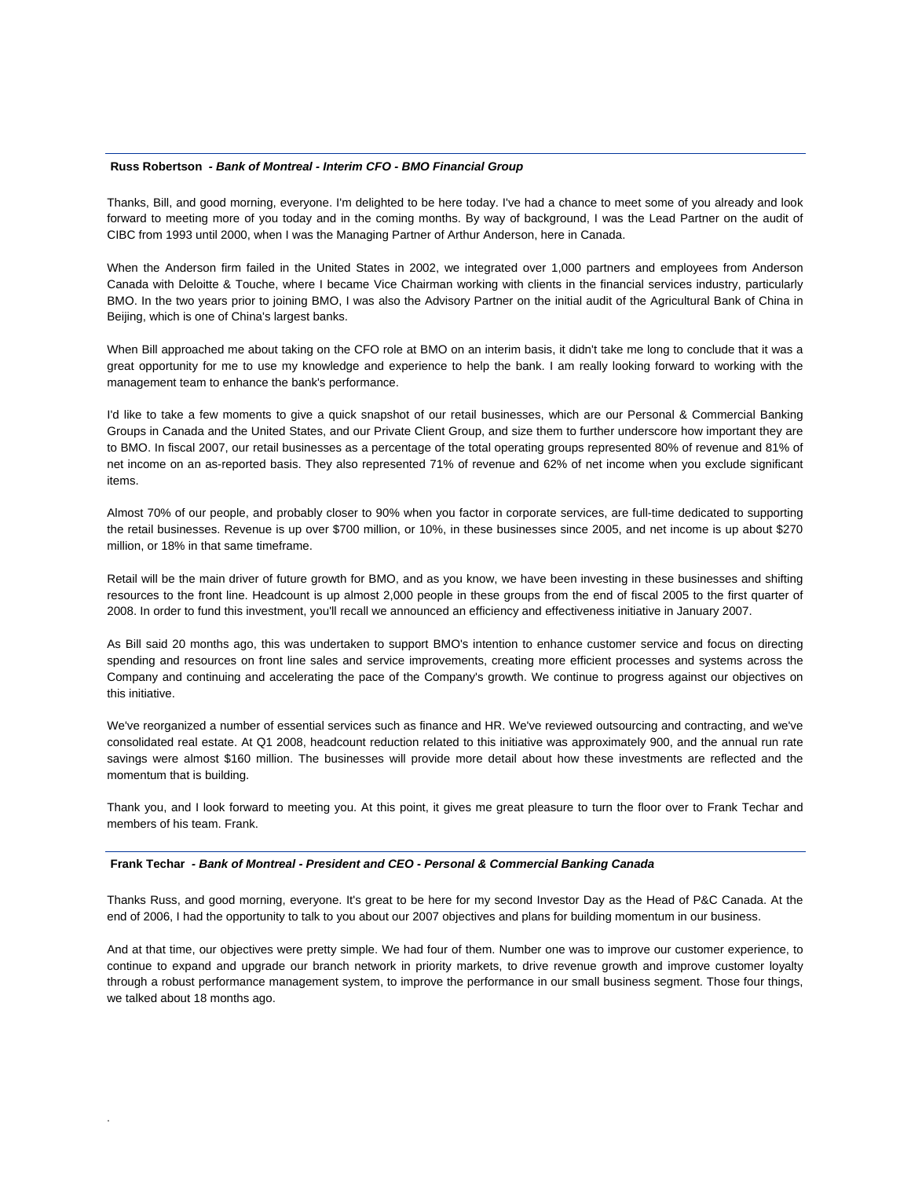#### **Russ Robertson** *- Bank of Montreal - Interim CFO - BMO Financial Group*

Thanks, Bill, and good morning, everyone. I'm delighted to be here today. I've had a chance to meet some of you already and look forward to meeting more of you today and in the coming months. By way of background, I was the Lead Partner on the audit of CIBC from 1993 until 2000, when I was the Managing Partner of Arthur Anderson, here in Canada.

When the Anderson firm failed in the United States in 2002, we integrated over 1,000 partners and employees from Anderson Canada with Deloitte & Touche, where I became Vice Chairman working with clients in the financial services industry, particularly BMO. In the two years prior to joining BMO, I was also the Advisory Partner on the initial audit of the Agricultural Bank of China in Beijing, which is one of China's largest banks.

When Bill approached me about taking on the CFO role at BMO on an interim basis, it didn't take me long to conclude that it was a great opportunity for me to use my knowledge and experience to help the bank. I am really looking forward to working with the management team to enhance the bank's performance.

I'd like to take a few moments to give a quick snapshot of our retail businesses, which are our Personal & Commercial Banking Groups in Canada and the United States, and our Private Client Group, and size them to further underscore how important they are to BMO. In fiscal 2007, our retail businesses as a percentage of the total operating groups represented 80% of revenue and 81% of net income on an as-reported basis. They also represented 71% of revenue and 62% of net income when you exclude significant items.

Almost 70% of our people, and probably closer to 90% when you factor in corporate services, are full-time dedicated to supporting the retail businesses. Revenue is up over \$700 million, or 10%, in these businesses since 2005, and net income is up about \$270 million, or 18% in that same timeframe.

Retail will be the main driver of future growth for BMO, and as you know, we have been investing in these businesses and shifting resources to the front line. Headcount is up almost 2,000 people in these groups from the end of fiscal 2005 to the first quarter of 2008. In order to fund this investment, you'll recall we announced an efficiency and effectiveness initiative in January 2007.

As Bill said 20 months ago, this was undertaken to support BMO's intention to enhance customer service and focus on directing spending and resources on front line sales and service improvements, creating more efficient processes and systems across the Company and continuing and accelerating the pace of the Company's growth. We continue to progress against our objectives on this initiative.

We've reorganized a number of essential services such as finance and HR. We've reviewed outsourcing and contracting, and we've consolidated real estate. At Q1 2008, headcount reduction related to this initiative was approximately 900, and the annual run rate savings were almost \$160 million. The businesses will provide more detail about how these investments are reflected and the momentum that is building.

Thank you, and I look forward to meeting you. At this point, it gives me great pleasure to turn the floor over to Frank Techar and members of his team. Frank.

#### **Frank Techar** *- Bank of Montreal - President and CEO - Personal & Commercial Banking Canada*

.

Thanks Russ, and good morning, everyone. It's great to be here for my second Investor Day as the Head of P&C Canada. At the end of 2006, I had the opportunity to talk to you about our 2007 objectives and plans for building momentum in our business.

And at that time, our objectives were pretty simple. We had four of them. Number one was to improve our customer experience, to continue to expand and upgrade our branch network in priority markets, to drive revenue growth and improve customer loyalty through a robust performance management system, to improve the performance in our small business segment. Those four things, we talked about 18 months ago.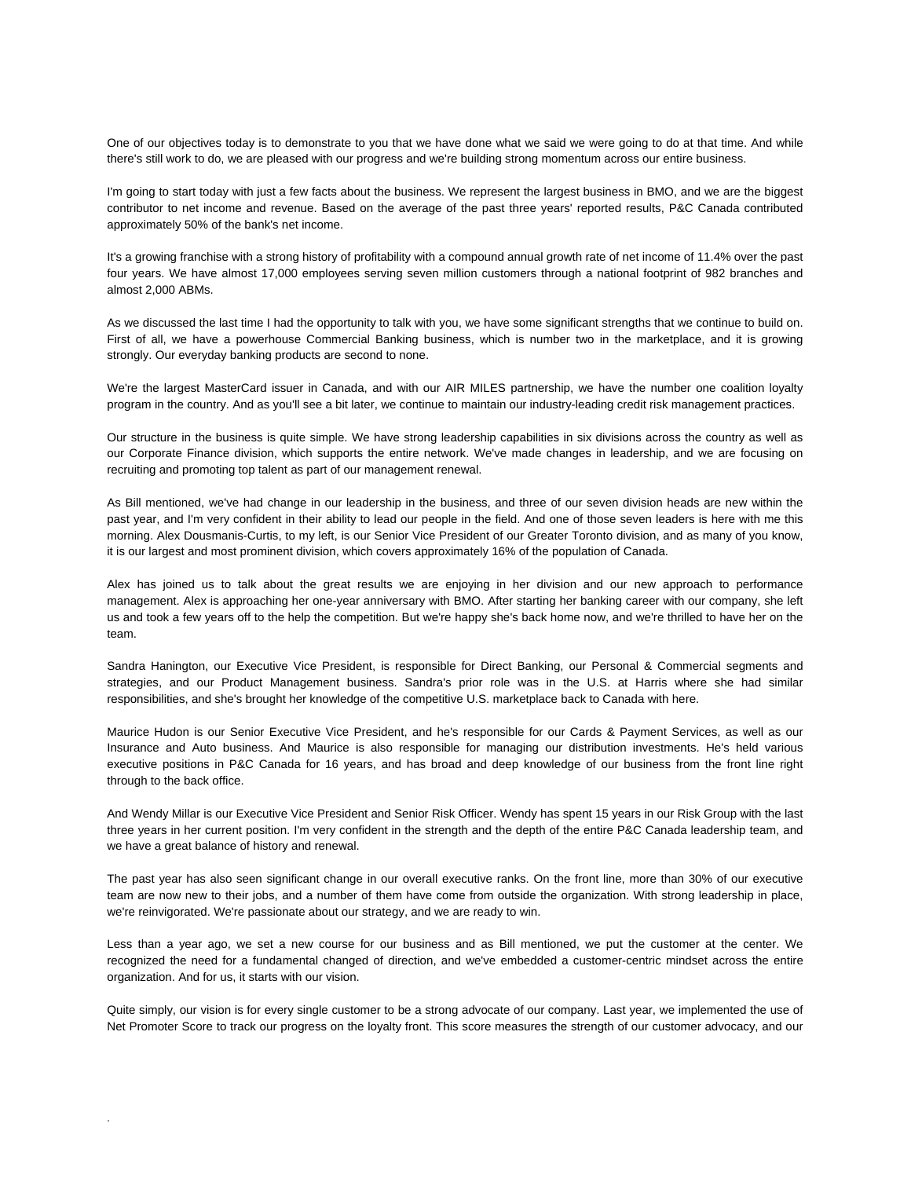One of our objectives today is to demonstrate to you that we have done what we said we were going to do at that time. And while there's still work to do, we are pleased with our progress and we're building strong momentum across our entire business.

I'm going to start today with just a few facts about the business. We represent the largest business in BMO, and we are the biggest contributor to net income and revenue. Based on the average of the past three years' reported results, P&C Canada contributed approximately 50% of the bank's net income.

It's a growing franchise with a strong history of profitability with a compound annual growth rate of net income of 11.4% over the past four years. We have almost 17,000 employees serving seven million customers through a national footprint of 982 branches and almost 2,000 ABMs.

As we discussed the last time I had the opportunity to talk with you, we have some significant strengths that we continue to build on. First of all, we have a powerhouse Commercial Banking business, which is number two in the marketplace, and it is growing strongly. Our everyday banking products are second to none.

We're the largest MasterCard issuer in Canada, and with our AIR MILES partnership, we have the number one coalition loyalty program in the country. And as you'll see a bit later, we continue to maintain our industry-leading credit risk management practices.

Our structure in the business is quite simple. We have strong leadership capabilities in six divisions across the country as well as our Corporate Finance division, which supports the entire network. We've made changes in leadership, and we are focusing on recruiting and promoting top talent as part of our management renewal.

As Bill mentioned, we've had change in our leadership in the business, and three of our seven division heads are new within the past year, and I'm very confident in their ability to lead our people in the field. And one of those seven leaders is here with me this morning. Alex Dousmanis-Curtis, to my left, is our Senior Vice President of our Greater Toronto division, and as many of you know, it is our largest and most prominent division, which covers approximately 16% of the population of Canada.

Alex has joined us to talk about the great results we are enjoying in her division and our new approach to performance management. Alex is approaching her one-year anniversary with BMO. After starting her banking career with our company, she left us and took a few years off to the help the competition. But we're happy she's back home now, and we're thrilled to have her on the team.

Sandra Hanington, our Executive Vice President, is responsible for Direct Banking, our Personal & Commercial segments and strategies, and our Product Management business. Sandra's prior role was in the U.S. at Harris where she had similar responsibilities, and she's brought her knowledge of the competitive U.S. marketplace back to Canada with here.

Maurice Hudon is our Senior Executive Vice President, and he's responsible for our Cards & Payment Services, as well as our Insurance and Auto business. And Maurice is also responsible for managing our distribution investments. He's held various executive positions in P&C Canada for 16 years, and has broad and deep knowledge of our business from the front line right through to the back office.

And Wendy Millar is our Executive Vice President and Senior Risk Officer. Wendy has spent 15 years in our Risk Group with the last three years in her current position. I'm very confident in the strength and the depth of the entire P&C Canada leadership team, and we have a great balance of history and renewal.

The past year has also seen significant change in our overall executive ranks. On the front line, more than 30% of our executive team are now new to their jobs, and a number of them have come from outside the organization. With strong leadership in place, we're reinvigorated. We're passionate about our strategy, and we are ready to win.

Less than a year ago, we set a new course for our business and as Bill mentioned, we put the customer at the center. We recognized the need for a fundamental changed of direction, and we've embedded a customer-centric mindset across the entire organization. And for us, it starts with our vision.

Quite simply, our vision is for every single customer to be a strong advocate of our company. Last year, we implemented the use of Net Promoter Score to track our progress on the loyalty front. This score measures the strength of our customer advocacy, and our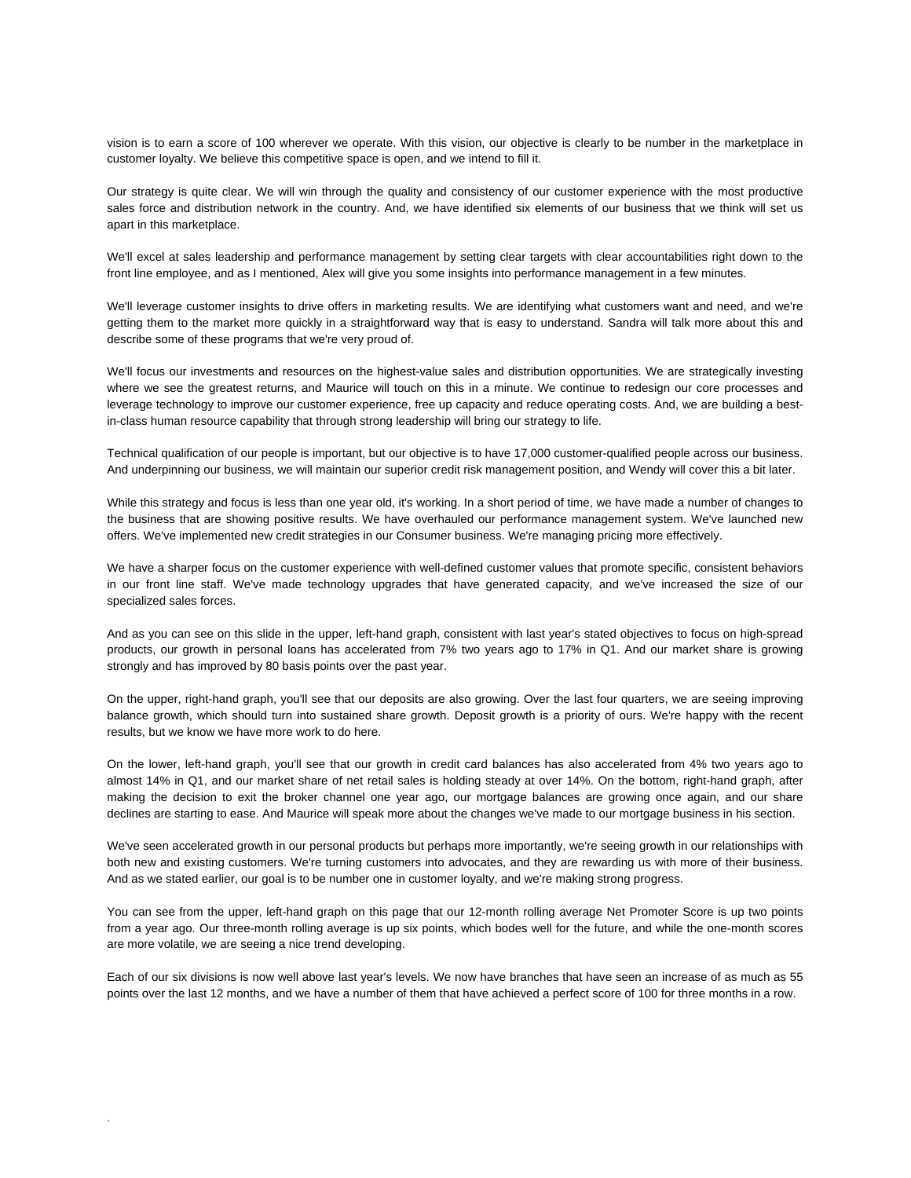vision is to earn a score of 100 wherever we operate. With this vision, our objective is clearly to be number in the marketplace in customer loyalty. We believe this competitive space is open, and we intend to fill it.

Our strategy is quite clear. We will win through the quality and consistency of our customer experience with the most productive sales force and distribution network in the country. And, we have identified six elements of our business that we think will set us apart in this marketplace.

We'll excel at sales leadership and performance management by setting clear targets with clear accountabilities right down to the front line employee, and as I mentioned, Alex will give you some insights into performance management in a few minutes.

We'll leverage customer insights to drive offers in marketing results. We are identifying what customers want and need, and we're getting them to the market more quickly in a straightforward way that is easy to understand. Sandra will talk more about this and describe some of these programs that we're very proud of.

We'll focus our investments and resources on the highest-value sales and distribution opportunities. We are strategically investing where we see the greatest returns, and Maurice will touch on this in a minute. We continue to redesign our core processes and leverage technology to improve our customer experience, free up capacity and reduce operating costs. And, we are building a bestin-class human resource capability that through strong leadership will bring our strategy to life.

Technical qualification of our people is important, but our objective is to have 17,000 customer-qualified people across our business. And underpinning our business, we will maintain our superior credit risk management position, and Wendy will cover this a bit later.

While this strategy and focus is less than one year old, it's working. In a short period of time, we have made a number of changes to the business that are showing positive results. We have overhauled our performance management system. We've launched new offers. We've implemented new credit strategies in our Consumer business. We're managing pricing more effectively.

We have a sharper focus on the customer experience with well-defined customer values that promote specific, consistent behaviors in our front line staff. We've made technology upgrades that have generated capacity, and we've increased the size of our specialized sales forces.

And as you can see on this slide in the upper, left-hand graph, consistent with last year's stated objectives to focus on high-spread products, our growth in personal loans has accelerated from 7% two years ago to 17% in Q1. And our market share is growing strongly and has improved by 80 basis points over the past year.

On the upper, right-hand graph, you'll see that our deposits are also growing. Over the last four quarters, we are seeing improving balance growth, which should turn into sustained share growth. Deposit growth is a priority of ours. We're happy with the recent results, but we know we have more work to do here.

On the lower, left-hand graph, you'll see that our growth in credit card balances has also accelerated from 4% two years ago to almost 14% in Q1, and our market share of net retail sales is holding steady at over 14%. On the bottom, right-hand graph, after making the decision to exit the broker channel one year ago, our mortgage balances are growing once again, and our share declines are starting to ease. And Maurice will speak more about the changes we've made to our mortgage business in his section.

We've seen accelerated growth in our personal products but perhaps more importantly, we're seeing growth in our relationships with both new and existing customers. We're turning customers into advocates, and they are rewarding us with more of their business. And as we stated earlier, our goal is to be number one in customer loyalty, and we're making strong progress.

You can see from the upper, left-hand graph on this page that our 12-month rolling average Net Promoter Score is up two points from a year ago. Our three-month rolling average is up six points, which bodes well for the future, and while the one-month scores are more volatile, we are seeing a nice trend developing.

Each of our six divisions is now well above last year's levels. We now have branches that have seen an increase of as much as 55 points over the last 12 months, and we have a number of them that have achieved a perfect score of 100 for three months in a row.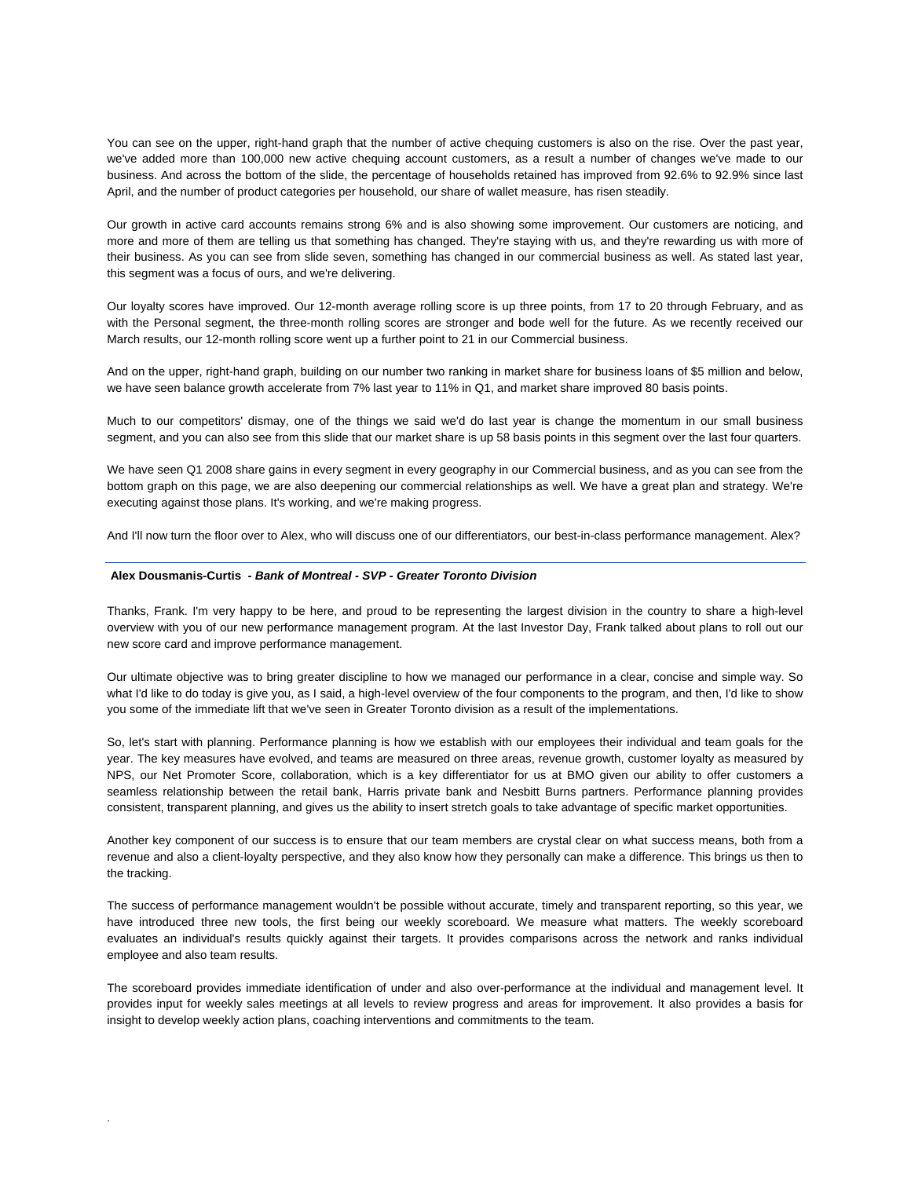You can see on the upper, right-hand graph that the number of active chequing customers is also on the rise. Over the past year, we've added more than 100,000 new active chequing account customers, as a result a number of changes we've made to our business. And across the bottom of the slide, the percentage of households retained has improved from 92.6% to 92.9% since last April, and the number of product categories per household, our share of wallet measure, has risen steadily.

Our growth in active card accounts remains strong 6% and is also showing some improvement. Our customers are noticing, and more and more of them are telling us that something has changed. They're staying with us, and they're rewarding us with more of their business. As you can see from slide seven, something has changed in our commercial business as well. As stated last year, this segment was a focus of ours, and we're delivering.

Our loyalty scores have improved. Our 12-month average rolling score is up three points, from 17 to 20 through February, and as with the Personal segment, the three-month rolling scores are stronger and bode well for the future. As we recently received our March results, our 12-month rolling score went up a further point to 21 in our Commercial business.

And on the upper, right-hand graph, building on our number two ranking in market share for business loans of \$5 million and below, we have seen balance growth accelerate from 7% last year to 11% in Q1, and market share improved 80 basis points.

Much to our competitors' dismay, one of the things we said we'd do last year is change the momentum in our small business segment, and you can also see from this slide that our market share is up 58 basis points in this segment over the last four quarters.

We have seen Q1 2008 share gains in every segment in every geography in our Commercial business, and as you can see from the bottom graph on this page, we are also deepening our commercial relationships as well. We have a great plan and strategy. We're executing against those plans. It's working, and we're making progress.

And I'll now turn the floor over to Alex, who will discuss one of our differentiators, our best-in-class performance management. Alex?

#### **Alex Dousmanis-Curtis** *- Bank of Montreal - SVP - Greater Toronto Division*

.

Thanks, Frank. I'm very happy to be here, and proud to be representing the largest division in the country to share a high-level overview with you of our new performance management program. At the last Investor Day, Frank talked about plans to roll out our new score card and improve performance management.

Our ultimate objective was to bring greater discipline to how we managed our performance in a clear, concise and simple way. So what I'd like to do today is give you, as I said, a high-level overview of the four components to the program, and then, I'd like to show you some of the immediate lift that we've seen in Greater Toronto division as a result of the implementations.

So, let's start with planning. Performance planning is how we establish with our employees their individual and team goals for the year. The key measures have evolved, and teams are measured on three areas, revenue growth, customer loyalty as measured by NPS, our Net Promoter Score, collaboration, which is a key differentiator for us at BMO given our ability to offer customers a seamless relationship between the retail bank, Harris private bank and Nesbitt Burns partners. Performance planning provides consistent, transparent planning, and gives us the ability to insert stretch goals to take advantage of specific market opportunities.

Another key component of our success is to ensure that our team members are crystal clear on what success means, both from a revenue and also a client-loyalty perspective, and they also know how they personally can make a difference. This brings us then to the tracking.

The success of performance management wouldn't be possible without accurate, timely and transparent reporting, so this year, we have introduced three new tools, the first being our weekly scoreboard. We measure what matters. The weekly scoreboard evaluates an individual's results quickly against their targets. It provides comparisons across the network and ranks individual employee and also team results.

The scoreboard provides immediate identification of under and also over-performance at the individual and management level. It provides input for weekly sales meetings at all levels to review progress and areas for improvement. It also provides a basis for insight to develop weekly action plans, coaching interventions and commitments to the team.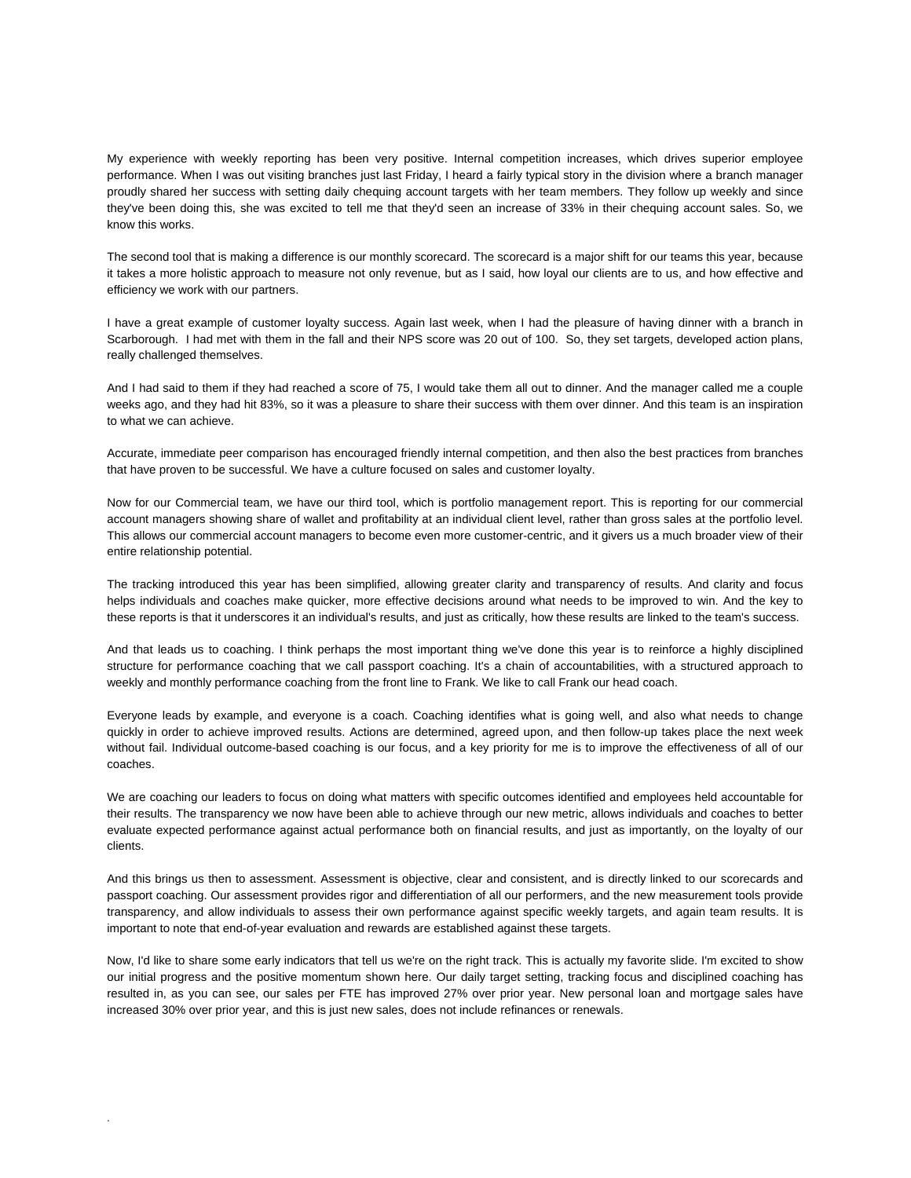My experience with weekly reporting has been very positive. Internal competition increases, which drives superior employee performance. When I was out visiting branches just last Friday, I heard a fairly typical story in the division where a branch manager proudly shared her success with setting daily chequing account targets with her team members. They follow up weekly and since they've been doing this, she was excited to tell me that they'd seen an increase of 33% in their chequing account sales. So, we know this works.

The second tool that is making a difference is our monthly scorecard. The scorecard is a major shift for our teams this year, because it takes a more holistic approach to measure not only revenue, but as I said, how loyal our clients are to us, and how effective and efficiency we work with our partners.

I have a great example of customer loyalty success. Again last week, when I had the pleasure of having dinner with a branch in Scarborough. I had met with them in the fall and their NPS score was 20 out of 100. So, they set targets, developed action plans, really challenged themselves.

And I had said to them if they had reached a score of 75, I would take them all out to dinner. And the manager called me a couple weeks ago, and they had hit 83%, so it was a pleasure to share their success with them over dinner. And this team is an inspiration to what we can achieve.

Accurate, immediate peer comparison has encouraged friendly internal competition, and then also the best practices from branches that have proven to be successful. We have a culture focused on sales and customer loyalty.

Now for our Commercial team, we have our third tool, which is portfolio management report. This is reporting for our commercial account managers showing share of wallet and profitability at an individual client level, rather than gross sales at the portfolio level. This allows our commercial account managers to become even more customer-centric, and it givers us a much broader view of their entire relationship potential.

The tracking introduced this year has been simplified, allowing greater clarity and transparency of results. And clarity and focus helps individuals and coaches make quicker, more effective decisions around what needs to be improved to win. And the key to these reports is that it underscores it an individual's results, and just as critically, how these results are linked to the team's success.

And that leads us to coaching. I think perhaps the most important thing we've done this year is to reinforce a highly disciplined structure for performance coaching that we call passport coaching. It's a chain of accountabilities, with a structured approach to weekly and monthly performance coaching from the front line to Frank. We like to call Frank our head coach.

Everyone leads by example, and everyone is a coach. Coaching identifies what is going well, and also what needs to change quickly in order to achieve improved results. Actions are determined, agreed upon, and then follow-up takes place the next week without fail. Individual outcome-based coaching is our focus, and a key priority for me is to improve the effectiveness of all of our coaches.

We are coaching our leaders to focus on doing what matters with specific outcomes identified and employees held accountable for their results. The transparency we now have been able to achieve through our new metric, allows individuals and coaches to better evaluate expected performance against actual performance both on financial results, and just as importantly, on the loyalty of our clients.

And this brings us then to assessment. Assessment is objective, clear and consistent, and is directly linked to our scorecards and passport coaching. Our assessment provides rigor and differentiation of all our performers, and the new measurement tools provide transparency, and allow individuals to assess their own performance against specific weekly targets, and again team results. It is important to note that end-of-year evaluation and rewards are established against these targets.

Now, I'd like to share some early indicators that tell us we're on the right track. This is actually my favorite slide. I'm excited to show our initial progress and the positive momentum shown here. Our daily target setting, tracking focus and disciplined coaching has resulted in, as you can see, our sales per FTE has improved 27% over prior year. New personal loan and mortgage sales have increased 30% over prior year, and this is just new sales, does not include refinances or renewals.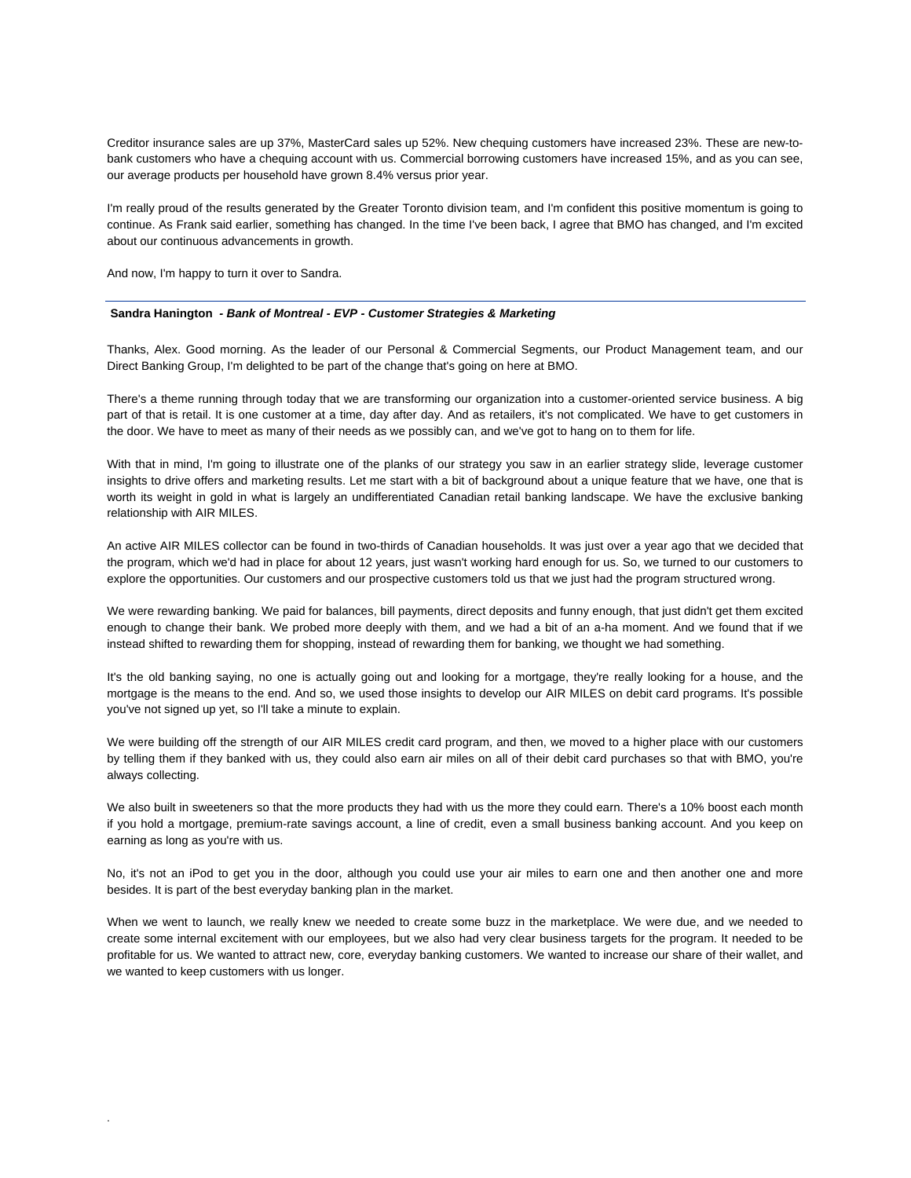Creditor insurance sales are up 37%, MasterCard sales up 52%. New chequing customers have increased 23%. These are new-tobank customers who have a chequing account with us. Commercial borrowing customers have increased 15%, and as you can see, our average products per household have grown 8.4% versus prior year.

I'm really proud of the results generated by the Greater Toronto division team, and I'm confident this positive momentum is going to continue. As Frank said earlier, something has changed. In the time I've been back, I agree that BMO has changed, and I'm excited about our continuous advancements in growth.

And now, I'm happy to turn it over to Sandra.

.

#### **Sandra Hanington** *- Bank of Montreal - EVP - Customer Strategies & Marketing*

Thanks, Alex. Good morning. As the leader of our Personal & Commercial Segments, our Product Management team, and our Direct Banking Group, I'm delighted to be part of the change that's going on here at BMO.

There's a theme running through today that we are transforming our organization into a customer-oriented service business. A big part of that is retail. It is one customer at a time, day after day. And as retailers, it's not complicated. We have to get customers in the door. We have to meet as many of their needs as we possibly can, and we've got to hang on to them for life.

With that in mind, I'm going to illustrate one of the planks of our strategy you saw in an earlier strategy slide, leverage customer insights to drive offers and marketing results. Let me start with a bit of background about a unique feature that we have, one that is worth its weight in gold in what is largely an undifferentiated Canadian retail banking landscape. We have the exclusive banking relationship with AIR MILES.

An active AIR MILES collector can be found in two-thirds of Canadian households. It was just over a year ago that we decided that the program, which we'd had in place for about 12 years, just wasn't working hard enough for us. So, we turned to our customers to explore the opportunities. Our customers and our prospective customers told us that we just had the program structured wrong.

We were rewarding banking. We paid for balances, bill payments, direct deposits and funny enough, that just didn't get them excited enough to change their bank. We probed more deeply with them, and we had a bit of an a-ha moment. And we found that if we instead shifted to rewarding them for shopping, instead of rewarding them for banking, we thought we had something.

It's the old banking saying, no one is actually going out and looking for a mortgage, they're really looking for a house, and the mortgage is the means to the end. And so, we used those insights to develop our AIR MILES on debit card programs. It's possible you've not signed up yet, so I'll take a minute to explain.

We were building off the strength of our AIR MILES credit card program, and then, we moved to a higher place with our customers by telling them if they banked with us, they could also earn air miles on all of their debit card purchases so that with BMO, you're always collecting.

We also built in sweeteners so that the more products they had with us the more they could earn. There's a 10% boost each month if you hold a mortgage, premium-rate savings account, a line of credit, even a small business banking account. And you keep on earning as long as you're with us.

No, it's not an iPod to get you in the door, although you could use your air miles to earn one and then another one and more besides. It is part of the best everyday banking plan in the market.

When we went to launch, we really knew we needed to create some buzz in the marketplace. We were due, and we needed to create some internal excitement with our employees, but we also had very clear business targets for the program. It needed to be profitable for us. We wanted to attract new, core, everyday banking customers. We wanted to increase our share of their wallet, and we wanted to keep customers with us longer.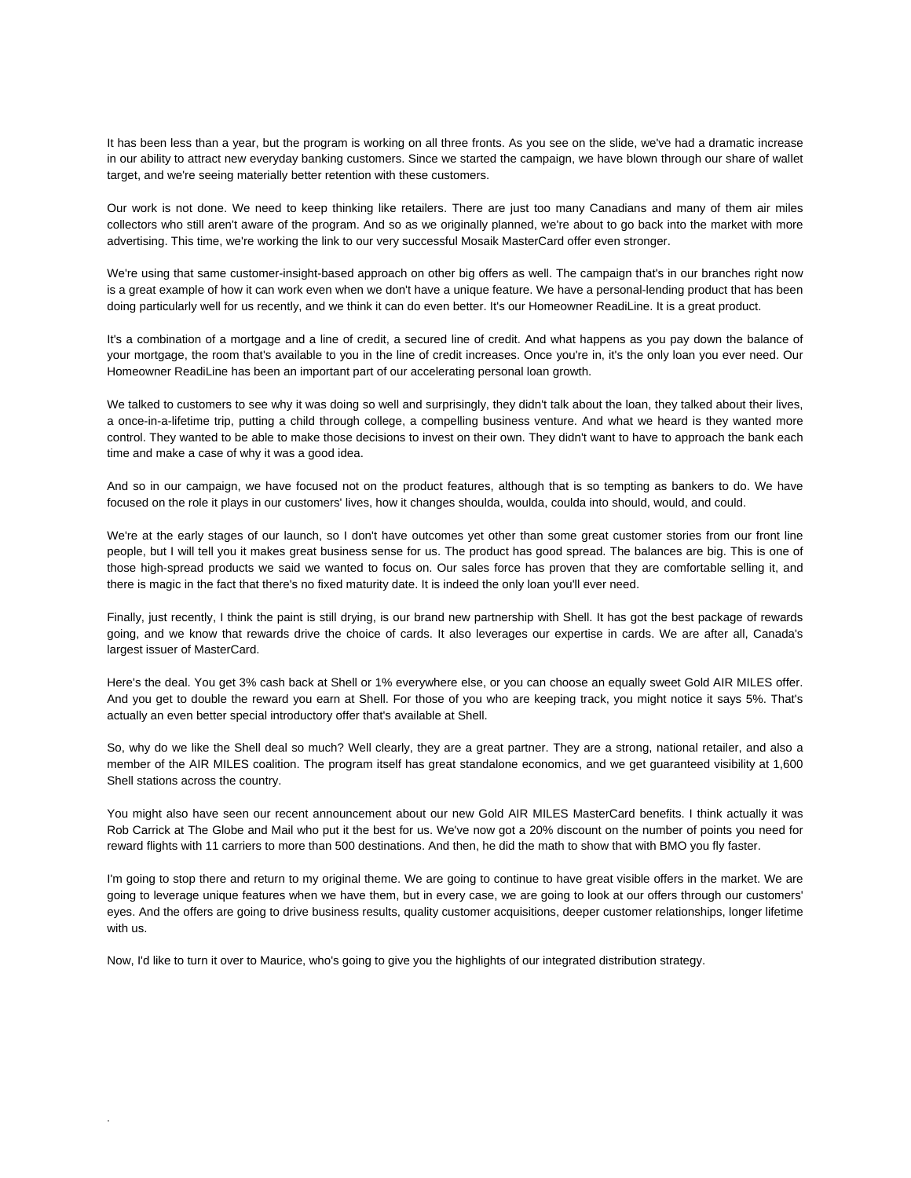It has been less than a year, but the program is working on all three fronts. As you see on the slide, we've had a dramatic increase in our ability to attract new everyday banking customers. Since we started the campaign, we have blown through our share of wallet target, and we're seeing materially better retention with these customers.

Our work is not done. We need to keep thinking like retailers. There are just too many Canadians and many of them air miles collectors who still aren't aware of the program. And so as we originally planned, we're about to go back into the market with more advertising. This time, we're working the link to our very successful Mosaik MasterCard offer even stronger.

We're using that same customer-insight-based approach on other big offers as well. The campaign that's in our branches right now is a great example of how it can work even when we don't have a unique feature. We have a personal-lending product that has been doing particularly well for us recently, and we think it can do even better. It's our Homeowner ReadiLine. It is a great product.

It's a combination of a mortgage and a line of credit, a secured line of credit. And what happens as you pay down the balance of your mortgage, the room that's available to you in the line of credit increases. Once you're in, it's the only loan you ever need. Our Homeowner ReadiLine has been an important part of our accelerating personal loan growth.

We talked to customers to see why it was doing so well and surprisingly, they didn't talk about the loan, they talked about their lives, a once-in-a-lifetime trip, putting a child through college, a compelling business venture. And what we heard is they wanted more control. They wanted to be able to make those decisions to invest on their own. They didn't want to have to approach the bank each time and make a case of why it was a good idea.

And so in our campaign, we have focused not on the product features, although that is so tempting as bankers to do. We have focused on the role it plays in our customers' lives, how it changes shoulda, woulda, coulda into should, would, and could.

We're at the early stages of our launch, so I don't have outcomes yet other than some great customer stories from our front line people, but I will tell you it makes great business sense for us. The product has good spread. The balances are big. This is one of those high-spread products we said we wanted to focus on. Our sales force has proven that they are comfortable selling it, and there is magic in the fact that there's no fixed maturity date. It is indeed the only loan you'll ever need.

Finally, just recently, I think the paint is still drying, is our brand new partnership with Shell. It has got the best package of rewards going, and we know that rewards drive the choice of cards. It also leverages our expertise in cards. We are after all, Canada's largest issuer of MasterCard.

Here's the deal. You get 3% cash back at Shell or 1% everywhere else, or you can choose an equally sweet Gold AIR MILES offer. And you get to double the reward you earn at Shell. For those of you who are keeping track, you might notice it says 5%. That's actually an even better special introductory offer that's available at Shell.

So, why do we like the Shell deal so much? Well clearly, they are a great partner. They are a strong, national retailer, and also a member of the AIR MILES coalition. The program itself has great standalone economics, and we get guaranteed visibility at 1,600 Shell stations across the country.

You might also have seen our recent announcement about our new Gold AIR MILES MasterCard benefits. I think actually it was Rob Carrick at The Globe and Mail who put it the best for us. We've now got a 20% discount on the number of points you need for reward flights with 11 carriers to more than 500 destinations. And then, he did the math to show that with BMO you fly faster.

I'm going to stop there and return to my original theme. We are going to continue to have great visible offers in the market. We are going to leverage unique features when we have them, but in every case, we are going to look at our offers through our customers' eyes. And the offers are going to drive business results, quality customer acquisitions, deeper customer relationships, longer lifetime with us.

Now, I'd like to turn it over to Maurice, who's going to give you the highlights of our integrated distribution strategy.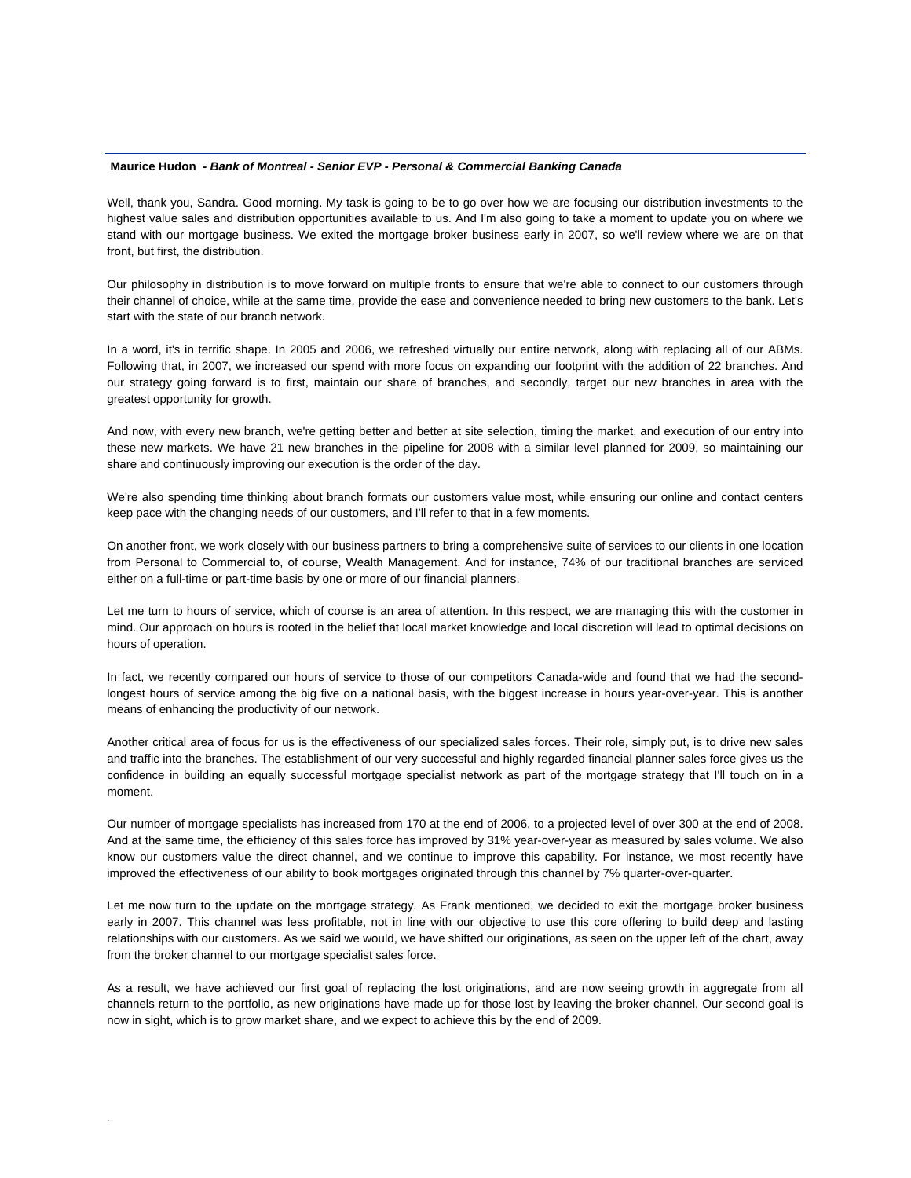#### **Maurice Hudon** *- Bank of Montreal - Senior EVP - Personal & Commercial Banking Canada*

Well, thank you, Sandra. Good morning. My task is going to be to go over how we are focusing our distribution investments to the highest value sales and distribution opportunities available to us. And I'm also going to take a moment to update you on where we stand with our mortgage business. We exited the mortgage broker business early in 2007, so we'll review where we are on that front, but first, the distribution.

Our philosophy in distribution is to move forward on multiple fronts to ensure that we're able to connect to our customers through their channel of choice, while at the same time, provide the ease and convenience needed to bring new customers to the bank. Let's start with the state of our branch network.

In a word, it's in terrific shape. In 2005 and 2006, we refreshed virtually our entire network, along with replacing all of our ABMs. Following that, in 2007, we increased our spend with more focus on expanding our footprint with the addition of 22 branches. And our strategy going forward is to first, maintain our share of branches, and secondly, target our new branches in area with the greatest opportunity for growth.

And now, with every new branch, we're getting better and better at site selection, timing the market, and execution of our entry into these new markets. We have 21 new branches in the pipeline for 2008 with a similar level planned for 2009, so maintaining our share and continuously improving our execution is the order of the day.

We're also spending time thinking about branch formats our customers value most, while ensuring our online and contact centers keep pace with the changing needs of our customers, and I'll refer to that in a few moments.

On another front, we work closely with our business partners to bring a comprehensive suite of services to our clients in one location from Personal to Commercial to, of course, Wealth Management. And for instance, 74% of our traditional branches are serviced either on a full-time or part-time basis by one or more of our financial planners.

Let me turn to hours of service, which of course is an area of attention. In this respect, we are managing this with the customer in mind. Our approach on hours is rooted in the belief that local market knowledge and local discretion will lead to optimal decisions on hours of operation.

In fact, we recently compared our hours of service to those of our competitors Canada-wide and found that we had the secondlongest hours of service among the big five on a national basis, with the biggest increase in hours year-over-year. This is another means of enhancing the productivity of our network.

Another critical area of focus for us is the effectiveness of our specialized sales forces. Their role, simply put, is to drive new sales and traffic into the branches. The establishment of our very successful and highly regarded financial planner sales force gives us the confidence in building an equally successful mortgage specialist network as part of the mortgage strategy that I'll touch on in a moment.

Our number of mortgage specialists has increased from 170 at the end of 2006, to a projected level of over 300 at the end of 2008. And at the same time, the efficiency of this sales force has improved by 31% year-over-year as measured by sales volume. We also know our customers value the direct channel, and we continue to improve this capability. For instance, we most recently have improved the effectiveness of our ability to book mortgages originated through this channel by 7% quarter-over-quarter.

Let me now turn to the update on the mortgage strategy. As Frank mentioned, we decided to exit the mortgage broker business early in 2007. This channel was less profitable, not in line with our objective to use this core offering to build deep and lasting relationships with our customers. As we said we would, we have shifted our originations, as seen on the upper left of the chart, away from the broker channel to our mortgage specialist sales force.

As a result, we have achieved our first goal of replacing the lost originations, and are now seeing growth in aggregate from all channels return to the portfolio, as new originations have made up for those lost by leaving the broker channel. Our second goal is now in sight, which is to grow market share, and we expect to achieve this by the end of 2009.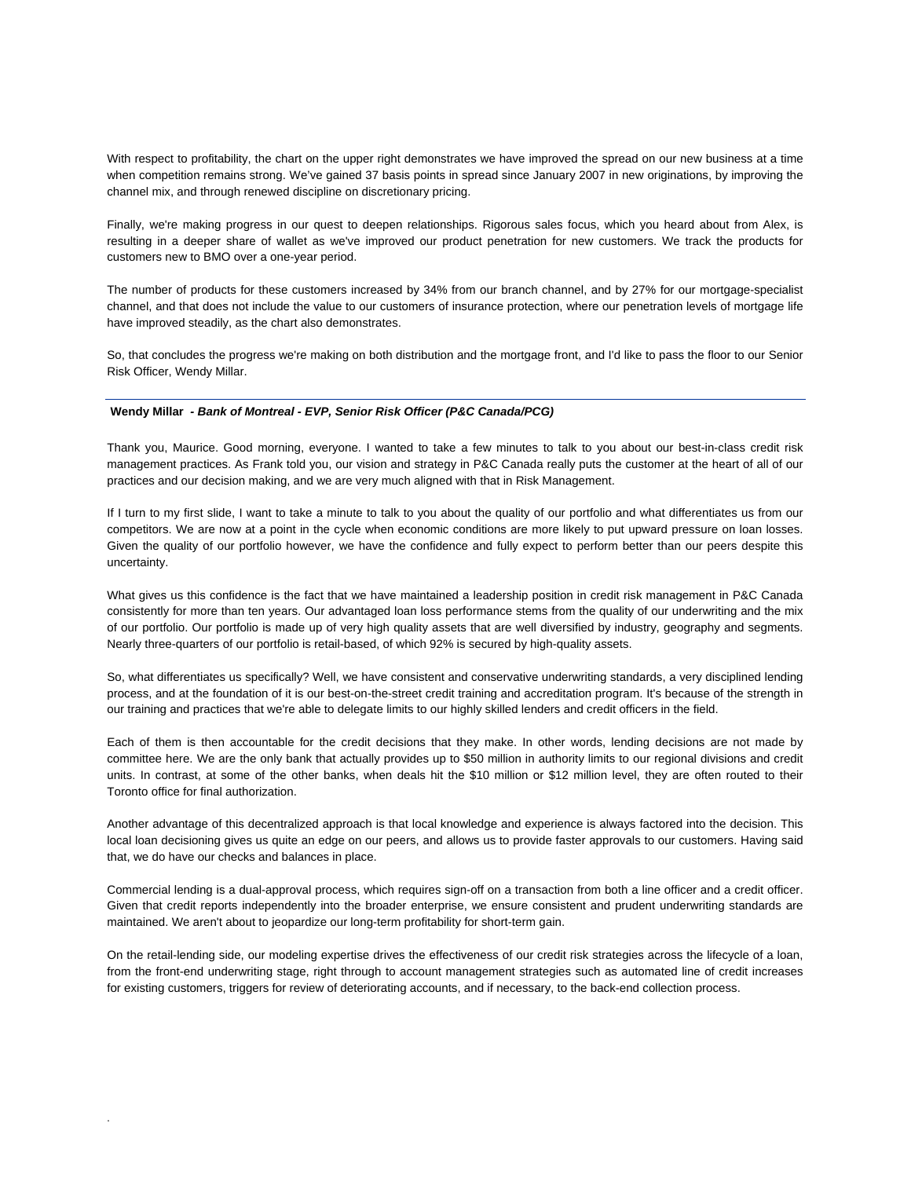With respect to profitability, the chart on the upper right demonstrates we have improved the spread on our new business at a time when competition remains strong. We've gained 37 basis points in spread since January 2007 in new originations, by improving the channel mix, and through renewed discipline on discretionary pricing.

Finally, we're making progress in our quest to deepen relationships. Rigorous sales focus, which you heard about from Alex, is resulting in a deeper share of wallet as we've improved our product penetration for new customers. We track the products for customers new to BMO over a one-year period.

The number of products for these customers increased by 34% from our branch channel, and by 27% for our mortgage-specialist channel, and that does not include the value to our customers of insurance protection, where our penetration levels of mortgage life have improved steadily, as the chart also demonstrates.

So, that concludes the progress we're making on both distribution and the mortgage front, and I'd like to pass the floor to our Senior Risk Officer, Wendy Millar.

#### **Wendy Millar** *- Bank of Montreal - EVP, Senior Risk Officer (P&C Canada/PCG)*

.

Thank you, Maurice. Good morning, everyone. I wanted to take a few minutes to talk to you about our best-in-class credit risk management practices. As Frank told you, our vision and strategy in P&C Canada really puts the customer at the heart of all of our practices and our decision making, and we are very much aligned with that in Risk Management.

If I turn to my first slide, I want to take a minute to talk to you about the quality of our portfolio and what differentiates us from our competitors. We are now at a point in the cycle when economic conditions are more likely to put upward pressure on loan losses. Given the quality of our portfolio however, we have the confidence and fully expect to perform better than our peers despite this uncertainty.

What gives us this confidence is the fact that we have maintained a leadership position in credit risk management in P&C Canada consistently for more than ten years. Our advantaged loan loss performance stems from the quality of our underwriting and the mix of our portfolio. Our portfolio is made up of very high quality assets that are well diversified by industry, geography and segments. Nearly three-quarters of our portfolio is retail-based, of which 92% is secured by high-quality assets.

So, what differentiates us specifically? Well, we have consistent and conservative underwriting standards, a very disciplined lending process, and at the foundation of it is our best-on-the-street credit training and accreditation program. It's because of the strength in our training and practices that we're able to delegate limits to our highly skilled lenders and credit officers in the field.

Each of them is then accountable for the credit decisions that they make. In other words, lending decisions are not made by committee here. We are the only bank that actually provides up to \$50 million in authority limits to our regional divisions and credit units. In contrast, at some of the other banks, when deals hit the \$10 million or \$12 million level, they are often routed to their Toronto office for final authorization.

Another advantage of this decentralized approach is that local knowledge and experience is always factored into the decision. This local loan decisioning gives us quite an edge on our peers, and allows us to provide faster approvals to our customers. Having said that, we do have our checks and balances in place.

Commercial lending is a dual-approval process, which requires sign-off on a transaction from both a line officer and a credit officer. Given that credit reports independently into the broader enterprise, we ensure consistent and prudent underwriting standards are maintained. We aren't about to jeopardize our long-term profitability for short-term gain.

On the retail-lending side, our modeling expertise drives the effectiveness of our credit risk strategies across the lifecycle of a loan, from the front-end underwriting stage, right through to account management strategies such as automated line of credit increases for existing customers, triggers for review of deteriorating accounts, and if necessary, to the back-end collection process.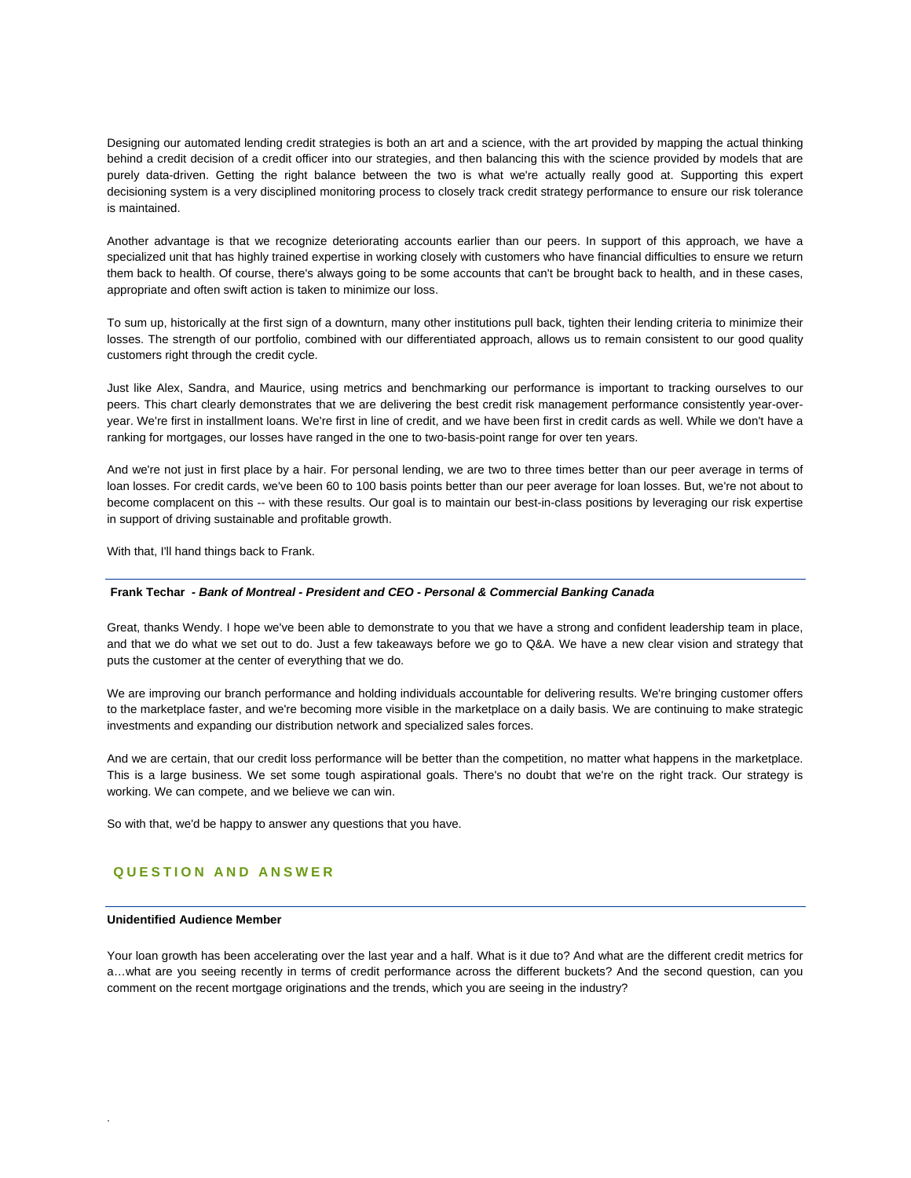Designing our automated lending credit strategies is both an art and a science, with the art provided by mapping the actual thinking behind a credit decision of a credit officer into our strategies, and then balancing this with the science provided by models that are purely data-driven. Getting the right balance between the two is what we're actually really good at. Supporting this expert decisioning system is a very disciplined monitoring process to closely track credit strategy performance to ensure our risk tolerance is maintained.

Another advantage is that we recognize deteriorating accounts earlier than our peers. In support of this approach, we have a specialized unit that has highly trained expertise in working closely with customers who have financial difficulties to ensure we return them back to health. Of course, there's always going to be some accounts that can't be brought back to health, and in these cases, appropriate and often swift action is taken to minimize our loss.

To sum up, historically at the first sign of a downturn, many other institutions pull back, tighten their lending criteria to minimize their losses. The strength of our portfolio, combined with our differentiated approach, allows us to remain consistent to our good quality customers right through the credit cycle.

Just like Alex, Sandra, and Maurice, using metrics and benchmarking our performance is important to tracking ourselves to our peers. This chart clearly demonstrates that we are delivering the best credit risk management performance consistently year-overyear. We're first in installment loans. We're first in line of credit, and we have been first in credit cards as well. While we don't have a ranking for mortgages, our losses have ranged in the one to two-basis-point range for over ten years.

And we're not just in first place by a hair. For personal lending, we are two to three times better than our peer average in terms of loan losses. For credit cards, we've been 60 to 100 basis points better than our peer average for loan losses. But, we're not about to become complacent on this -- with these results. Our goal is to maintain our best-in-class positions by leveraging our risk expertise in support of driving sustainable and profitable growth.

With that, I'll hand things back to Frank.

#### **Frank Techar** *- Bank of Montreal - President and CEO - Personal & Commercial Banking Canada*

Great, thanks Wendy. I hope we've been able to demonstrate to you that we have a strong and confident leadership team in place, and that we do what we set out to do. Just a few takeaways before we go to Q&A. We have a new clear vision and strategy that puts the customer at the center of everything that we do.

We are improving our branch performance and holding individuals accountable for delivering results. We're bringing customer offers to the marketplace faster, and we're becoming more visible in the marketplace on a daily basis. We are continuing to make strategic investments and expanding our distribution network and specialized sales forces.

And we are certain, that our credit loss performance will be better than the competition, no matter what happens in the marketplace. This is a large business. We set some tough aspirational goals. There's no doubt that we're on the right track. Our strategy is working. We can compete, and we believe we can win.

So with that, we'd be happy to answer any questions that you have.

# **QUESTION AND ANSWER**

## **Unidentified Audience Member**

.

Your loan growth has been accelerating over the last year and a half. What is it due to? And what are the different credit metrics for a…what are you seeing recently in terms of credit performance across the different buckets? And the second question, can you comment on the recent mortgage originations and the trends, which you are seeing in the industry?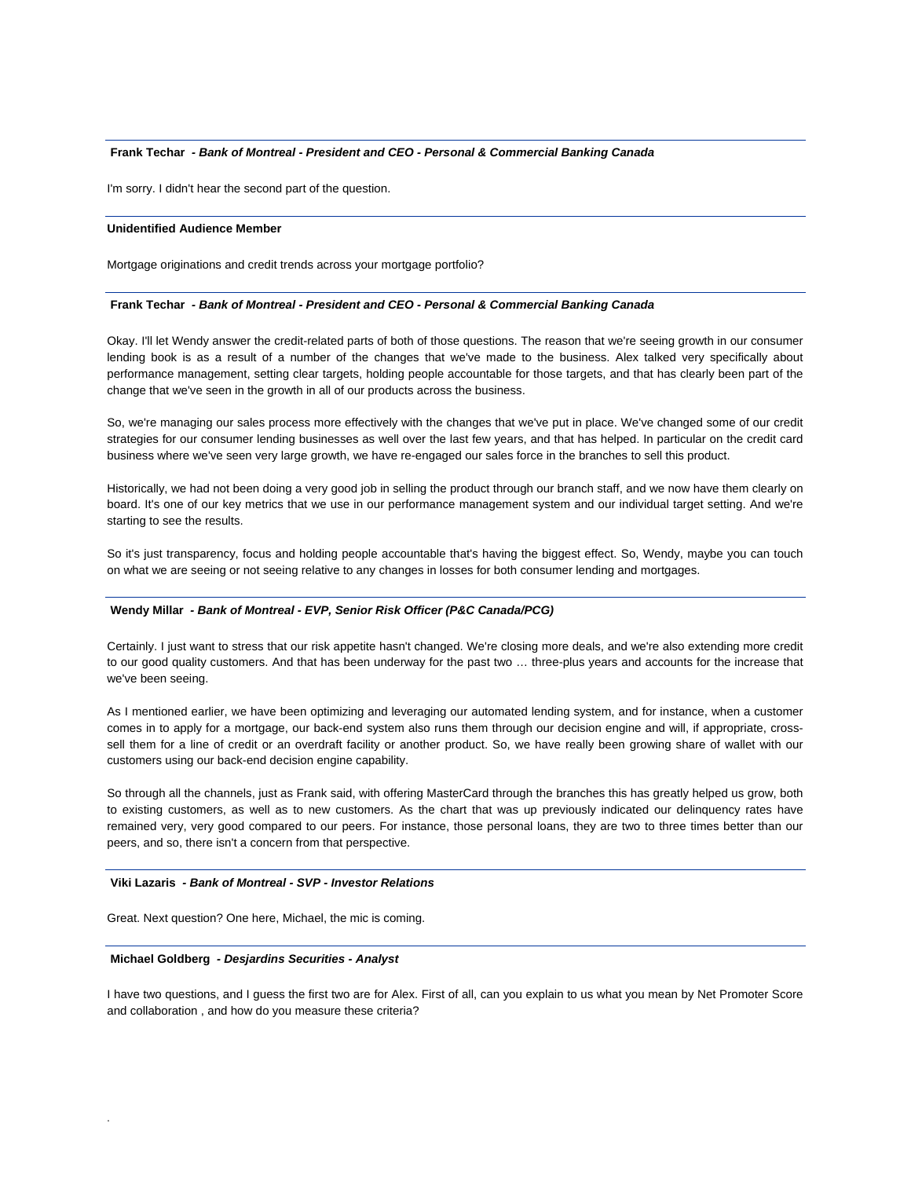## **Frank Techar** *- Bank of Montreal - President and CEO - Personal & Commercial Banking Canada*

I'm sorry. I didn't hear the second part of the question.

## **Unidentified Audience Member**

Mortgage originations and credit trends across your mortgage portfolio?

#### **Frank Techar** *- Bank of Montreal - President and CEO - Personal & Commercial Banking Canada*

Okay. I'll let Wendy answer the credit-related parts of both of those questions. The reason that we're seeing growth in our consumer lending book is as a result of a number of the changes that we've made to the business. Alex talked very specifically about performance management, setting clear targets, holding people accountable for those targets, and that has clearly been part of the change that we've seen in the growth in all of our products across the business.

So, we're managing our sales process more effectively with the changes that we've put in place. We've changed some of our credit strategies for our consumer lending businesses as well over the last few years, and that has helped. In particular on the credit card business where we've seen very large growth, we have re-engaged our sales force in the branches to sell this product.

Historically, we had not been doing a very good job in selling the product through our branch staff, and we now have them clearly on board. It's one of our key metrics that we use in our performance management system and our individual target setting. And we're starting to see the results.

So it's just transparency, focus and holding people accountable that's having the biggest effect. So, Wendy, maybe you can touch on what we are seeing or not seeing relative to any changes in losses for both consumer lending and mortgages.

#### **Wendy Millar** *- Bank of Montreal - EVP, Senior Risk Officer (P&C Canada/PCG)*

Certainly. I just want to stress that our risk appetite hasn't changed. We're closing more deals, and we're also extending more credit to our good quality customers. And that has been underway for the past two … three-plus years and accounts for the increase that we've been seeing.

As I mentioned earlier, we have been optimizing and leveraging our automated lending system, and for instance, when a customer comes in to apply for a mortgage, our back-end system also runs them through our decision engine and will, if appropriate, crosssell them for a line of credit or an overdraft facility or another product. So, we have really been growing share of wallet with our customers using our back-end decision engine capability.

So through all the channels, just as Frank said, with offering MasterCard through the branches this has greatly helped us grow, both to existing customers, as well as to new customers. As the chart that was up previously indicated our delinquency rates have remained very, very good compared to our peers. For instance, those personal loans, they are two to three times better than our peers, and so, there isn't a concern from that perspective.

#### **Viki Lazaris** *- Bank of Montreal - SVP - Investor Relations*

Great. Next question? One here, Michael, the mic is coming.

#### **Michael Goldberg** *- Desjardins Securities - Analyst*

.

I have two questions, and I guess the first two are for Alex. First of all, can you explain to us what you mean by Net Promoter Score and collaboration , and how do you measure these criteria?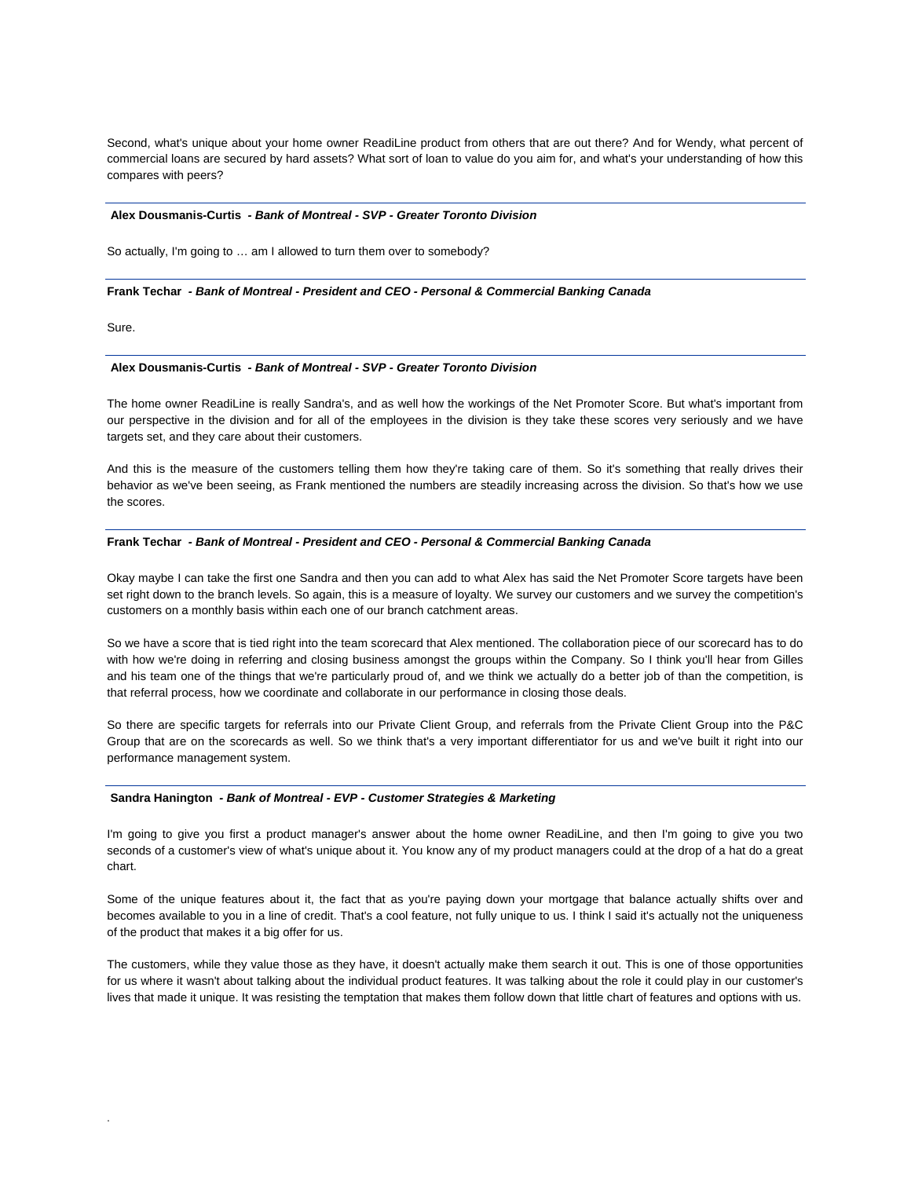Second, what's unique about your home owner ReadiLine product from others that are out there? And for Wendy, what percent of commercial loans are secured by hard assets? What sort of loan to value do you aim for, and what's your understanding of how this compares with peers?

#### **Alex Dousmanis-Curtis** *- Bank of Montreal - SVP - Greater Toronto Division*

So actually, I'm going to … am I allowed to turn them over to somebody?

#### **Frank Techar** *- Bank of Montreal - President and CEO - Personal & Commercial Banking Canada*

Sure.

.

#### **Alex Dousmanis-Curtis** *- Bank of Montreal - SVP - Greater Toronto Division*

The home owner ReadiLine is really Sandra's, and as well how the workings of the Net Promoter Score. But what's important from our perspective in the division and for all of the employees in the division is they take these scores very seriously and we have targets set, and they care about their customers.

And this is the measure of the customers telling them how they're taking care of them. So it's something that really drives their behavior as we've been seeing, as Frank mentioned the numbers are steadily increasing across the division. So that's how we use the scores.

#### **Frank Techar** *- Bank of Montreal - President and CEO - Personal & Commercial Banking Canada*

Okay maybe I can take the first one Sandra and then you can add to what Alex has said the Net Promoter Score targets have been set right down to the branch levels. So again, this is a measure of loyalty. We survey our customers and we survey the competition's customers on a monthly basis within each one of our branch catchment areas.

So we have a score that is tied right into the team scorecard that Alex mentioned. The collaboration piece of our scorecard has to do with how we're doing in referring and closing business amongst the groups within the Company. So I think you'll hear from Gilles and his team one of the things that we're particularly proud of, and we think we actually do a better job of than the competition, is that referral process, how we coordinate and collaborate in our performance in closing those deals.

So there are specific targets for referrals into our Private Client Group, and referrals from the Private Client Group into the P&C Group that are on the scorecards as well. So we think that's a very important differentiator for us and we've built it right into our performance management system.

#### **Sandra Hanington** *- Bank of Montreal - EVP - Customer Strategies & Marketing*

I'm going to give you first a product manager's answer about the home owner ReadiLine, and then I'm going to give you two seconds of a customer's view of what's unique about it. You know any of my product managers could at the drop of a hat do a great chart.

Some of the unique features about it, the fact that as you're paying down your mortgage that balance actually shifts over and becomes available to you in a line of credit. That's a cool feature, not fully unique to us. I think I said it's actually not the uniqueness of the product that makes it a big offer for us.

The customers, while they value those as they have, it doesn't actually make them search it out. This is one of those opportunities for us where it wasn't about talking about the individual product features. It was talking about the role it could play in our customer's lives that made it unique. It was resisting the temptation that makes them follow down that little chart of features and options with us.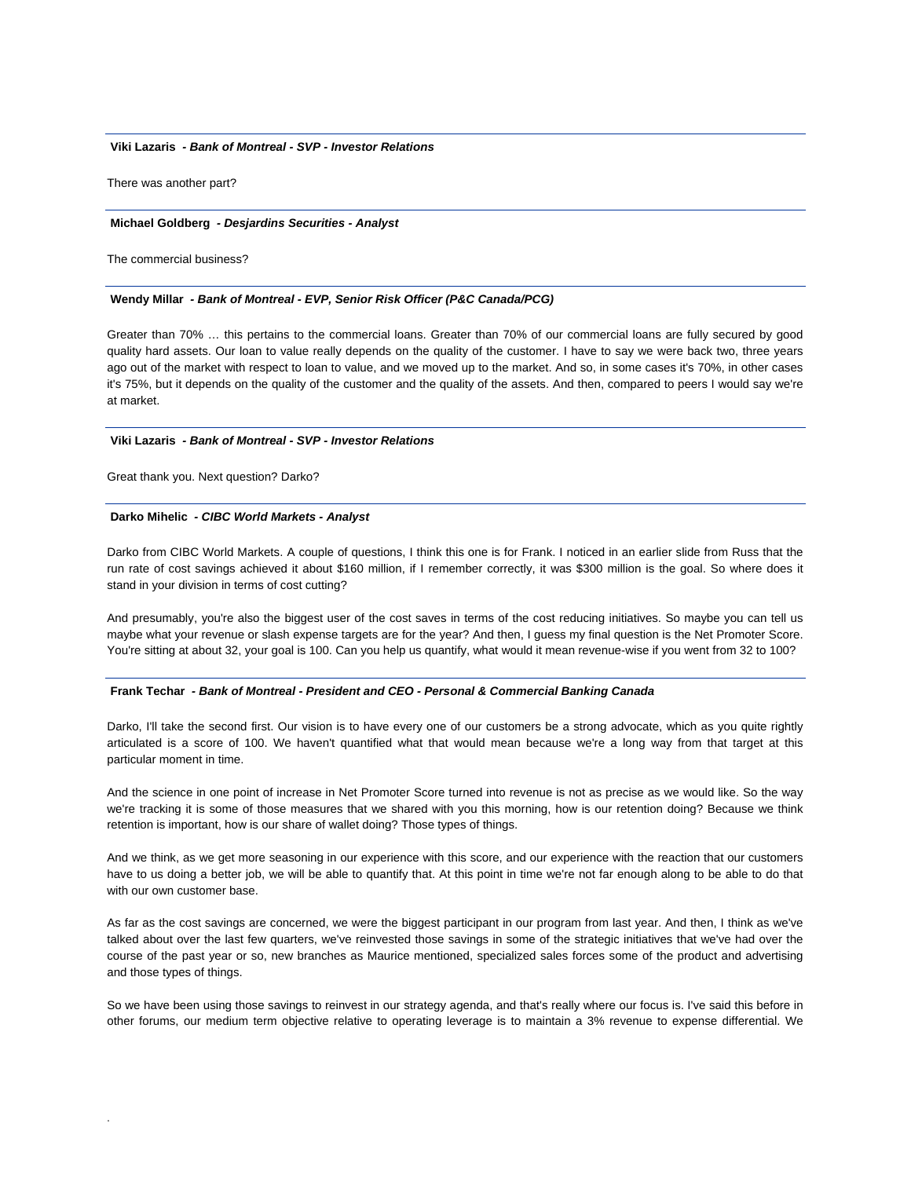## **Viki Lazaris** *- Bank of Montreal - SVP - Investor Relations*

There was another part?

#### **Michael Goldberg** *- Desjardins Securities - Analyst*

The commercial business?

#### **Wendy Millar** *- Bank of Montreal - EVP, Senior Risk Officer (P&C Canada/PCG)*

Greater than 70% … this pertains to the commercial loans. Greater than 70% of our commercial loans are fully secured by good quality hard assets. Our loan to value really depends on the quality of the customer. I have to say we were back two, three years ago out of the market with respect to loan to value, and we moved up to the market. And so, in some cases it's 70%, in other cases it's 75%, but it depends on the quality of the customer and the quality of the assets. And then, compared to peers I would say we're at market.

#### **Viki Lazaris** *- Bank of Montreal - SVP - Investor Relations*

Great thank you. Next question? Darko?

.

#### **Darko Mihelic** *- CIBC World Markets - Analyst*

Darko from CIBC World Markets. A couple of questions, I think this one is for Frank. I noticed in an earlier slide from Russ that the run rate of cost savings achieved it about \$160 million, if I remember correctly, it was \$300 million is the goal. So where does it stand in your division in terms of cost cutting?

And presumably, you're also the biggest user of the cost saves in terms of the cost reducing initiatives. So maybe you can tell us maybe what your revenue or slash expense targets are for the year? And then, I guess my final question is the Net Promoter Score. You're sitting at about 32, your goal is 100. Can you help us quantify, what would it mean revenue-wise if you went from 32 to 100?

#### **Frank Techar** *- Bank of Montreal - President and CEO - Personal & Commercial Banking Canada*

Darko, I'll take the second first. Our vision is to have every one of our customers be a strong advocate, which as you quite rightly articulated is a score of 100. We haven't quantified what that would mean because we're a long way from that target at this particular moment in time.

And the science in one point of increase in Net Promoter Score turned into revenue is not as precise as we would like. So the way we're tracking it is some of those measures that we shared with you this morning, how is our retention doing? Because we think retention is important, how is our share of wallet doing? Those types of things.

And we think, as we get more seasoning in our experience with this score, and our experience with the reaction that our customers have to us doing a better job, we will be able to quantify that. At this point in time we're not far enough along to be able to do that with our own customer base.

As far as the cost savings are concerned, we were the biggest participant in our program from last year. And then, I think as we've talked about over the last few quarters, we've reinvested those savings in some of the strategic initiatives that we've had over the course of the past year or so, new branches as Maurice mentioned, specialized sales forces some of the product and advertising and those types of things.

So we have been using those savings to reinvest in our strategy agenda, and that's really where our focus is. I've said this before in other forums, our medium term objective relative to operating leverage is to maintain a 3% revenue to expense differential. We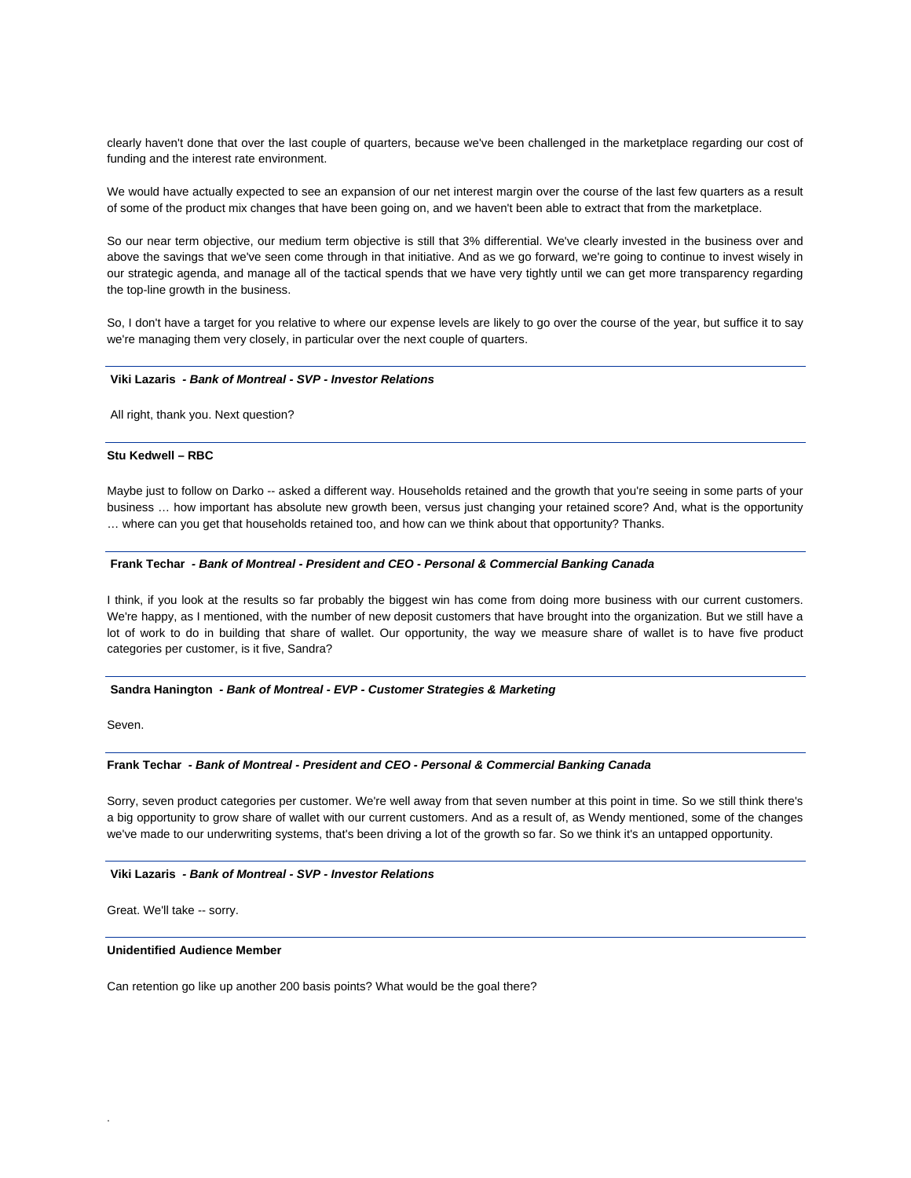clearly haven't done that over the last couple of quarters, because we've been challenged in the marketplace regarding our cost of funding and the interest rate environment.

We would have actually expected to see an expansion of our net interest margin over the course of the last few quarters as a result of some of the product mix changes that have been going on, and we haven't been able to extract that from the marketplace.

So our near term objective, our medium term objective is still that 3% differential. We've clearly invested in the business over and above the savings that we've seen come through in that initiative. And as we go forward, we're going to continue to invest wisely in our strategic agenda, and manage all of the tactical spends that we have very tightly until we can get more transparency regarding the top-line growth in the business.

So, I don't have a target for you relative to where our expense levels are likely to go over the course of the year, but suffice it to say we're managing them very closely, in particular over the next couple of quarters.

## **Viki Lazaris** *- Bank of Montreal - SVP - Investor Relations*

All right, thank you. Next question?

#### **Stu Kedwell – RBC**

Maybe just to follow on Darko -- asked a different way. Households retained and the growth that you're seeing in some parts of your business … how important has absolute new growth been, versus just changing your retained score? And, what is the opportunity … where can you get that households retained too, and how can we think about that opportunity? Thanks.

## **Frank Techar** *- Bank of Montreal - President and CEO - Personal & Commercial Banking Canada*

I think, if you look at the results so far probably the biggest win has come from doing more business with our current customers. We're happy, as I mentioned, with the number of new deposit customers that have brought into the organization. But we still have a lot of work to do in building that share of wallet. Our opportunity, the way we measure share of wallet is to have five product categories per customer, is it five, Sandra?

#### **Sandra Hanington** *- Bank of Montreal - EVP - Customer Strategies & Marketing*

Seven.

.

#### **Frank Techar** *- Bank of Montreal - President and CEO - Personal & Commercial Banking Canada*

Sorry, seven product categories per customer. We're well away from that seven number at this point in time. So we still think there's a big opportunity to grow share of wallet with our current customers. And as a result of, as Wendy mentioned, some of the changes we've made to our underwriting systems, that's been driving a lot of the growth so far. So we think it's an untapped opportunity.

## **Viki Lazaris** *- Bank of Montreal - SVP - Investor Relations*

Great. We'll take -- sorry.

## **Unidentified Audience Member**

Can retention go like up another 200 basis points? What would be the goal there?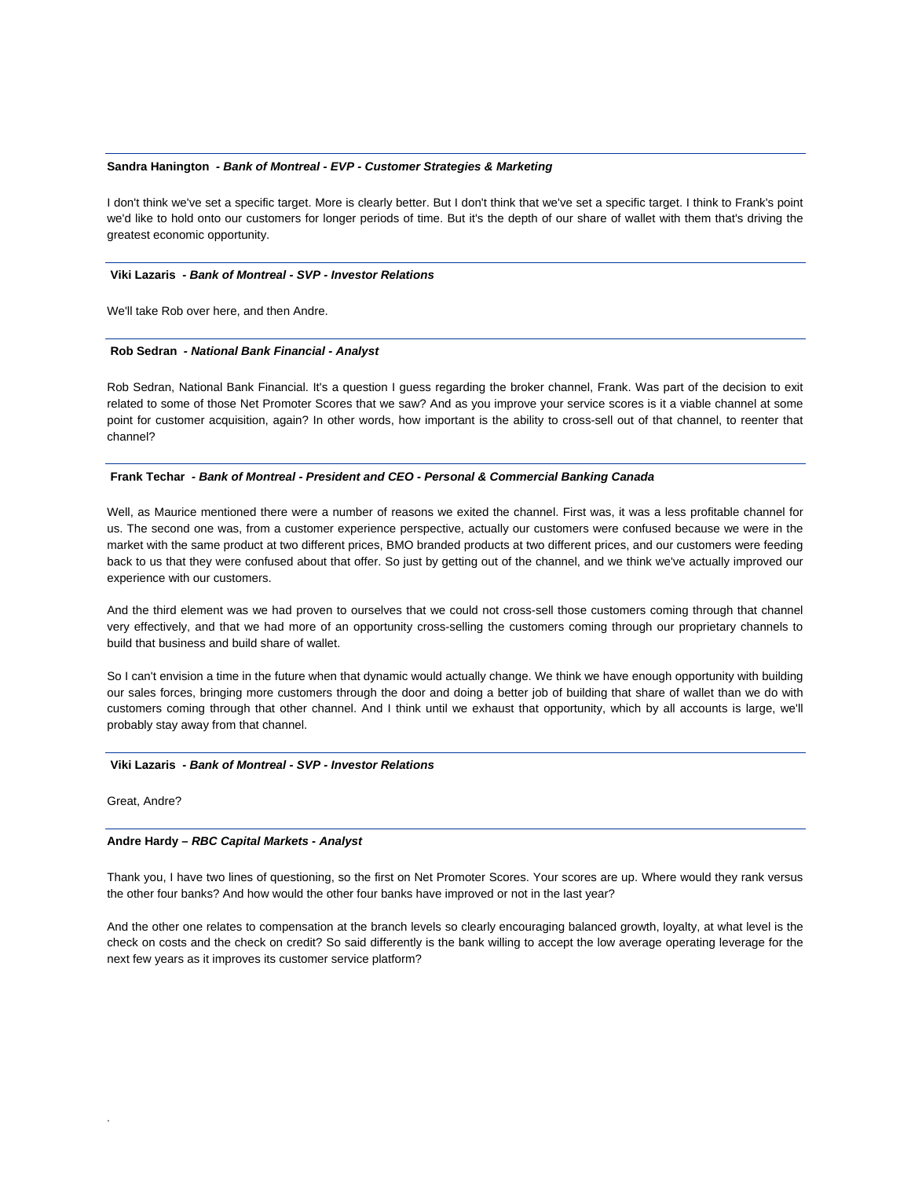#### **Sandra Hanington** *- Bank of Montreal - EVP - Customer Strategies & Marketing*

I don't think we've set a specific target. More is clearly better. But I don't think that we've set a specific target. I think to Frank's point we'd like to hold onto our customers for longer periods of time. But it's the depth of our share of wallet with them that's driving the greatest economic opportunity.

#### **Viki Lazaris** *- Bank of Montreal - SVP - Investor Relations*

We'll take Rob over here, and then Andre.

#### **Rob Sedran** *- National Bank Financial - Analyst*

Rob Sedran, National Bank Financial. It's a question I guess regarding the broker channel, Frank. Was part of the decision to exit related to some of those Net Promoter Scores that we saw? And as you improve your service scores is it a viable channel at some point for customer acquisition, again? In other words, how important is the ability to cross-sell out of that channel, to reenter that channel?

## **Frank Techar** *- Bank of Montreal - President and CEO - Personal & Commercial Banking Canada*

Well, as Maurice mentioned there were a number of reasons we exited the channel. First was, it was a less profitable channel for us. The second one was, from a customer experience perspective, actually our customers were confused because we were in the market with the same product at two different prices, BMO branded products at two different prices, and our customers were feeding back to us that they were confused about that offer. So just by getting out of the channel, and we think we've actually improved our experience with our customers.

And the third element was we had proven to ourselves that we could not cross-sell those customers coming through that channel very effectively, and that we had more of an opportunity cross-selling the customers coming through our proprietary channels to build that business and build share of wallet.

So I can't envision a time in the future when that dynamic would actually change. We think we have enough opportunity with building our sales forces, bringing more customers through the door and doing a better job of building that share of wallet than we do with customers coming through that other channel. And I think until we exhaust that opportunity, which by all accounts is large, we'll probably stay away from that channel.

#### **Viki Lazaris** *- Bank of Montreal - SVP - Investor Relations*

Great, Andre?

.

## **Andre Hardy –** *RBC Capital Markets - Analyst*

Thank you, I have two lines of questioning, so the first on Net Promoter Scores. Your scores are up. Where would they rank versus the other four banks? And how would the other four banks have improved or not in the last year?

And the other one relates to compensation at the branch levels so clearly encouraging balanced growth, loyalty, at what level is the check on costs and the check on credit? So said differently is the bank willing to accept the low average operating leverage for the next few years as it improves its customer service platform?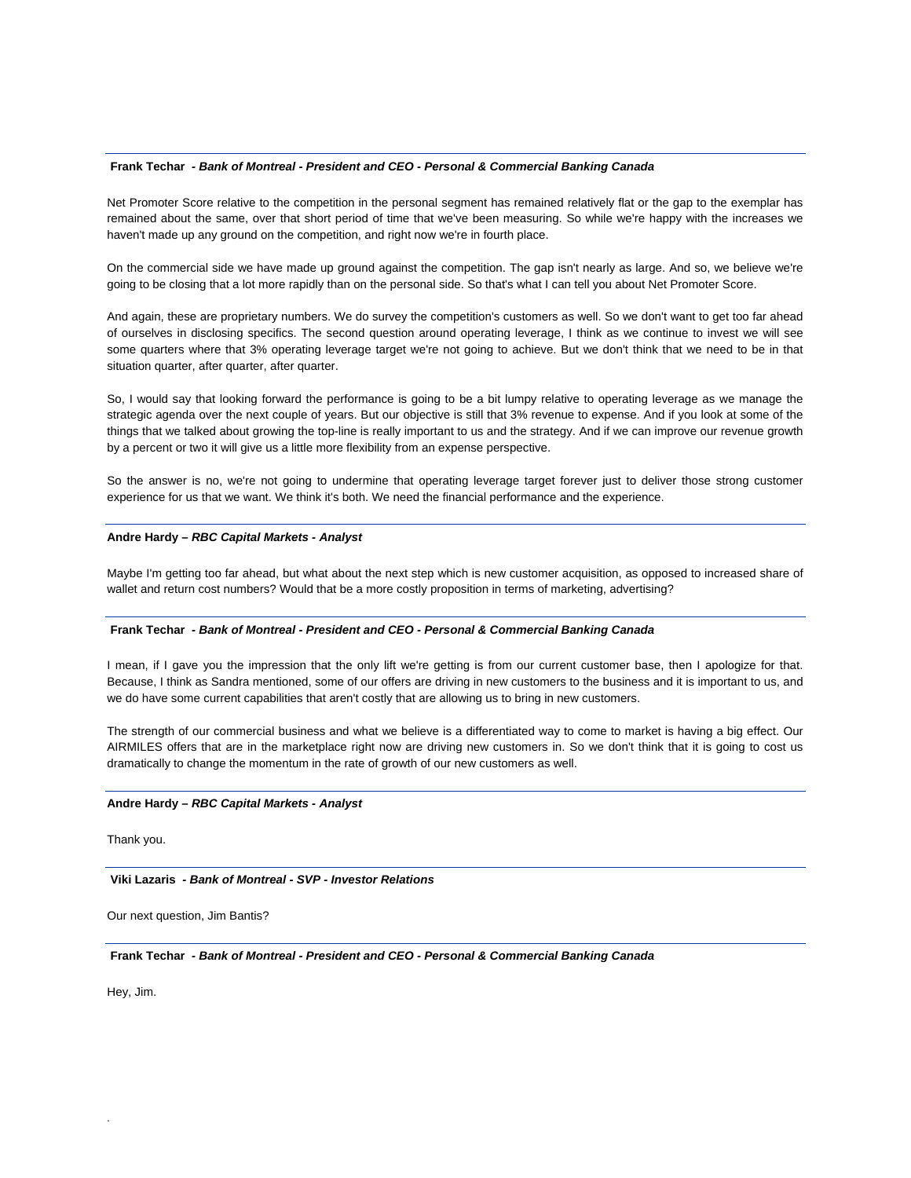#### **Frank Techar** *- Bank of Montreal - President and CEO - Personal & Commercial Banking Canada*

Net Promoter Score relative to the competition in the personal segment has remained relatively flat or the gap to the exemplar has remained about the same, over that short period of time that we've been measuring. So while we're happy with the increases we haven't made up any ground on the competition, and right now we're in fourth place.

On the commercial side we have made up ground against the competition. The gap isn't nearly as large. And so, we believe we're going to be closing that a lot more rapidly than on the personal side. So that's what I can tell you about Net Promoter Score.

And again, these are proprietary numbers. We do survey the competition's customers as well. So we don't want to get too far ahead of ourselves in disclosing specifics. The second question around operating leverage, I think as we continue to invest we will see some quarters where that 3% operating leverage target we're not going to achieve. But we don't think that we need to be in that situation quarter, after quarter, after quarter.

So, I would say that looking forward the performance is going to be a bit lumpy relative to operating leverage as we manage the strategic agenda over the next couple of years. But our objective is still that 3% revenue to expense. And if you look at some of the things that we talked about growing the top-line is really important to us and the strategy. And if we can improve our revenue growth by a percent or two it will give us a little more flexibility from an expense perspective.

So the answer is no, we're not going to undermine that operating leverage target forever just to deliver those strong customer experience for us that we want. We think it's both. We need the financial performance and the experience.

#### **Andre Hardy –** *RBC Capital Markets - Analyst*

Maybe I'm getting too far ahead, but what about the next step which is new customer acquisition, as opposed to increased share of wallet and return cost numbers? Would that be a more costly proposition in terms of marketing, advertising?

## **Frank Techar** *- Bank of Montreal - President and CEO - Personal & Commercial Banking Canada*

I mean, if I gave you the impression that the only lift we're getting is from our current customer base, then I apologize for that. Because, I think as Sandra mentioned, some of our offers are driving in new customers to the business and it is important to us, and we do have some current capabilities that aren't costly that are allowing us to bring in new customers.

The strength of our commercial business and what we believe is a differentiated way to come to market is having a big effect. Our AIRMILES offers that are in the marketplace right now are driving new customers in. So we don't think that it is going to cost us dramatically to change the momentum in the rate of growth of our new customers as well.

## **Andre Hardy –** *RBC Capital Markets - Analyst*

Thank you.

 **Viki Lazaris** *- Bank of Montreal - SVP - Investor Relations* 

Our next question, Jim Bantis?

 **Frank Techar** *- Bank of Montreal - President and CEO - Personal & Commercial Banking Canada* 

Hey, Jim.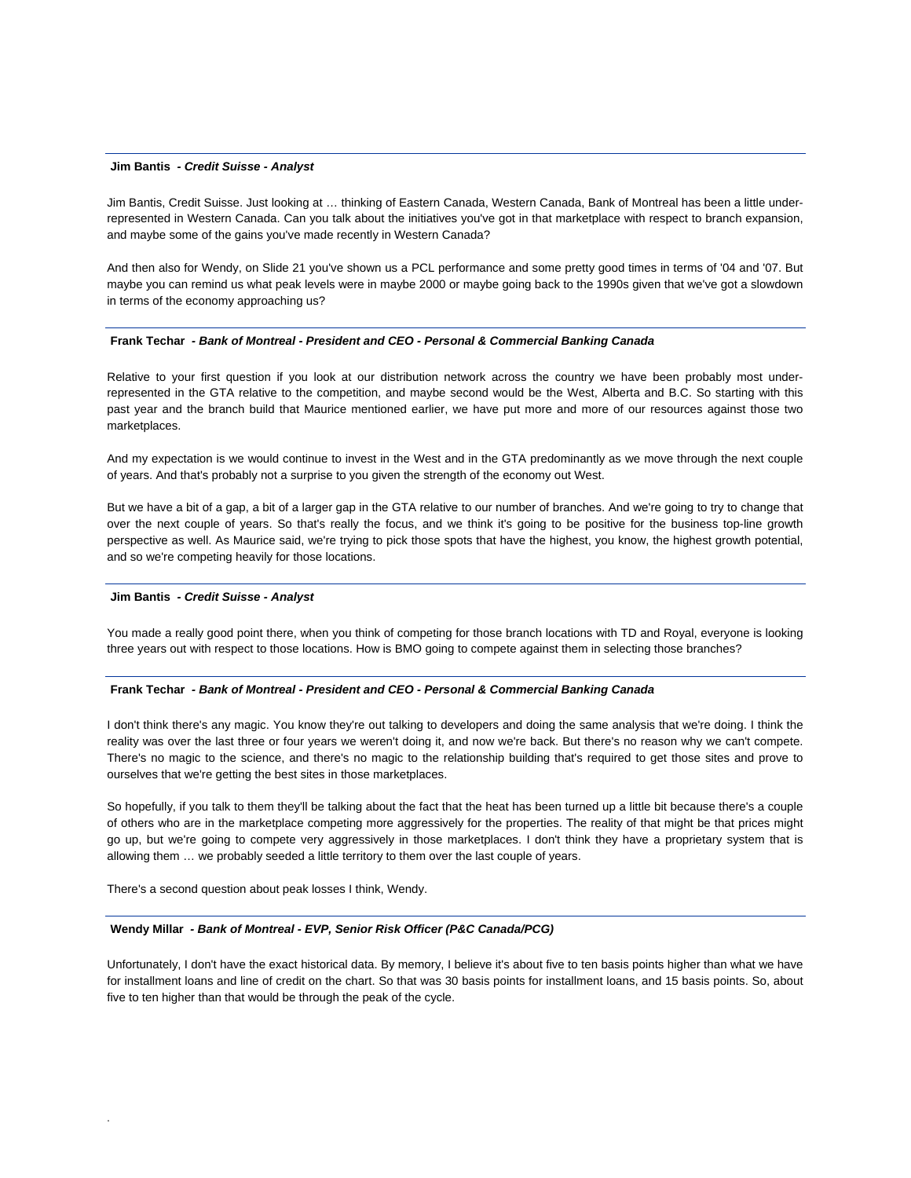#### **Jim Bantis** *- Credit Suisse - Analyst*

Jim Bantis, Credit Suisse. Just looking at … thinking of Eastern Canada, Western Canada, Bank of Montreal has been a little underrepresented in Western Canada. Can you talk about the initiatives you've got in that marketplace with respect to branch expansion, and maybe some of the gains you've made recently in Western Canada?

And then also for Wendy, on Slide 21 you've shown us a PCL performance and some pretty good times in terms of '04 and '07. But maybe you can remind us what peak levels were in maybe 2000 or maybe going back to the 1990s given that we've got a slowdown in terms of the economy approaching us?

#### **Frank Techar** *- Bank of Montreal - President and CEO - Personal & Commercial Banking Canada*

Relative to your first question if you look at our distribution network across the country we have been probably most underrepresented in the GTA relative to the competition, and maybe second would be the West, Alberta and B.C. So starting with this past year and the branch build that Maurice mentioned earlier, we have put more and more of our resources against those two marketplaces.

And my expectation is we would continue to invest in the West and in the GTA predominantly as we move through the next couple of years. And that's probably not a surprise to you given the strength of the economy out West.

But we have a bit of a gap, a bit of a larger gap in the GTA relative to our number of branches. And we're going to try to change that over the next couple of years. So that's really the focus, and we think it's going to be positive for the business top-line growth perspective as well. As Maurice said, we're trying to pick those spots that have the highest, you know, the highest growth potential, and so we're competing heavily for those locations.

#### **Jim Bantis** *- Credit Suisse - Analyst*

You made a really good point there, when you think of competing for those branch locations with TD and Royal, everyone is looking three years out with respect to those locations. How is BMO going to compete against them in selecting those branches?

#### **Frank Techar** *- Bank of Montreal - President and CEO - Personal & Commercial Banking Canada*

I don't think there's any magic. You know they're out talking to developers and doing the same analysis that we're doing. I think the reality was over the last three or four years we weren't doing it, and now we're back. But there's no reason why we can't compete. There's no magic to the science, and there's no magic to the relationship building that's required to get those sites and prove to ourselves that we're getting the best sites in those marketplaces.

So hopefully, if you talk to them they'll be talking about the fact that the heat has been turned up a little bit because there's a couple of others who are in the marketplace competing more aggressively for the properties. The reality of that might be that prices might go up, but we're going to compete very aggressively in those marketplaces. I don't think they have a proprietary system that is allowing them … we probably seeded a little territory to them over the last couple of years.

There's a second question about peak losses I think, Wendy.

.

#### **Wendy Millar** *- Bank of Montreal - EVP, Senior Risk Officer (P&C Canada/PCG)*

Unfortunately, I don't have the exact historical data. By memory, I believe it's about five to ten basis points higher than what we have for installment loans and line of credit on the chart. So that was 30 basis points for installment loans, and 15 basis points. So, about five to ten higher than that would be through the peak of the cycle.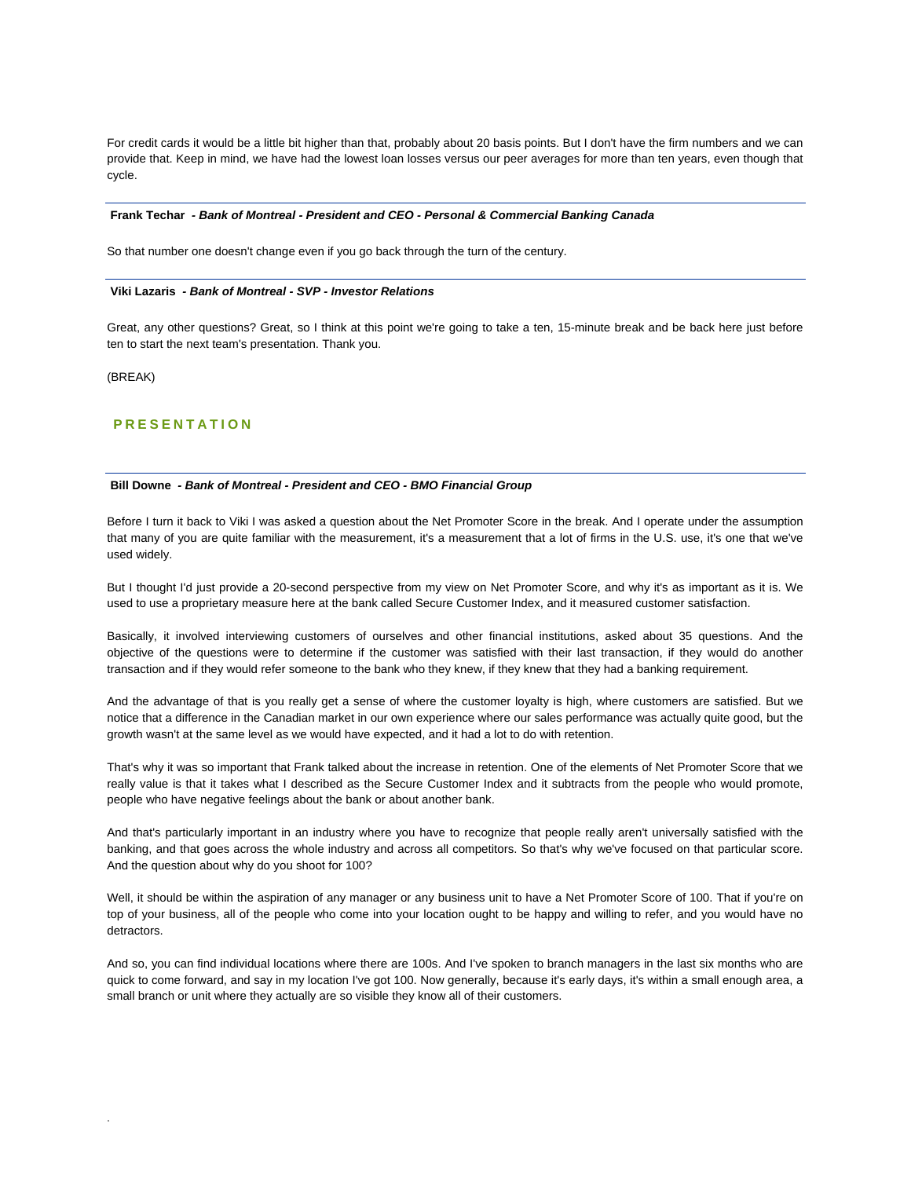For credit cards it would be a little bit higher than that, probably about 20 basis points. But I don't have the firm numbers and we can provide that. Keep in mind, we have had the lowest loan losses versus our peer averages for more than ten years, even though that cycle.

#### **Frank Techar** *- Bank of Montreal - President and CEO - Personal & Commercial Banking Canada*

So that number one doesn't change even if you go back through the turn of the century.

#### **Viki Lazaris** *- Bank of Montreal - SVP - Investor Relations*

Great, any other questions? Great, so I think at this point we're going to take a ten, 15-minute break and be back here just before ten to start the next team's presentation. Thank you.

(BREAK)

.

# **PRESENTATION**

#### **Bill Downe** *- Bank of Montreal - President and CEO - BMO Financial Group*

Before I turn it back to Viki I was asked a question about the Net Promoter Score in the break. And I operate under the assumption that many of you are quite familiar with the measurement, it's a measurement that a lot of firms in the U.S. use, it's one that we've used widely.

But I thought I'd just provide a 20-second perspective from my view on Net Promoter Score, and why it's as important as it is. We used to use a proprietary measure here at the bank called Secure Customer Index, and it measured customer satisfaction.

Basically, it involved interviewing customers of ourselves and other financial institutions, asked about 35 questions. And the objective of the questions were to determine if the customer was satisfied with their last transaction, if they would do another transaction and if they would refer someone to the bank who they knew, if they knew that they had a banking requirement.

And the advantage of that is you really get a sense of where the customer loyalty is high, where customers are satisfied. But we notice that a difference in the Canadian market in our own experience where our sales performance was actually quite good, but the growth wasn't at the same level as we would have expected, and it had a lot to do with retention.

That's why it was so important that Frank talked about the increase in retention. One of the elements of Net Promoter Score that we really value is that it takes what I described as the Secure Customer Index and it subtracts from the people who would promote, people who have negative feelings about the bank or about another bank.

And that's particularly important in an industry where you have to recognize that people really aren't universally satisfied with the banking, and that goes across the whole industry and across all competitors. So that's why we've focused on that particular score. And the question about why do you shoot for 100?

Well, it should be within the aspiration of any manager or any business unit to have a Net Promoter Score of 100. That if you're on top of your business, all of the people who come into your location ought to be happy and willing to refer, and you would have no detractors.

And so, you can find individual locations where there are 100s. And I've spoken to branch managers in the last six months who are quick to come forward, and say in my location I've got 100. Now generally, because it's early days, it's within a small enough area, a small branch or unit where they actually are so visible they know all of their customers.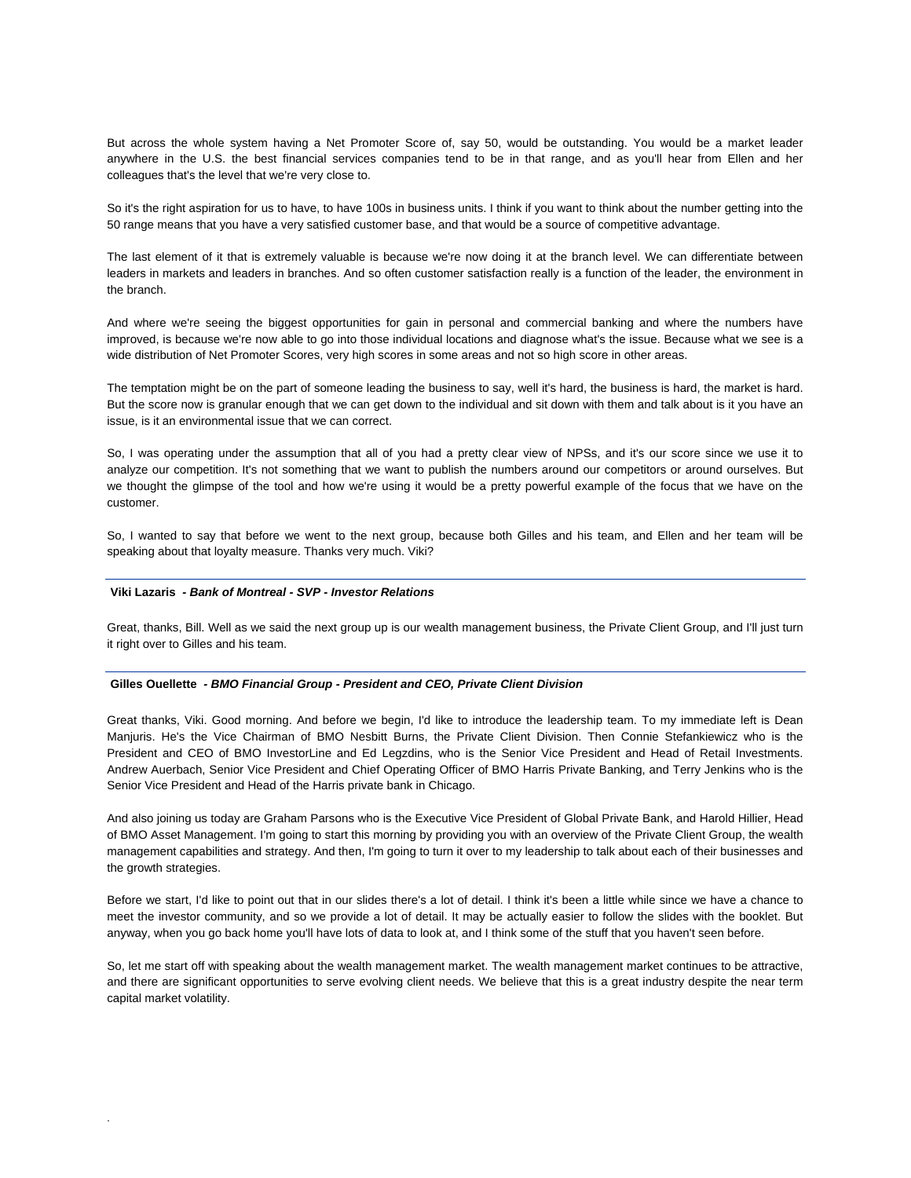But across the whole system having a Net Promoter Score of, say 50, would be outstanding. You would be a market leader anywhere in the U.S. the best financial services companies tend to be in that range, and as you'll hear from Ellen and her colleagues that's the level that we're very close to.

So it's the right aspiration for us to have, to have 100s in business units. I think if you want to think about the number getting into the 50 range means that you have a very satisfied customer base, and that would be a source of competitive advantage.

The last element of it that is extremely valuable is because we're now doing it at the branch level. We can differentiate between leaders in markets and leaders in branches. And so often customer satisfaction really is a function of the leader, the environment in the branch.

And where we're seeing the biggest opportunities for gain in personal and commercial banking and where the numbers have improved, is because we're now able to go into those individual locations and diagnose what's the issue. Because what we see is a wide distribution of Net Promoter Scores, very high scores in some areas and not so high score in other areas.

The temptation might be on the part of someone leading the business to say, well it's hard, the business is hard, the market is hard. But the score now is granular enough that we can get down to the individual and sit down with them and talk about is it you have an issue, is it an environmental issue that we can correct.

So, I was operating under the assumption that all of you had a pretty clear view of NPSs, and it's our score since we use it to analyze our competition. It's not something that we want to publish the numbers around our competitors or around ourselves. But we thought the glimpse of the tool and how we're using it would be a pretty powerful example of the focus that we have on the customer.

So, I wanted to say that before we went to the next group, because both Gilles and his team, and Ellen and her team will be speaking about that loyalty measure. Thanks very much. Viki?

## **Viki Lazaris** *- Bank of Montreal - SVP - Investor Relations*

.

Great, thanks, Bill. Well as we said the next group up is our wealth management business, the Private Client Group, and I'll just turn it right over to Gilles and his team.

#### **Gilles Ouellette** *- BMO Financial Group - President and CEO, Private Client Division*

Great thanks, Viki. Good morning. And before we begin, I'd like to introduce the leadership team. To my immediate left is Dean Manjuris. He's the Vice Chairman of BMO Nesbitt Burns, the Private Client Division. Then Connie Stefankiewicz who is the President and CEO of BMO InvestorLine and Ed Legzdins, who is the Senior Vice President and Head of Retail Investments. Andrew Auerbach, Senior Vice President and Chief Operating Officer of BMO Harris Private Banking, and Terry Jenkins who is the Senior Vice President and Head of the Harris private bank in Chicago.

And also joining us today are Graham Parsons who is the Executive Vice President of Global Private Bank, and Harold Hillier, Head of BMO Asset Management. I'm going to start this morning by providing you with an overview of the Private Client Group, the wealth management capabilities and strategy. And then, I'm going to turn it over to my leadership to talk about each of their businesses and the growth strategies.

Before we start, I'd like to point out that in our slides there's a lot of detail. I think it's been a little while since we have a chance to meet the investor community, and so we provide a lot of detail. It may be actually easier to follow the slides with the booklet. But anyway, when you go back home you'll have lots of data to look at, and I think some of the stuff that you haven't seen before.

So, let me start off with speaking about the wealth management market. The wealth management market continues to be attractive, and there are significant opportunities to serve evolving client needs. We believe that this is a great industry despite the near term capital market volatility.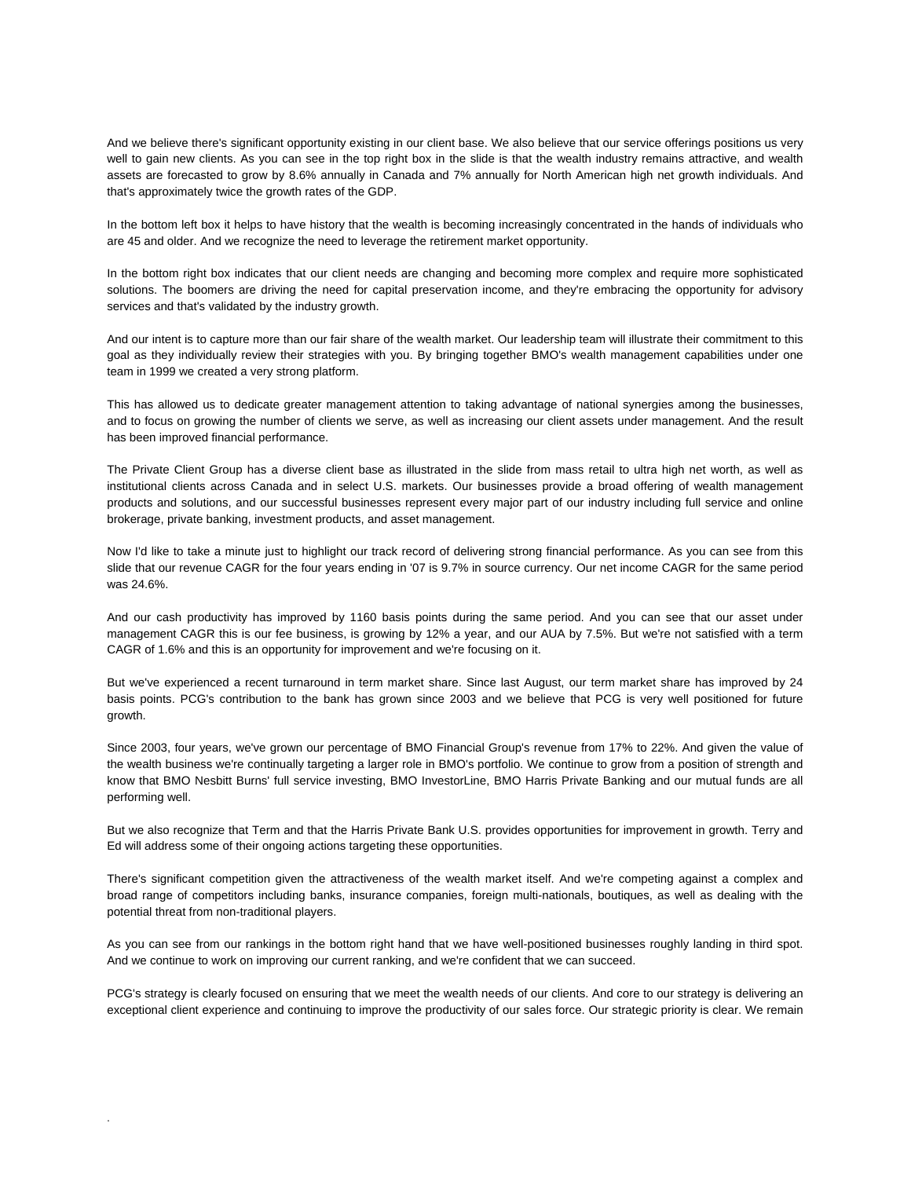And we believe there's significant opportunity existing in our client base. We also believe that our service offerings positions us very well to gain new clients. As you can see in the top right box in the slide is that the wealth industry remains attractive, and wealth assets are forecasted to grow by 8.6% annually in Canada and 7% annually for North American high net growth individuals. And that's approximately twice the growth rates of the GDP.

In the bottom left box it helps to have history that the wealth is becoming increasingly concentrated in the hands of individuals who are 45 and older. And we recognize the need to leverage the retirement market opportunity.

In the bottom right box indicates that our client needs are changing and becoming more complex and require more sophisticated solutions. The boomers are driving the need for capital preservation income, and they're embracing the opportunity for advisory services and that's validated by the industry growth.

And our intent is to capture more than our fair share of the wealth market. Our leadership team will illustrate their commitment to this goal as they individually review their strategies with you. By bringing together BMO's wealth management capabilities under one team in 1999 we created a very strong platform.

This has allowed us to dedicate greater management attention to taking advantage of national synergies among the businesses, and to focus on growing the number of clients we serve, as well as increasing our client assets under management. And the result has been improved financial performance.

The Private Client Group has a diverse client base as illustrated in the slide from mass retail to ultra high net worth, as well as institutional clients across Canada and in select U.S. markets. Our businesses provide a broad offering of wealth management products and solutions, and our successful businesses represent every major part of our industry including full service and online brokerage, private banking, investment products, and asset management.

Now I'd like to take a minute just to highlight our track record of delivering strong financial performance. As you can see from this slide that our revenue CAGR for the four years ending in '07 is 9.7% in source currency. Our net income CAGR for the same period was 24.6%.

And our cash productivity has improved by 1160 basis points during the same period. And you can see that our asset under management CAGR this is our fee business, is growing by 12% a year, and our AUA by 7.5%. But we're not satisfied with a term CAGR of 1.6% and this is an opportunity for improvement and we're focusing on it.

But we've experienced a recent turnaround in term market share. Since last August, our term market share has improved by 24 basis points. PCG's contribution to the bank has grown since 2003 and we believe that PCG is very well positioned for future growth.

Since 2003, four years, we've grown our percentage of BMO Financial Group's revenue from 17% to 22%. And given the value of the wealth business we're continually targeting a larger role in BMO's portfolio. We continue to grow from a position of strength and know that BMO Nesbitt Burns' full service investing, BMO InvestorLine, BMO Harris Private Banking and our mutual funds are all performing well.

But we also recognize that Term and that the Harris Private Bank U.S. provides opportunities for improvement in growth. Terry and Ed will address some of their ongoing actions targeting these opportunities.

There's significant competition given the attractiveness of the wealth market itself. And we're competing against a complex and broad range of competitors including banks, insurance companies, foreign multi-nationals, boutiques, as well as dealing with the potential threat from non-traditional players.

As you can see from our rankings in the bottom right hand that we have well-positioned businesses roughly landing in third spot. And we continue to work on improving our current ranking, and we're confident that we can succeed.

PCG's strategy is clearly focused on ensuring that we meet the wealth needs of our clients. And core to our strategy is delivering an exceptional client experience and continuing to improve the productivity of our sales force. Our strategic priority is clear. We remain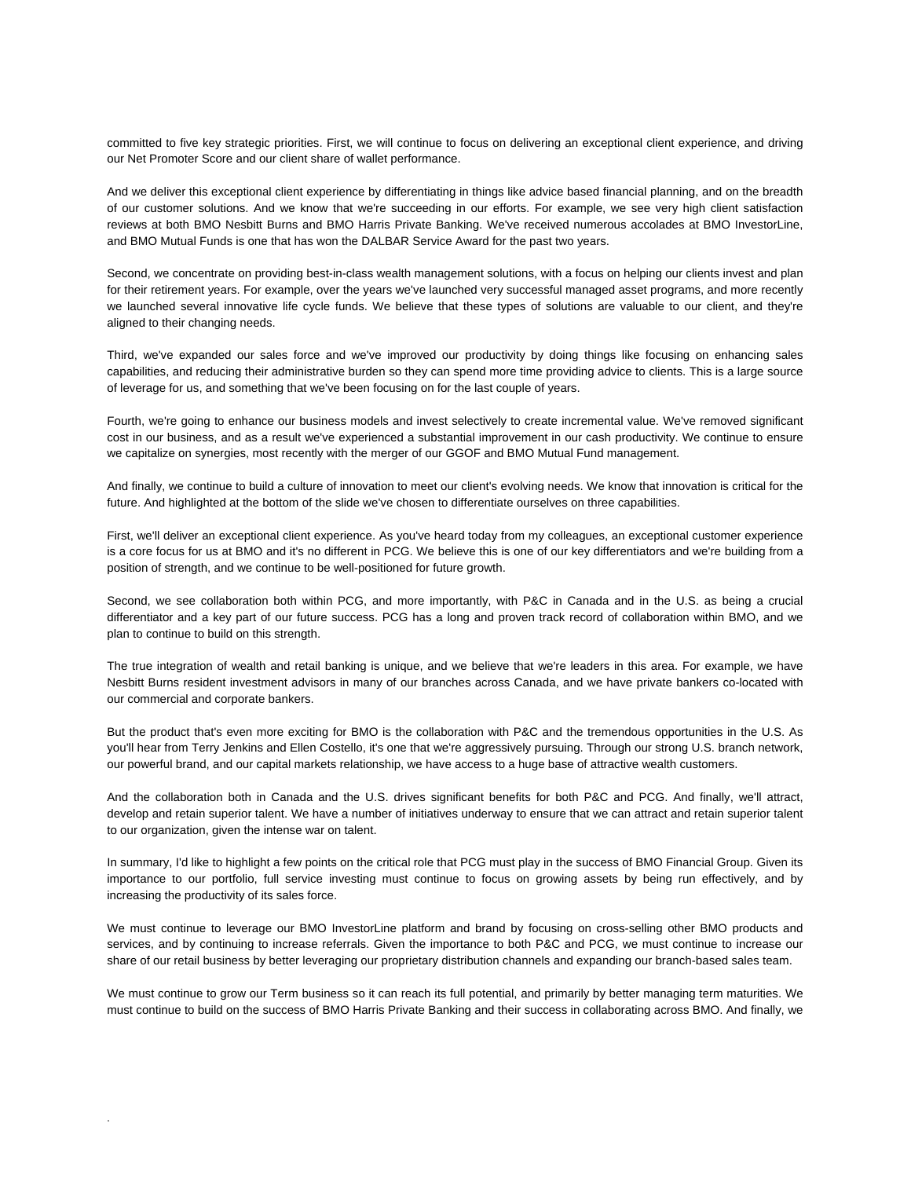committed to five key strategic priorities. First, we will continue to focus on delivering an exceptional client experience, and driving our Net Promoter Score and our client share of wallet performance.

And we deliver this exceptional client experience by differentiating in things like advice based financial planning, and on the breadth of our customer solutions. And we know that we're succeeding in our efforts. For example, we see very high client satisfaction reviews at both BMO Nesbitt Burns and BMO Harris Private Banking. We've received numerous accolades at BMO InvestorLine, and BMO Mutual Funds is one that has won the DALBAR Service Award for the past two years.

Second, we concentrate on providing best-in-class wealth management solutions, with a focus on helping our clients invest and plan for their retirement years. For example, over the years we've launched very successful managed asset programs, and more recently we launched several innovative life cycle funds. We believe that these types of solutions are valuable to our client, and they're aligned to their changing needs.

Third, we've expanded our sales force and we've improved our productivity by doing things like focusing on enhancing sales capabilities, and reducing their administrative burden so they can spend more time providing advice to clients. This is a large source of leverage for us, and something that we've been focusing on for the last couple of years.

Fourth, we're going to enhance our business models and invest selectively to create incremental value. We've removed significant cost in our business, and as a result we've experienced a substantial improvement in our cash productivity. We continue to ensure we capitalize on synergies, most recently with the merger of our GGOF and BMO Mutual Fund management.

And finally, we continue to build a culture of innovation to meet our client's evolving needs. We know that innovation is critical for the future. And highlighted at the bottom of the slide we've chosen to differentiate ourselves on three capabilities.

First, we'll deliver an exceptional client experience. As you've heard today from my colleagues, an exceptional customer experience is a core focus for us at BMO and it's no different in PCG. We believe this is one of our key differentiators and we're building from a position of strength, and we continue to be well-positioned for future growth.

Second, we see collaboration both within PCG, and more importantly, with P&C in Canada and in the U.S. as being a crucial differentiator and a key part of our future success. PCG has a long and proven track record of collaboration within BMO, and we plan to continue to build on this strength.

The true integration of wealth and retail banking is unique, and we believe that we're leaders in this area. For example, we have Nesbitt Burns resident investment advisors in many of our branches across Canada, and we have private bankers co-located with our commercial and corporate bankers.

But the product that's even more exciting for BMO is the collaboration with P&C and the tremendous opportunities in the U.S. As you'll hear from Terry Jenkins and Ellen Costello, it's one that we're aggressively pursuing. Through our strong U.S. branch network, our powerful brand, and our capital markets relationship, we have access to a huge base of attractive wealth customers.

And the collaboration both in Canada and the U.S. drives significant benefits for both P&C and PCG. And finally, we'll attract, develop and retain superior talent. We have a number of initiatives underway to ensure that we can attract and retain superior talent to our organization, given the intense war on talent.

In summary, I'd like to highlight a few points on the critical role that PCG must play in the success of BMO Financial Group. Given its importance to our portfolio, full service investing must continue to focus on growing assets by being run effectively, and by increasing the productivity of its sales force.

We must continue to leverage our BMO InvestorLine platform and brand by focusing on cross-selling other BMO products and services, and by continuing to increase referrals. Given the importance to both P&C and PCG, we must continue to increase our share of our retail business by better leveraging our proprietary distribution channels and expanding our branch-based sales team.

We must continue to grow our Term business so it can reach its full potential, and primarily by better managing term maturities. We must continue to build on the success of BMO Harris Private Banking and their success in collaborating across BMO. And finally, we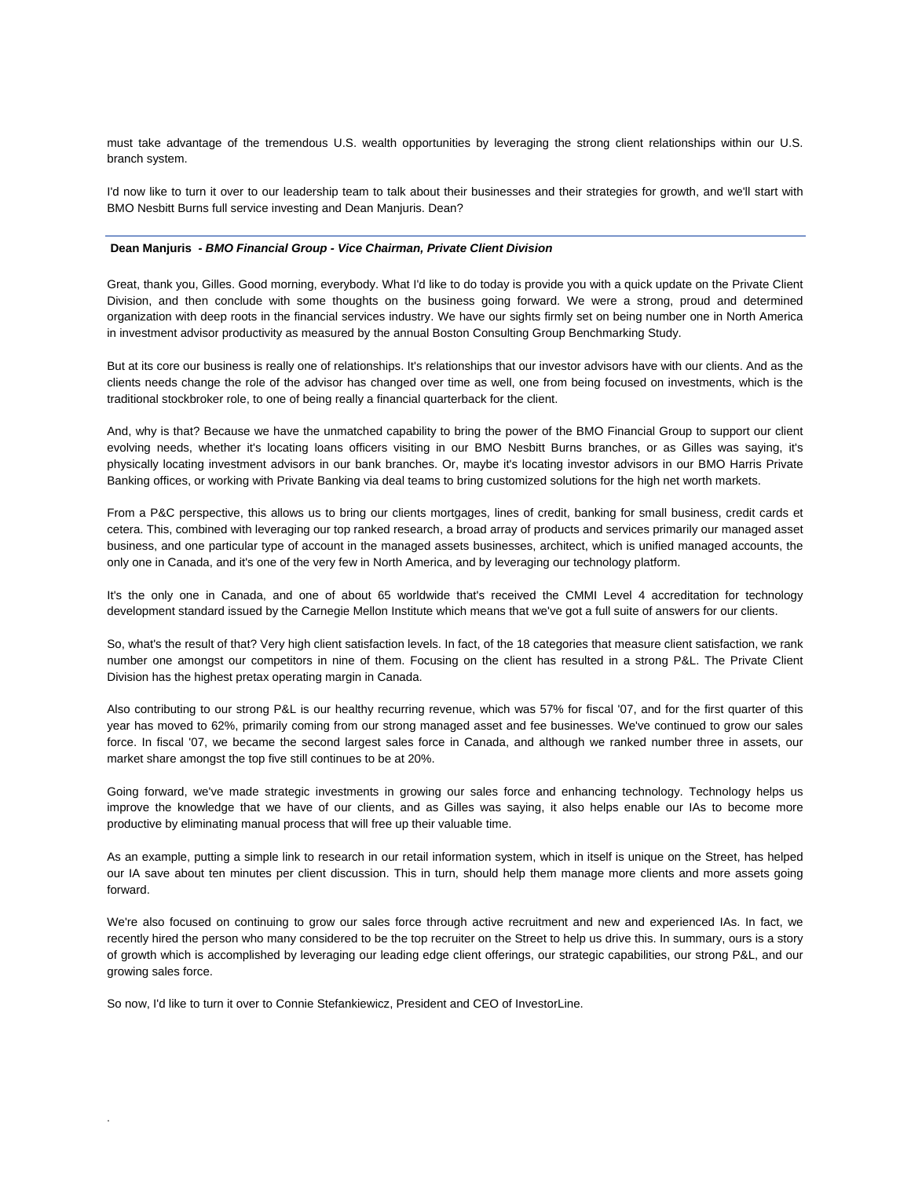must take advantage of the tremendous U.S. wealth opportunities by leveraging the strong client relationships within our U.S. branch system.

I'd now like to turn it over to our leadership team to talk about their businesses and their strategies for growth, and we'll start with BMO Nesbitt Burns full service investing and Dean Manjuris. Dean?

#### **Dean Manjuris** *- BMO Financial Group - Vice Chairman, Private Client Division*

Great, thank you, Gilles. Good morning, everybody. What I'd like to do today is provide you with a quick update on the Private Client Division, and then conclude with some thoughts on the business going forward. We were a strong, proud and determined organization with deep roots in the financial services industry. We have our sights firmly set on being number one in North America in investment advisor productivity as measured by the annual Boston Consulting Group Benchmarking Study.

But at its core our business is really one of relationships. It's relationships that our investor advisors have with our clients. And as the clients needs change the role of the advisor has changed over time as well, one from being focused on investments, which is the traditional stockbroker role, to one of being really a financial quarterback for the client.

And, why is that? Because we have the unmatched capability to bring the power of the BMO Financial Group to support our client evolving needs, whether it's locating loans officers visiting in our BMO Nesbitt Burns branches, or as Gilles was saying, it's physically locating investment advisors in our bank branches. Or, maybe it's locating investor advisors in our BMO Harris Private Banking offices, or working with Private Banking via deal teams to bring customized solutions for the high net worth markets.

From a P&C perspective, this allows us to bring our clients mortgages, lines of credit, banking for small business, credit cards et cetera. This, combined with leveraging our top ranked research, a broad array of products and services primarily our managed asset business, and one particular type of account in the managed assets businesses, architect, which is unified managed accounts, the only one in Canada, and it's one of the very few in North America, and by leveraging our technology platform.

It's the only one in Canada, and one of about 65 worldwide that's received the CMMI Level 4 accreditation for technology development standard issued by the Carnegie Mellon Institute which means that we've got a full suite of answers for our clients.

So, what's the result of that? Very high client satisfaction levels. In fact, of the 18 categories that measure client satisfaction, we rank number one amongst our competitors in nine of them. Focusing on the client has resulted in a strong P&L. The Private Client Division has the highest pretax operating margin in Canada.

Also contributing to our strong P&L is our healthy recurring revenue, which was 57% for fiscal '07, and for the first quarter of this year has moved to 62%, primarily coming from our strong managed asset and fee businesses. We've continued to grow our sales force. In fiscal '07, we became the second largest sales force in Canada, and although we ranked number three in assets, our market share amongst the top five still continues to be at 20%.

Going forward, we've made strategic investments in growing our sales force and enhancing technology. Technology helps us improve the knowledge that we have of our clients, and as Gilles was saying, it also helps enable our IAs to become more productive by eliminating manual process that will free up their valuable time.

As an example, putting a simple link to research in our retail information system, which in itself is unique on the Street, has helped our IA save about ten minutes per client discussion. This in turn, should help them manage more clients and more assets going forward.

We're also focused on continuing to grow our sales force through active recruitment and new and experienced IAs. In fact, we recently hired the person who many considered to be the top recruiter on the Street to help us drive this. In summary, ours is a story of growth which is accomplished by leveraging our leading edge client offerings, our strategic capabilities, our strong P&L, and our growing sales force.

So now, I'd like to turn it over to Connie Stefankiewicz, President and CEO of InvestorLine.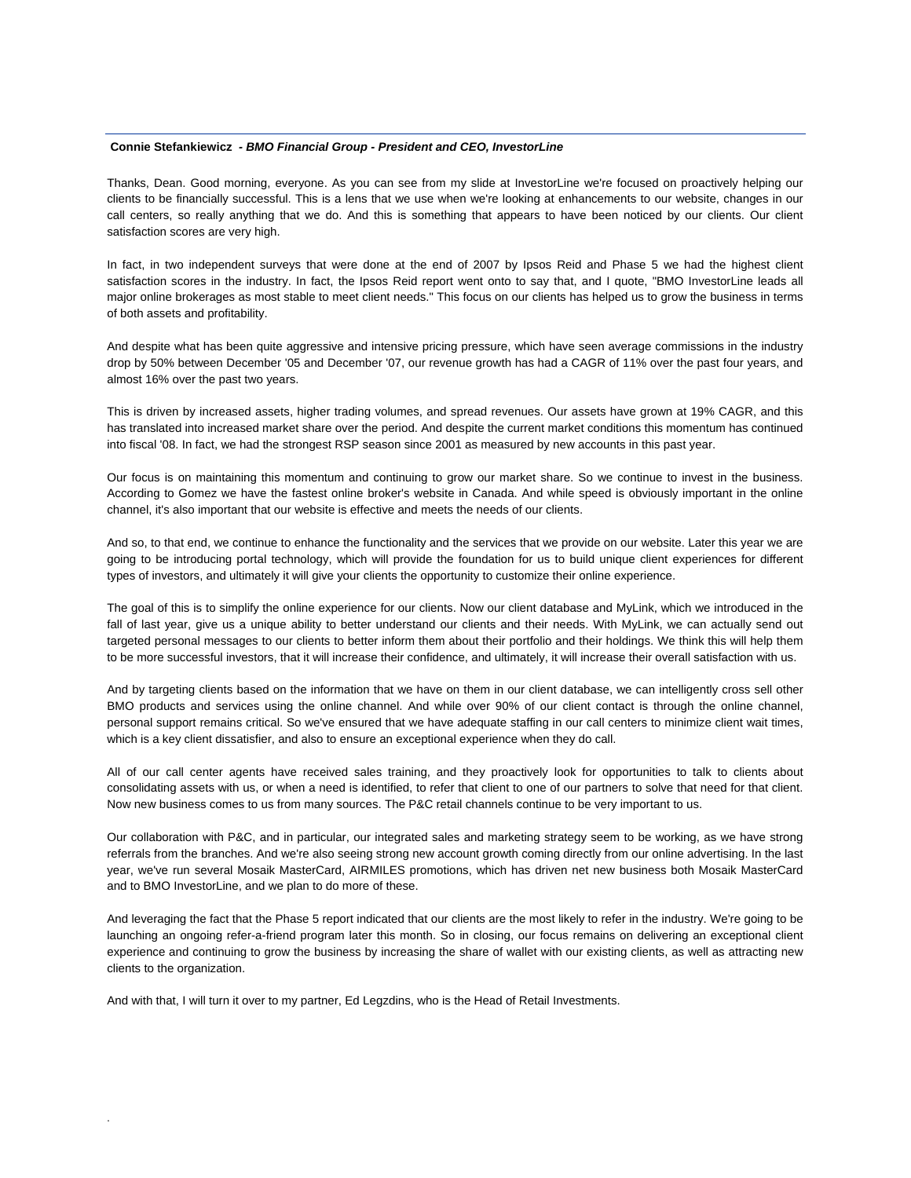## **Connie Stefankiewicz** *- BMO Financial Group - President and CEO, InvestorLine*

Thanks, Dean. Good morning, everyone. As you can see from my slide at InvestorLine we're focused on proactively helping our clients to be financially successful. This is a lens that we use when we're looking at enhancements to our website, changes in our call centers, so really anything that we do. And this is something that appears to have been noticed by our clients. Our client satisfaction scores are very high.

In fact, in two independent surveys that were done at the end of 2007 by Ipsos Reid and Phase 5 we had the highest client satisfaction scores in the industry. In fact, the Ipsos Reid report went onto to say that, and I quote, "BMO InvestorLine leads all major online brokerages as most stable to meet client needs." This focus on our clients has helped us to grow the business in terms of both assets and profitability.

And despite what has been quite aggressive and intensive pricing pressure, which have seen average commissions in the industry drop by 50% between December '05 and December '07, our revenue growth has had a CAGR of 11% over the past four years, and almost 16% over the past two years.

This is driven by increased assets, higher trading volumes, and spread revenues. Our assets have grown at 19% CAGR, and this has translated into increased market share over the period. And despite the current market conditions this momentum has continued into fiscal '08. In fact, we had the strongest RSP season since 2001 as measured by new accounts in this past year.

Our focus is on maintaining this momentum and continuing to grow our market share. So we continue to invest in the business. According to Gomez we have the fastest online broker's website in Canada. And while speed is obviously important in the online channel, it's also important that our website is effective and meets the needs of our clients.

And so, to that end, we continue to enhance the functionality and the services that we provide on our website. Later this year we are going to be introducing portal technology, which will provide the foundation for us to build unique client experiences for different types of investors, and ultimately it will give your clients the opportunity to customize their online experience.

The goal of this is to simplify the online experience for our clients. Now our client database and MyLink, which we introduced in the fall of last year, give us a unique ability to better understand our clients and their needs. With MyLink, we can actually send out targeted personal messages to our clients to better inform them about their portfolio and their holdings. We think this will help them to be more successful investors, that it will increase their confidence, and ultimately, it will increase their overall satisfaction with us.

And by targeting clients based on the information that we have on them in our client database, we can intelligently cross sell other BMO products and services using the online channel. And while over 90% of our client contact is through the online channel, personal support remains critical. So we've ensured that we have adequate staffing in our call centers to minimize client wait times, which is a key client dissatisfier, and also to ensure an exceptional experience when they do call.

All of our call center agents have received sales training, and they proactively look for opportunities to talk to clients about consolidating assets with us, or when a need is identified, to refer that client to one of our partners to solve that need for that client. Now new business comes to us from many sources. The P&C retail channels continue to be very important to us.

Our collaboration with P&C, and in particular, our integrated sales and marketing strategy seem to be working, as we have strong referrals from the branches. And we're also seeing strong new account growth coming directly from our online advertising. In the last year, we've run several Mosaik MasterCard, AIRMILES promotions, which has driven net new business both Mosaik MasterCard and to BMO InvestorLine, and we plan to do more of these.

And leveraging the fact that the Phase 5 report indicated that our clients are the most likely to refer in the industry. We're going to be launching an ongoing refer-a-friend program later this month. So in closing, our focus remains on delivering an exceptional client experience and continuing to grow the business by increasing the share of wallet with our existing clients, as well as attracting new clients to the organization.

And with that, I will turn it over to my partner, Ed Legzdins, who is the Head of Retail Investments.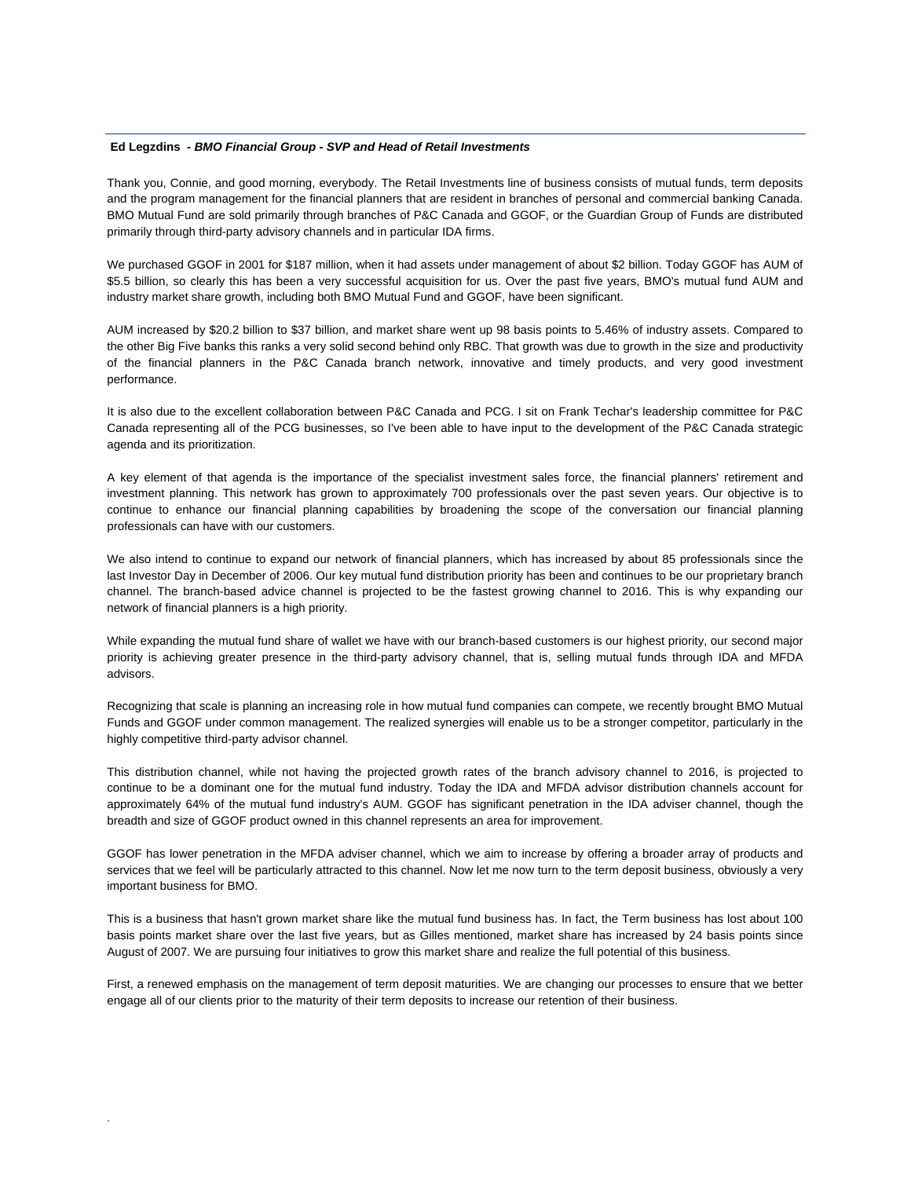## **Ed Legzdins** *- BMO Financial Group - SVP and Head of Retail Investments*

Thank you, Connie, and good morning, everybody. The Retail Investments line of business consists of mutual funds, term deposits and the program management for the financial planners that are resident in branches of personal and commercial banking Canada. BMO Mutual Fund are sold primarily through branches of P&C Canada and GGOF, or the Guardian Group of Funds are distributed primarily through third-party advisory channels and in particular IDA firms.

We purchased GGOF in 2001 for \$187 million, when it had assets under management of about \$2 billion. Today GGOF has AUM of \$5.5 billion, so clearly this has been a very successful acquisition for us. Over the past five years, BMO's mutual fund AUM and industry market share growth, including both BMO Mutual Fund and GGOF, have been significant.

AUM increased by \$20.2 billion to \$37 billion, and market share went up 98 basis points to 5.46% of industry assets. Compared to the other Big Five banks this ranks a very solid second behind only RBC. That growth was due to growth in the size and productivity of the financial planners in the P&C Canada branch network, innovative and timely products, and very good investment performance.

It is also due to the excellent collaboration between P&C Canada and PCG. I sit on Frank Techar's leadership committee for P&C Canada representing all of the PCG businesses, so I've been able to have input to the development of the P&C Canada strategic agenda and its prioritization.

A key element of that agenda is the importance of the specialist investment sales force, the financial planners' retirement and investment planning. This network has grown to approximately 700 professionals over the past seven years. Our objective is to continue to enhance our financial planning capabilities by broadening the scope of the conversation our financial planning professionals can have with our customers.

We also intend to continue to expand our network of financial planners, which has increased by about 85 professionals since the last Investor Day in December of 2006. Our key mutual fund distribution priority has been and continues to be our proprietary branch channel. The branch-based advice channel is projected to be the fastest growing channel to 2016. This is why expanding our network of financial planners is a high priority.

While expanding the mutual fund share of wallet we have with our branch-based customers is our highest priority, our second major priority is achieving greater presence in the third-party advisory channel, that is, selling mutual funds through IDA and MFDA advisors.

Recognizing that scale is planning an increasing role in how mutual fund companies can compete, we recently brought BMO Mutual Funds and GGOF under common management. The realized synergies will enable us to be a stronger competitor, particularly in the highly competitive third-party advisor channel.

This distribution channel, while not having the projected growth rates of the branch advisory channel to 2016, is projected to continue to be a dominant one for the mutual fund industry. Today the IDA and MFDA advisor distribution channels account for approximately 64% of the mutual fund industry's AUM. GGOF has significant penetration in the IDA adviser channel, though the breadth and size of GGOF product owned in this channel represents an area for improvement.

GGOF has lower penetration in the MFDA adviser channel, which we aim to increase by offering a broader array of products and services that we feel will be particularly attracted to this channel. Now let me now turn to the term deposit business, obviously a very important business for BMO.

This is a business that hasn't grown market share like the mutual fund business has. In fact, the Term business has lost about 100 basis points market share over the last five years, but as Gilles mentioned, market share has increased by 24 basis points since August of 2007. We are pursuing four initiatives to grow this market share and realize the full potential of this business.

First, a renewed emphasis on the management of term deposit maturities. We are changing our processes to ensure that we better engage all of our clients prior to the maturity of their term deposits to increase our retention of their business.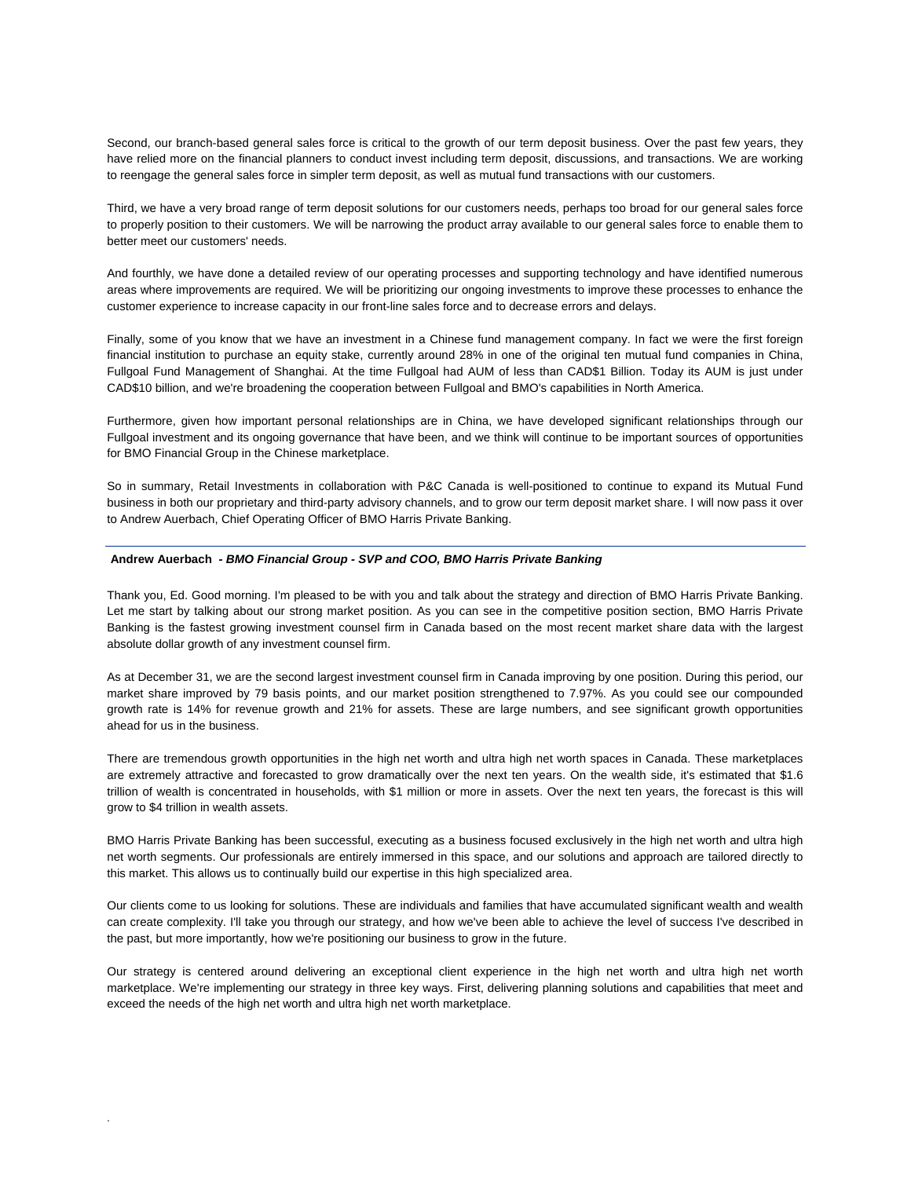Second, our branch-based general sales force is critical to the growth of our term deposit business. Over the past few years, they have relied more on the financial planners to conduct invest including term deposit, discussions, and transactions. We are working to reengage the general sales force in simpler term deposit, as well as mutual fund transactions with our customers.

Third, we have a very broad range of term deposit solutions for our customers needs, perhaps too broad for our general sales force to properly position to their customers. We will be narrowing the product array available to our general sales force to enable them to better meet our customers' needs.

And fourthly, we have done a detailed review of our operating processes and supporting technology and have identified numerous areas where improvements are required. We will be prioritizing our ongoing investments to improve these processes to enhance the customer experience to increase capacity in our front-line sales force and to decrease errors and delays.

Finally, some of you know that we have an investment in a Chinese fund management company. In fact we were the first foreign financial institution to purchase an equity stake, currently around 28% in one of the original ten mutual fund companies in China, Fullgoal Fund Management of Shanghai. At the time Fullgoal had AUM of less than CAD\$1 Billion. Today its AUM is just under CAD\$10 billion, and we're broadening the cooperation between Fullgoal and BMO's capabilities in North America.

Furthermore, given how important personal relationships are in China, we have developed significant relationships through our Fullgoal investment and its ongoing governance that have been, and we think will continue to be important sources of opportunities for BMO Financial Group in the Chinese marketplace.

So in summary, Retail Investments in collaboration with P&C Canada is well-positioned to continue to expand its Mutual Fund business in both our proprietary and third-party advisory channels, and to grow our term deposit market share. I will now pass it over to Andrew Auerbach, Chief Operating Officer of BMO Harris Private Banking.

#### **Andrew Auerbach** *- BMO Financial Group - SVP and COO, BMO Harris Private Banking*

.

Thank you, Ed. Good morning. I'm pleased to be with you and talk about the strategy and direction of BMO Harris Private Banking. Let me start by talking about our strong market position. As you can see in the competitive position section, BMO Harris Private Banking is the fastest growing investment counsel firm in Canada based on the most recent market share data with the largest absolute dollar growth of any investment counsel firm.

As at December 31, we are the second largest investment counsel firm in Canada improving by one position. During this period, our market share improved by 79 basis points, and our market position strengthened to 7.97%. As you could see our compounded growth rate is 14% for revenue growth and 21% for assets. These are large numbers, and see significant growth opportunities ahead for us in the business.

There are tremendous growth opportunities in the high net worth and ultra high net worth spaces in Canada. These marketplaces are extremely attractive and forecasted to grow dramatically over the next ten years. On the wealth side, it's estimated that \$1.6 trillion of wealth is concentrated in households, with \$1 million or more in assets. Over the next ten years, the forecast is this will grow to \$4 trillion in wealth assets.

BMO Harris Private Banking has been successful, executing as a business focused exclusively in the high net worth and ultra high net worth segments. Our professionals are entirely immersed in this space, and our solutions and approach are tailored directly to this market. This allows us to continually build our expertise in this high specialized area.

Our clients come to us looking for solutions. These are individuals and families that have accumulated significant wealth and wealth can create complexity. I'll take you through our strategy, and how we've been able to achieve the level of success I've described in the past, but more importantly, how we're positioning our business to grow in the future.

Our strategy is centered around delivering an exceptional client experience in the high net worth and ultra high net worth marketplace. We're implementing our strategy in three key ways. First, delivering planning solutions and capabilities that meet and exceed the needs of the high net worth and ultra high net worth marketplace.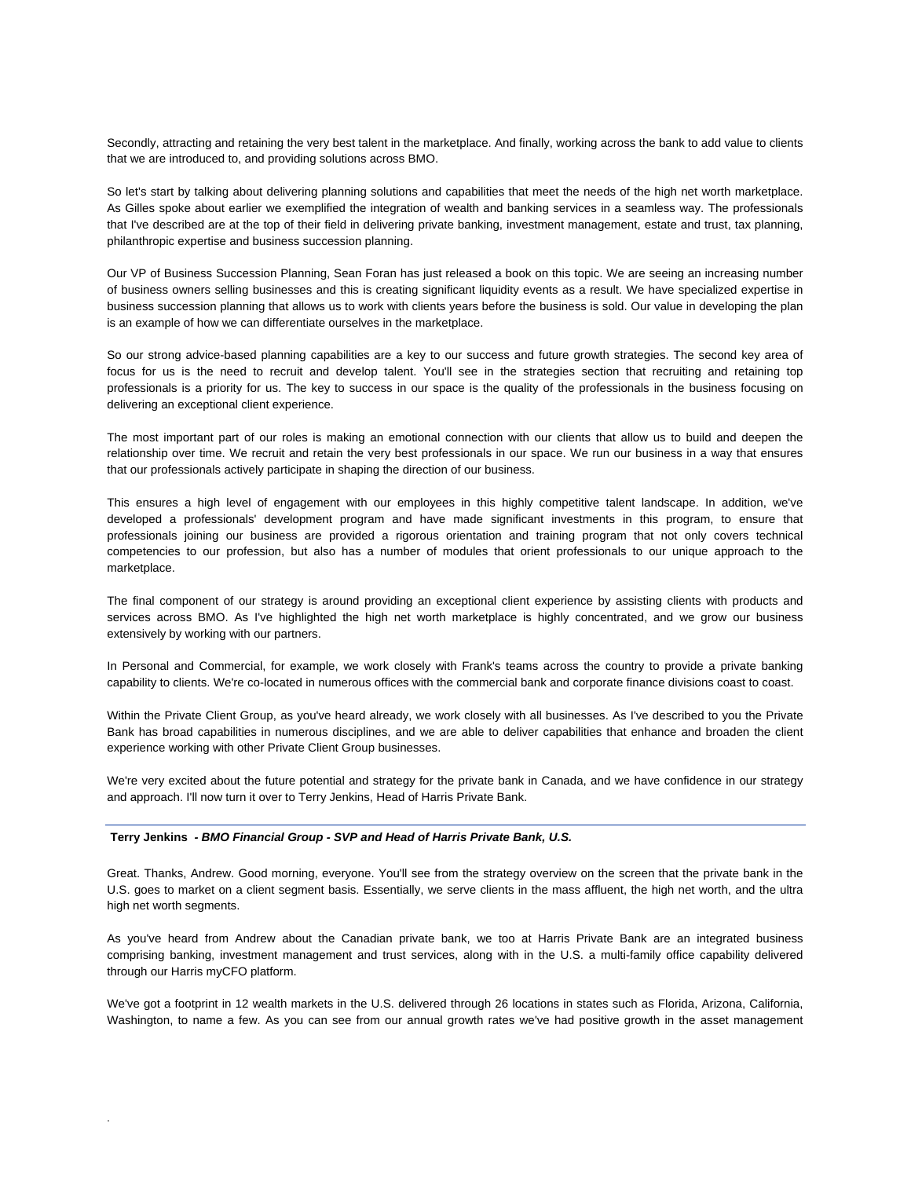Secondly, attracting and retaining the very best talent in the marketplace. And finally, working across the bank to add value to clients that we are introduced to, and providing solutions across BMO.

So let's start by talking about delivering planning solutions and capabilities that meet the needs of the high net worth marketplace. As Gilles spoke about earlier we exemplified the integration of wealth and banking services in a seamless way. The professionals that I've described are at the top of their field in delivering private banking, investment management, estate and trust, tax planning, philanthropic expertise and business succession planning.

Our VP of Business Succession Planning, Sean Foran has just released a book on this topic. We are seeing an increasing number of business owners selling businesses and this is creating significant liquidity events as a result. We have specialized expertise in business succession planning that allows us to work with clients years before the business is sold. Our value in developing the plan is an example of how we can differentiate ourselves in the marketplace.

So our strong advice-based planning capabilities are a key to our success and future growth strategies. The second key area of focus for us is the need to recruit and develop talent. You'll see in the strategies section that recruiting and retaining top professionals is a priority for us. The key to success in our space is the quality of the professionals in the business focusing on delivering an exceptional client experience.

The most important part of our roles is making an emotional connection with our clients that allow us to build and deepen the relationship over time. We recruit and retain the very best professionals in our space. We run our business in a way that ensures that our professionals actively participate in shaping the direction of our business.

This ensures a high level of engagement with our employees in this highly competitive talent landscape. In addition, we've developed a professionals' development program and have made significant investments in this program, to ensure that professionals joining our business are provided a rigorous orientation and training program that not only covers technical competencies to our profession, but also has a number of modules that orient professionals to our unique approach to the marketplace.

The final component of our strategy is around providing an exceptional client experience by assisting clients with products and services across BMO. As I've highlighted the high net worth marketplace is highly concentrated, and we grow our business extensively by working with our partners.

In Personal and Commercial, for example, we work closely with Frank's teams across the country to provide a private banking capability to clients. We're co-located in numerous offices with the commercial bank and corporate finance divisions coast to coast.

Within the Private Client Group, as you've heard already, we work closely with all businesses. As I've described to you the Private Bank has broad capabilities in numerous disciplines, and we are able to deliver capabilities that enhance and broaden the client experience working with other Private Client Group businesses.

We're very excited about the future potential and strategy for the private bank in Canada, and we have confidence in our strategy and approach. I'll now turn it over to Terry Jenkins, Head of Harris Private Bank.

#### **Terry Jenkins** *- BMO Financial Group - SVP and Head of Harris Private Bank, U.S.*

.

Great. Thanks, Andrew. Good morning, everyone. You'll see from the strategy overview on the screen that the private bank in the U.S. goes to market on a client segment basis. Essentially, we serve clients in the mass affluent, the high net worth, and the ultra high net worth segments.

As you've heard from Andrew about the Canadian private bank, we too at Harris Private Bank are an integrated business comprising banking, investment management and trust services, along with in the U.S. a multi-family office capability delivered through our Harris myCFO platform.

We've got a footprint in 12 wealth markets in the U.S. delivered through 26 locations in states such as Florida, Arizona, California, Washington, to name a few. As you can see from our annual growth rates we've had positive growth in the asset management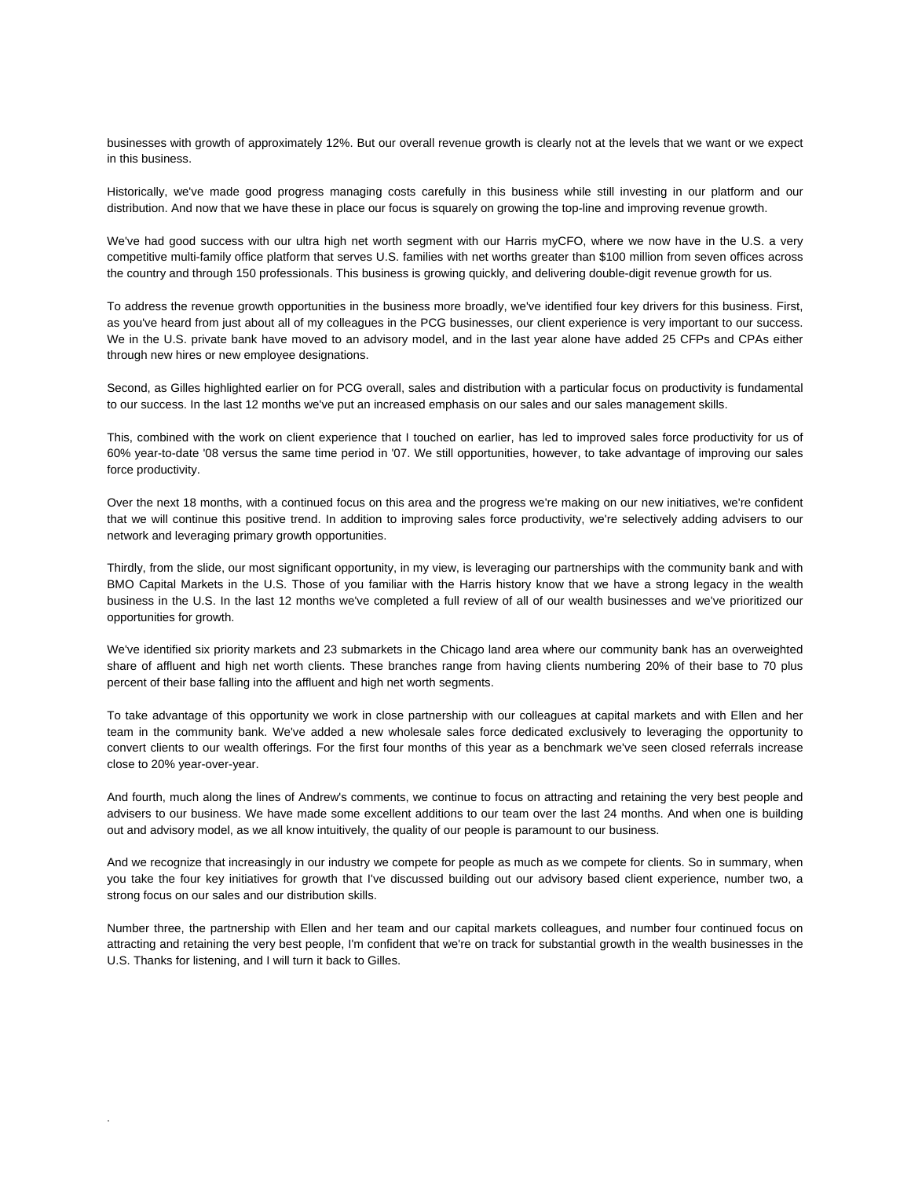businesses with growth of approximately 12%. But our overall revenue growth is clearly not at the levels that we want or we expect in this business.

Historically, we've made good progress managing costs carefully in this business while still investing in our platform and our distribution. And now that we have these in place our focus is squarely on growing the top-line and improving revenue growth.

We've had good success with our ultra high net worth segment with our Harris myCFO, where we now have in the U.S. a very competitive multi-family office platform that serves U.S. families with net worths greater than \$100 million from seven offices across the country and through 150 professionals. This business is growing quickly, and delivering double-digit revenue growth for us.

To address the revenue growth opportunities in the business more broadly, we've identified four key drivers for this business. First, as you've heard from just about all of my colleagues in the PCG businesses, our client experience is very important to our success. We in the U.S. private bank have moved to an advisory model, and in the last year alone have added 25 CFPs and CPAs either through new hires or new employee designations.

Second, as Gilles highlighted earlier on for PCG overall, sales and distribution with a particular focus on productivity is fundamental to our success. In the last 12 months we've put an increased emphasis on our sales and our sales management skills.

This, combined with the work on client experience that I touched on earlier, has led to improved sales force productivity for us of 60% year-to-date '08 versus the same time period in '07. We still opportunities, however, to take advantage of improving our sales force productivity.

Over the next 18 months, with a continued focus on this area and the progress we're making on our new initiatives, we're confident that we will continue this positive trend. In addition to improving sales force productivity, we're selectively adding advisers to our network and leveraging primary growth opportunities.

Thirdly, from the slide, our most significant opportunity, in my view, is leveraging our partnerships with the community bank and with BMO Capital Markets in the U.S. Those of you familiar with the Harris history know that we have a strong legacy in the wealth business in the U.S. In the last 12 months we've completed a full review of all of our wealth businesses and we've prioritized our opportunities for growth.

We've identified six priority markets and 23 submarkets in the Chicago land area where our community bank has an overweighted share of affluent and high net worth clients. These branches range from having clients numbering 20% of their base to 70 plus percent of their base falling into the affluent and high net worth segments.

To take advantage of this opportunity we work in close partnership with our colleagues at capital markets and with Ellen and her team in the community bank. We've added a new wholesale sales force dedicated exclusively to leveraging the opportunity to convert clients to our wealth offerings. For the first four months of this year as a benchmark we've seen closed referrals increase close to 20% year-over-year.

And fourth, much along the lines of Andrew's comments, we continue to focus on attracting and retaining the very best people and advisers to our business. We have made some excellent additions to our team over the last 24 months. And when one is building out and advisory model, as we all know intuitively, the quality of our people is paramount to our business.

And we recognize that increasingly in our industry we compete for people as much as we compete for clients. So in summary, when you take the four key initiatives for growth that I've discussed building out our advisory based client experience, number two, a strong focus on our sales and our distribution skills.

Number three, the partnership with Ellen and her team and our capital markets colleagues, and number four continued focus on attracting and retaining the very best people, I'm confident that we're on track for substantial growth in the wealth businesses in the U.S. Thanks for listening, and I will turn it back to Gilles.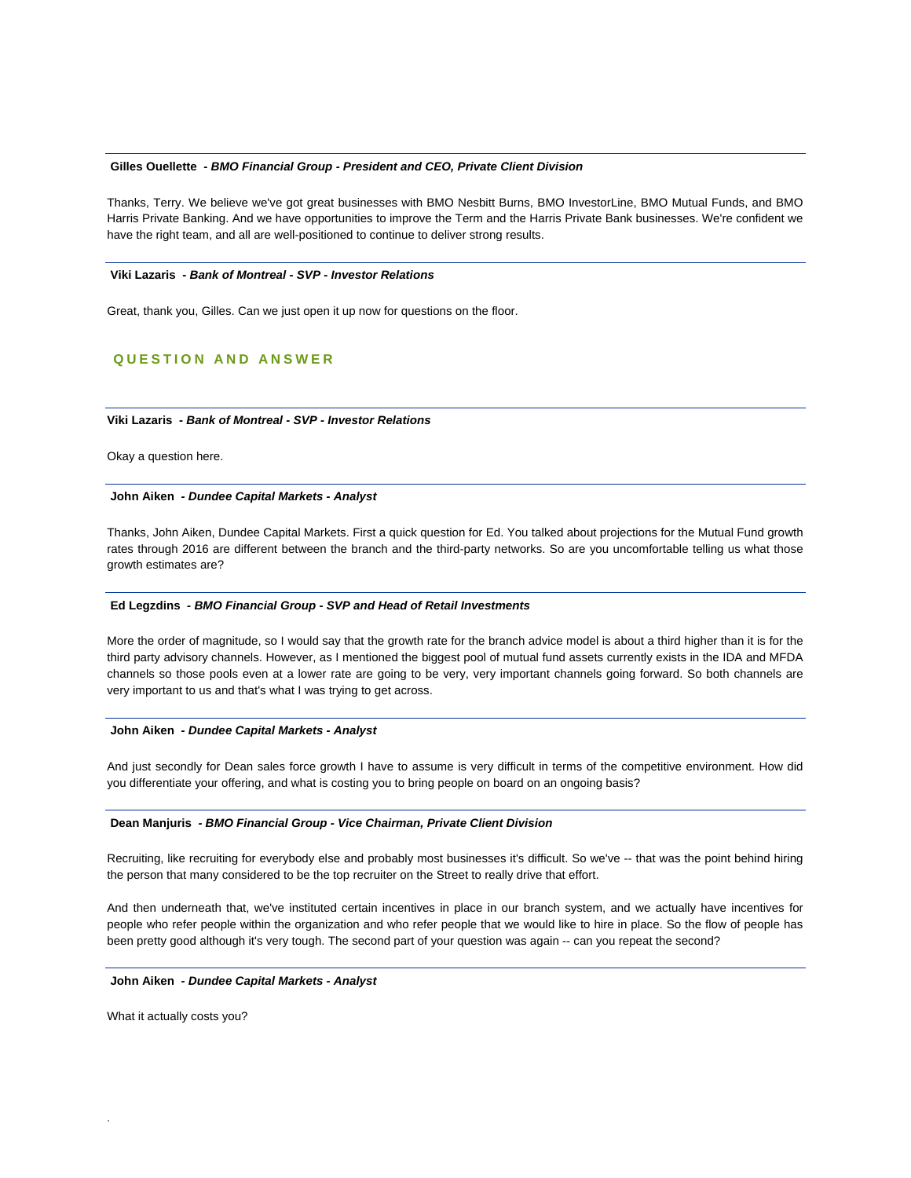#### **Gilles Ouellette** *- BMO Financial Group - President and CEO, Private Client Division*

Thanks, Terry. We believe we've got great businesses with BMO Nesbitt Burns, BMO InvestorLine, BMO Mutual Funds, and BMO Harris Private Banking. And we have opportunities to improve the Term and the Harris Private Bank businesses. We're confident we have the right team, and all are well-positioned to continue to deliver strong results.

#### **Viki Lazaris** *- Bank of Montreal - SVP - Investor Relations*

Great, thank you, Gilles. Can we just open it up now for questions on the floor.

# **QUESTION AND ANSWER**

## **Viki Lazaris** *- Bank of Montreal - SVP - Investor Relations*

Okay a question here.

#### **John Aiken** *- Dundee Capital Markets - Analyst*

Thanks, John Aiken, Dundee Capital Markets. First a quick question for Ed. You talked about projections for the Mutual Fund growth rates through 2016 are different between the branch and the third-party networks. So are you uncomfortable telling us what those growth estimates are?

## **Ed Legzdins** *- BMO Financial Group - SVP and Head of Retail Investments*

More the order of magnitude, so I would say that the growth rate for the branch advice model is about a third higher than it is for the third party advisory channels. However, as I mentioned the biggest pool of mutual fund assets currently exists in the IDA and MFDA channels so those pools even at a lower rate are going to be very, very important channels going forward. So both channels are very important to us and that's what I was trying to get across.

#### **John Aiken** *- Dundee Capital Markets - Analyst*

And just secondly for Dean sales force growth I have to assume is very difficult in terms of the competitive environment. How did you differentiate your offering, and what is costing you to bring people on board on an ongoing basis?

#### **Dean Manjuris** *- BMO Financial Group - Vice Chairman, Private Client Division*

Recruiting, like recruiting for everybody else and probably most businesses it's difficult. So we've -- that was the point behind hiring the person that many considered to be the top recruiter on the Street to really drive that effort.

And then underneath that, we've instituted certain incentives in place in our branch system, and we actually have incentives for people who refer people within the organization and who refer people that we would like to hire in place. So the flow of people has been pretty good although it's very tough. The second part of your question was again -- can you repeat the second?

#### **John Aiken** *- Dundee Capital Markets - Analyst*

What it actually costs you?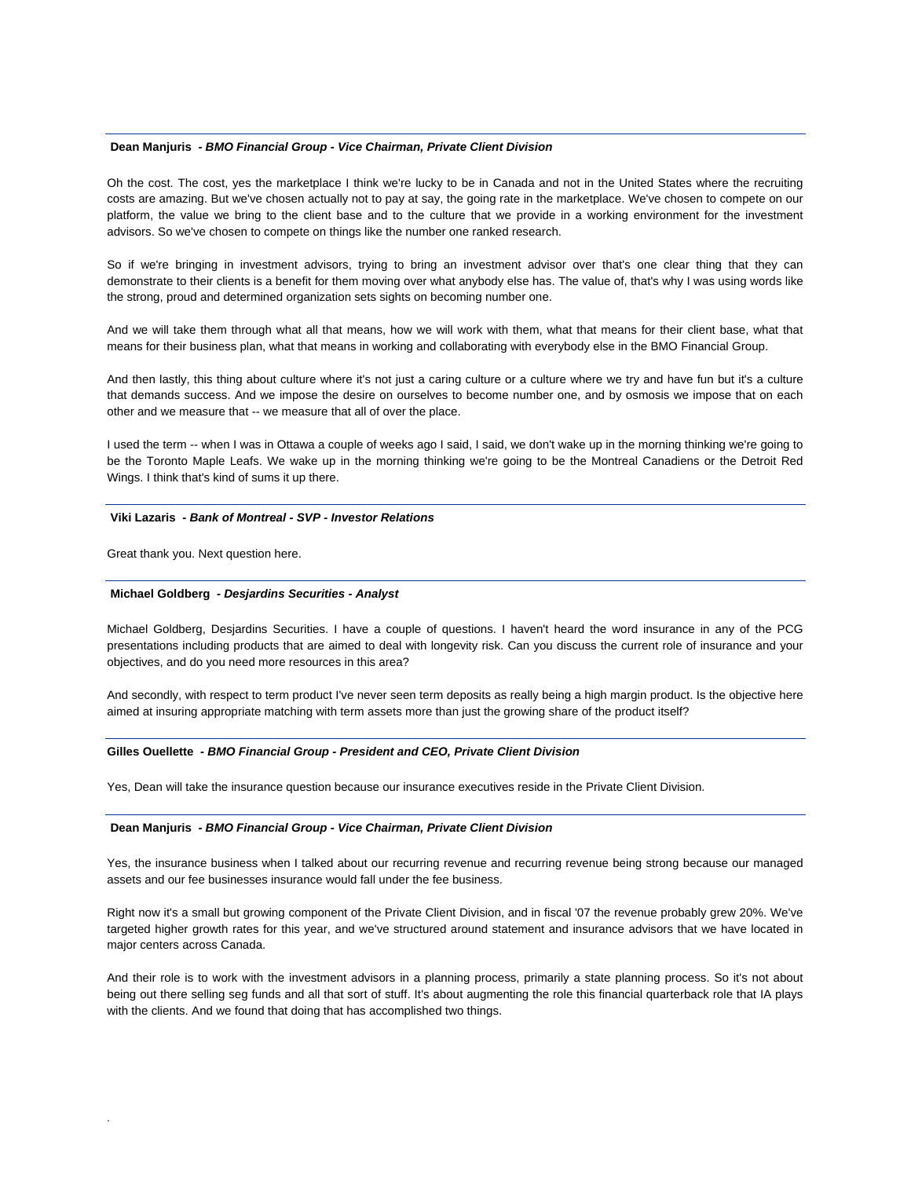## **Dean Manjuris** *- BMO Financial Group - Vice Chairman, Private Client Division*

Oh the cost. The cost, yes the marketplace I think we're lucky to be in Canada and not in the United States where the recruiting costs are amazing. But we've chosen actually not to pay at say, the going rate in the marketplace. We've chosen to compete on our platform, the value we bring to the client base and to the culture that we provide in a working environment for the investment advisors. So we've chosen to compete on things like the number one ranked research.

So if we're bringing in investment advisors, trying to bring an investment advisor over that's one clear thing that they can demonstrate to their clients is a benefit for them moving over what anybody else has. The value of, that's why I was using words like the strong, proud and determined organization sets sights on becoming number one.

And we will take them through what all that means, how we will work with them, what that means for their client base, what that means for their business plan, what that means in working and collaborating with everybody else in the BMO Financial Group.

And then lastly, this thing about culture where it's not just a caring culture or a culture where we try and have fun but it's a culture that demands success. And we impose the desire on ourselves to become number one, and by osmosis we impose that on each other and we measure that -- we measure that all of over the place.

I used the term -- when I was in Ottawa a couple of weeks ago I said, I said, we don't wake up in the morning thinking we're going to be the Toronto Maple Leafs. We wake up in the morning thinking we're going to be the Montreal Canadiens or the Detroit Red Wings. I think that's kind of sums it up there.

#### **Viki Lazaris** *- Bank of Montreal - SVP - Investor Relations*

Great thank you. Next question here.

.

#### **Michael Goldberg** *- Desjardins Securities - Analyst*

Michael Goldberg, Desjardins Securities. I have a couple of questions. I haven't heard the word insurance in any of the PCG presentations including products that are aimed to deal with longevity risk. Can you discuss the current role of insurance and your objectives, and do you need more resources in this area?

And secondly, with respect to term product I've never seen term deposits as really being a high margin product. Is the objective here aimed at insuring appropriate matching with term assets more than just the growing share of the product itself?

## **Gilles Ouellette** *- BMO Financial Group - President and CEO, Private Client Division*

Yes, Dean will take the insurance question because our insurance executives reside in the Private Client Division.

#### **Dean Manjuris** *- BMO Financial Group - Vice Chairman, Private Client Division*

Yes, the insurance business when I talked about our recurring revenue and recurring revenue being strong because our managed assets and our fee businesses insurance would fall under the fee business.

Right now it's a small but growing component of the Private Client Division, and in fiscal '07 the revenue probably grew 20%. We've targeted higher growth rates for this year, and we've structured around statement and insurance advisors that we have located in major centers across Canada.

And their role is to work with the investment advisors in a planning process, primarily a state planning process. So it's not about being out there selling seg funds and all that sort of stuff. It's about augmenting the role this financial quarterback role that IA plays with the clients. And we found that doing that has accomplished two things.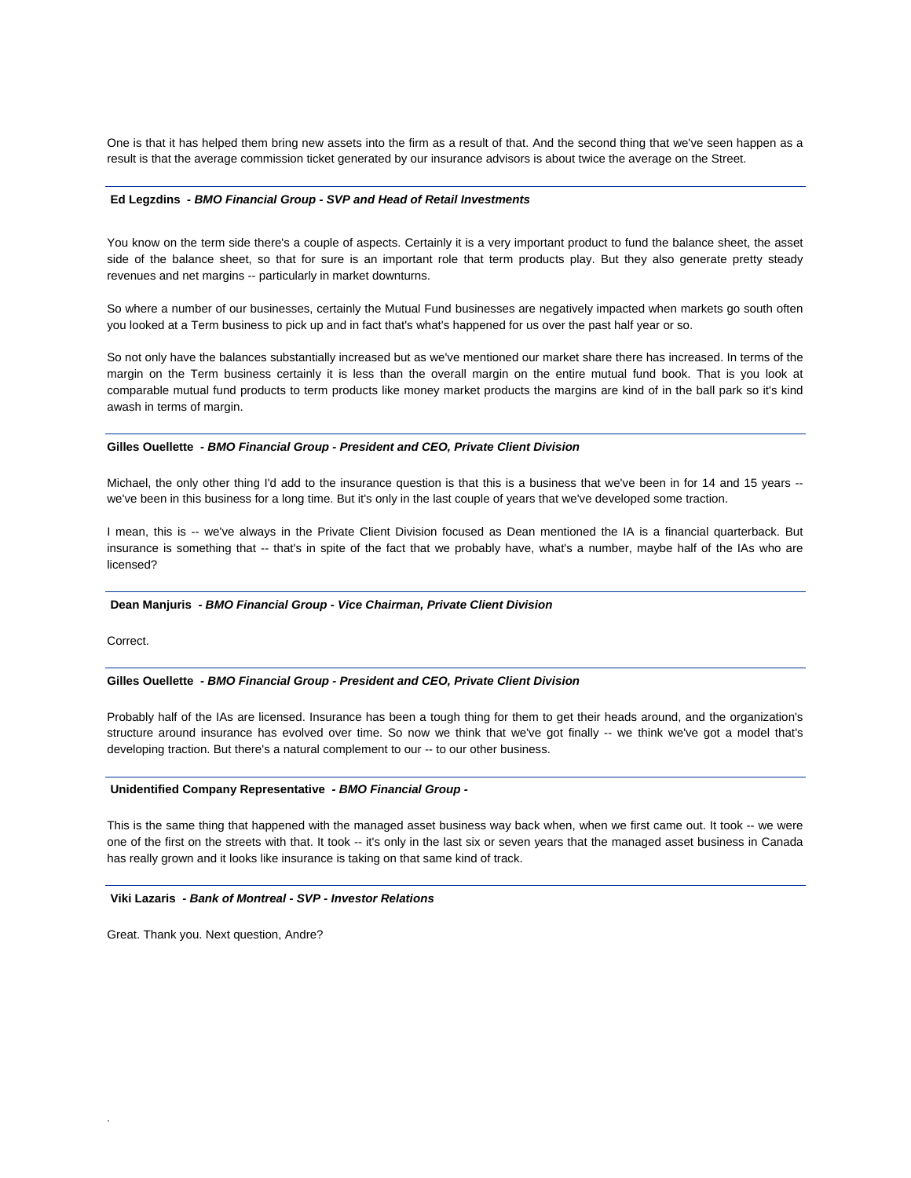One is that it has helped them bring new assets into the firm as a result of that. And the second thing that we've seen happen as a result is that the average commission ticket generated by our insurance advisors is about twice the average on the Street.

#### **Ed Legzdins** *- BMO Financial Group - SVP and Head of Retail Investments*

You know on the term side there's a couple of aspects. Certainly it is a very important product to fund the balance sheet, the asset side of the balance sheet, so that for sure is an important role that term products play. But they also generate pretty steady revenues and net margins -- particularly in market downturns.

So where a number of our businesses, certainly the Mutual Fund businesses are negatively impacted when markets go south often you looked at a Term business to pick up and in fact that's what's happened for us over the past half year or so.

So not only have the balances substantially increased but as we've mentioned our market share there has increased. In terms of the margin on the Term business certainly it is less than the overall margin on the entire mutual fund book. That is you look at comparable mutual fund products to term products like money market products the margins are kind of in the ball park so it's kind awash in terms of margin.

#### **Gilles Ouellette** *- BMO Financial Group - President and CEO, Private Client Division*

Michael, the only other thing I'd add to the insurance question is that this is a business that we've been in for 14 and 15 years - we've been in this business for a long time. But it's only in the last couple of years that we've developed some traction.

I mean, this is -- we've always in the Private Client Division focused as Dean mentioned the IA is a financial quarterback. But insurance is something that -- that's in spite of the fact that we probably have, what's a number, maybe half of the IAs who are licensed?

## **Dean Manjuris** *- BMO Financial Group - Vice Chairman, Private Client Division*

Correct.

.

#### **Gilles Ouellette** *- BMO Financial Group - President and CEO, Private Client Division*

Probably half of the IAs are licensed. Insurance has been a tough thing for them to get their heads around, and the organization's structure around insurance has evolved over time. So now we think that we've got finally -- we think we've got a model that's developing traction. But there's a natural complement to our -- to our other business.

#### **Unidentified Company Representative** *- BMO Financial Group -*

This is the same thing that happened with the managed asset business way back when, when we first came out. It took -- we were one of the first on the streets with that. It took -- it's only in the last six or seven years that the managed asset business in Canada has really grown and it looks like insurance is taking on that same kind of track.

## **Viki Lazaris** *- Bank of Montreal - SVP - Investor Relations*

Great. Thank you. Next question, Andre?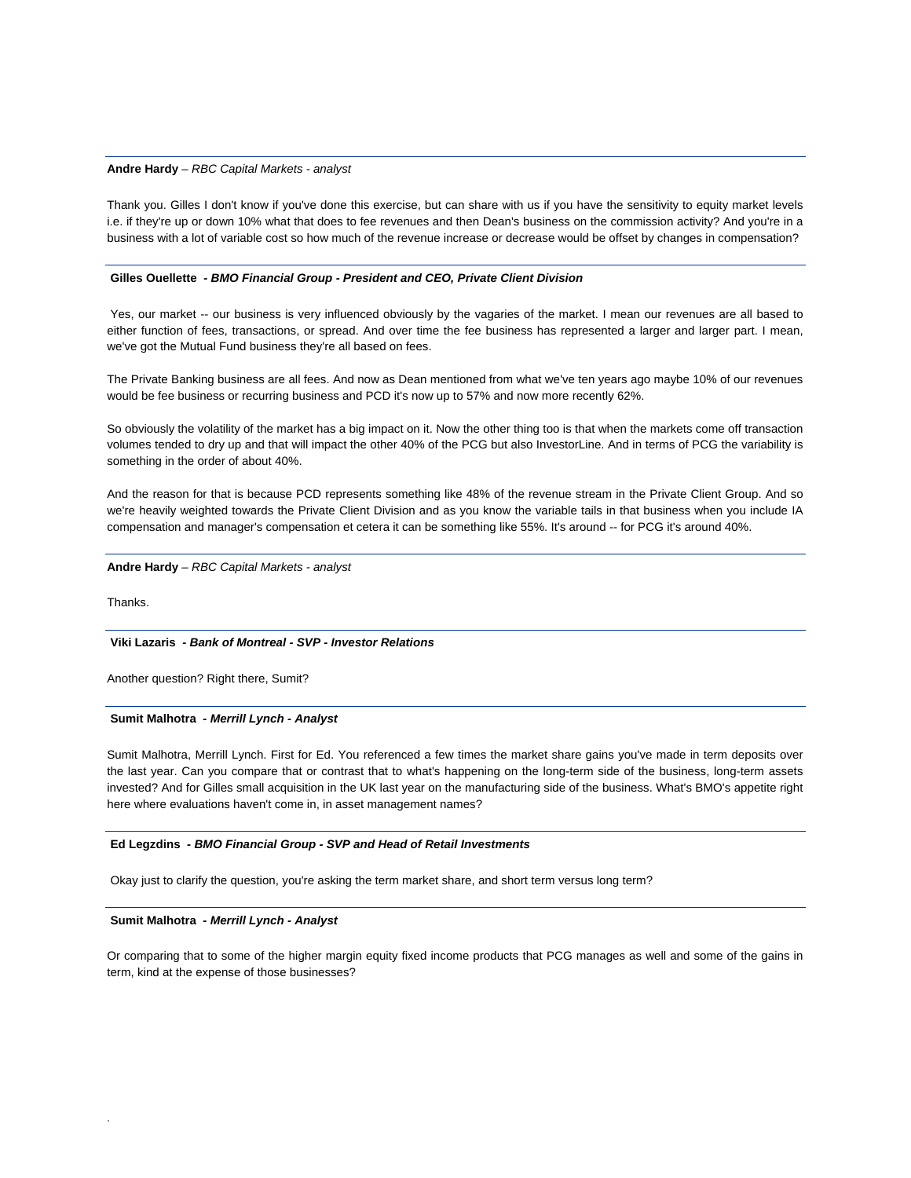## **Andre Hardy** *– RBC Capital Markets - analyst*

Thank you. Gilles I don't know if you've done this exercise, but can share with us if you have the sensitivity to equity market levels i.e. if they're up or down 10% what that does to fee revenues and then Dean's business on the commission activity? And you're in a business with a lot of variable cost so how much of the revenue increase or decrease would be offset by changes in compensation?

#### **Gilles Ouellette** *- BMO Financial Group - President and CEO, Private Client Division*

 Yes, our market -- our business is very influenced obviously by the vagaries of the market. I mean our revenues are all based to either function of fees, transactions, or spread. And over time the fee business has represented a larger and larger part. I mean, we've got the Mutual Fund business they're all based on fees.

The Private Banking business are all fees. And now as Dean mentioned from what we've ten years ago maybe 10% of our revenues would be fee business or recurring business and PCD it's now up to 57% and now more recently 62%.

So obviously the volatility of the market has a big impact on it. Now the other thing too is that when the markets come off transaction volumes tended to dry up and that will impact the other 40% of the PCG but also InvestorLine. And in terms of PCG the variability is something in the order of about 40%.

And the reason for that is because PCD represents something like 48% of the revenue stream in the Private Client Group. And so we're heavily weighted towards the Private Client Division and as you know the variable tails in that business when you include IA compensation and manager's compensation et cetera it can be something like 55%. It's around -- for PCG it's around 40%.

**Andre Hardy** *– RBC Capital Markets - analyst*

Thanks.

.

## **Viki Lazaris** *- Bank of Montreal - SVP - Investor Relations*

Another question? Right there, Sumit?

## **Sumit Malhotra** *- Merrill Lynch - Analyst*

Sumit Malhotra, Merrill Lynch. First for Ed. You referenced a few times the market share gains you've made in term deposits over the last year. Can you compare that or contrast that to what's happening on the long-term side of the business, long-term assets invested? And for Gilles small acquisition in the UK last year on the manufacturing side of the business. What's BMO's appetite right here where evaluations haven't come in, in asset management names?

#### **Ed Legzdins** *- BMO Financial Group - SVP and Head of Retail Investments*

Okay just to clarify the question, you're asking the term market share, and short term versus long term?

# **Sumit Malhotra** *- Merrill Lynch - Analyst*

Or comparing that to some of the higher margin equity fixed income products that PCG manages as well and some of the gains in term, kind at the expense of those businesses?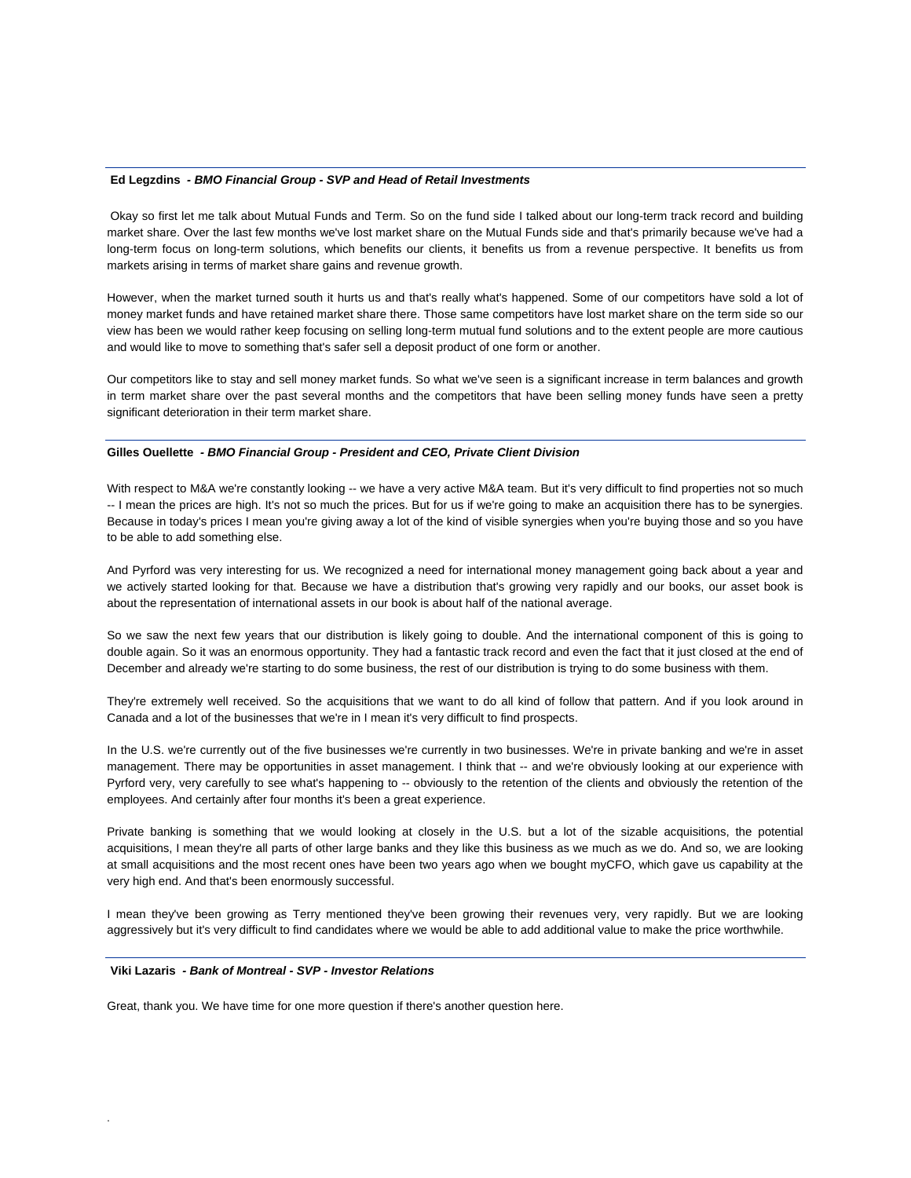#### **Ed Legzdins** *- BMO Financial Group - SVP and Head of Retail Investments*

 Okay so first let me talk about Mutual Funds and Term. So on the fund side I talked about our long-term track record and building market share. Over the last few months we've lost market share on the Mutual Funds side and that's primarily because we've had a long-term focus on long-term solutions, which benefits our clients, it benefits us from a revenue perspective. It benefits us from markets arising in terms of market share gains and revenue growth.

However, when the market turned south it hurts us and that's really what's happened. Some of our competitors have sold a lot of money market funds and have retained market share there. Those same competitors have lost market share on the term side so our view has been we would rather keep focusing on selling long-term mutual fund solutions and to the extent people are more cautious and would like to move to something that's safer sell a deposit product of one form or another.

Our competitors like to stay and sell money market funds. So what we've seen is a significant increase in term balances and growth in term market share over the past several months and the competitors that have been selling money funds have seen a pretty significant deterioration in their term market share.

#### **Gilles Ouellette** *- BMO Financial Group - President and CEO, Private Client Division*

With respect to M&A we're constantly looking -- we have a very active M&A team. But it's very difficult to find properties not so much -- I mean the prices are high. It's not so much the prices. But for us if we're going to make an acquisition there has to be synergies. Because in today's prices I mean you're giving away a lot of the kind of visible synergies when you're buying those and so you have to be able to add something else.

And Pyrford was very interesting for us. We recognized a need for international money management going back about a year and we actively started looking for that. Because we have a distribution that's growing very rapidly and our books, our asset book is about the representation of international assets in our book is about half of the national average.

So we saw the next few years that our distribution is likely going to double. And the international component of this is going to double again. So it was an enormous opportunity. They had a fantastic track record and even the fact that it just closed at the end of December and already we're starting to do some business, the rest of our distribution is trying to do some business with them.

They're extremely well received. So the acquisitions that we want to do all kind of follow that pattern. And if you look around in Canada and a lot of the businesses that we're in I mean it's very difficult to find prospects.

In the U.S. we're currently out of the five businesses we're currently in two businesses. We're in private banking and we're in asset management. There may be opportunities in asset management. I think that -- and we're obviously looking at our experience with Pyrford very, very carefully to see what's happening to -- obviously to the retention of the clients and obviously the retention of the employees. And certainly after four months it's been a great experience.

Private banking is something that we would looking at closely in the U.S. but a lot of the sizable acquisitions, the potential acquisitions, I mean they're all parts of other large banks and they like this business as we much as we do. And so, we are looking at small acquisitions and the most recent ones have been two years ago when we bought myCFO, which gave us capability at the very high end. And that's been enormously successful.

I mean they've been growing as Terry mentioned they've been growing their revenues very, very rapidly. But we are looking aggressively but it's very difficult to find candidates where we would be able to add additional value to make the price worthwhile.

#### **Viki Lazaris** *- Bank of Montreal - SVP - Investor Relations*

.

Great, thank you. We have time for one more question if there's another question here.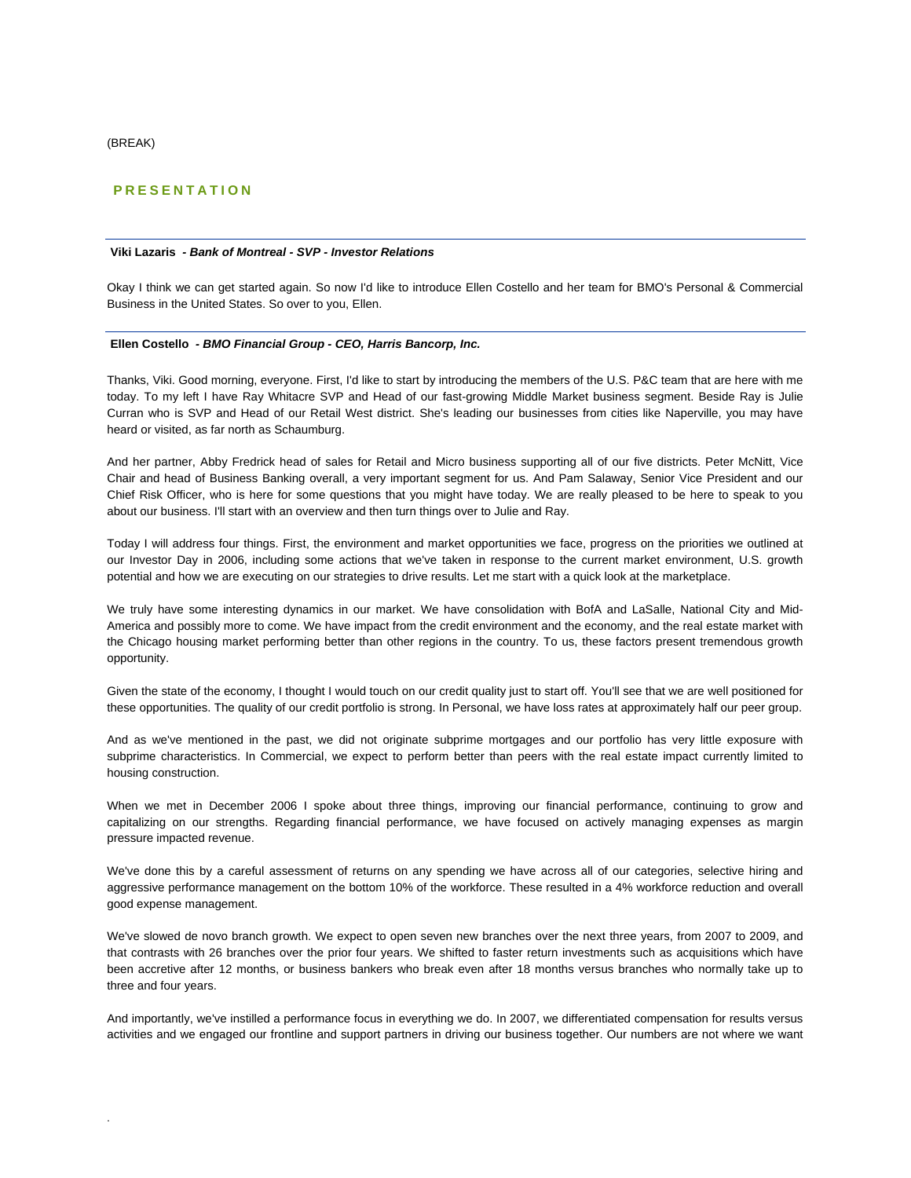(BREAK)

.

# **PRESENTATION**

## **Viki Lazaris** *- Bank of Montreal - SVP - Investor Relations*

Okay I think we can get started again. So now I'd like to introduce Ellen Costello and her team for BMO's Personal & Commercial Business in the United States. So over to you, Ellen.

#### **Ellen Costello** *- BMO Financial Group - CEO, Harris Bancorp, Inc.*

Thanks, Viki. Good morning, everyone. First, I'd like to start by introducing the members of the U.S. P&C team that are here with me today. To my left I have Ray Whitacre SVP and Head of our fast-growing Middle Market business segment. Beside Ray is Julie Curran who is SVP and Head of our Retail West district. She's leading our businesses from cities like Naperville, you may have heard or visited, as far north as Schaumburg.

And her partner, Abby Fredrick head of sales for Retail and Micro business supporting all of our five districts. Peter McNitt, Vice Chair and head of Business Banking overall, a very important segment for us. And Pam Salaway, Senior Vice President and our Chief Risk Officer, who is here for some questions that you might have today. We are really pleased to be here to speak to you about our business. I'll start with an overview and then turn things over to Julie and Ray.

Today I will address four things. First, the environment and market opportunities we face, progress on the priorities we outlined at our Investor Day in 2006, including some actions that we've taken in response to the current market environment, U.S. growth potential and how we are executing on our strategies to drive results. Let me start with a quick look at the marketplace.

We truly have some interesting dynamics in our market. We have consolidation with BofA and LaSalle, National City and Mid-America and possibly more to come. We have impact from the credit environment and the economy, and the real estate market with the Chicago housing market performing better than other regions in the country. To us, these factors present tremendous growth opportunity.

Given the state of the economy, I thought I would touch on our credit quality just to start off. You'll see that we are well positioned for these opportunities. The quality of our credit portfolio is strong. In Personal, we have loss rates at approximately half our peer group.

And as we've mentioned in the past, we did not originate subprime mortgages and our portfolio has very little exposure with subprime characteristics. In Commercial, we expect to perform better than peers with the real estate impact currently limited to housing construction.

When we met in December 2006 I spoke about three things, improving our financial performance, continuing to grow and capitalizing on our strengths. Regarding financial performance, we have focused on actively managing expenses as margin pressure impacted revenue.

We've done this by a careful assessment of returns on any spending we have across all of our categories, selective hiring and aggressive performance management on the bottom 10% of the workforce. These resulted in a 4% workforce reduction and overall good expense management.

We've slowed de novo branch growth. We expect to open seven new branches over the next three years, from 2007 to 2009, and that contrasts with 26 branches over the prior four years. We shifted to faster return investments such as acquisitions which have been accretive after 12 months, or business bankers who break even after 18 months versus branches who normally take up to three and four years.

And importantly, we've instilled a performance focus in everything we do. In 2007, we differentiated compensation for results versus activities and we engaged our frontline and support partners in driving our business together. Our numbers are not where we want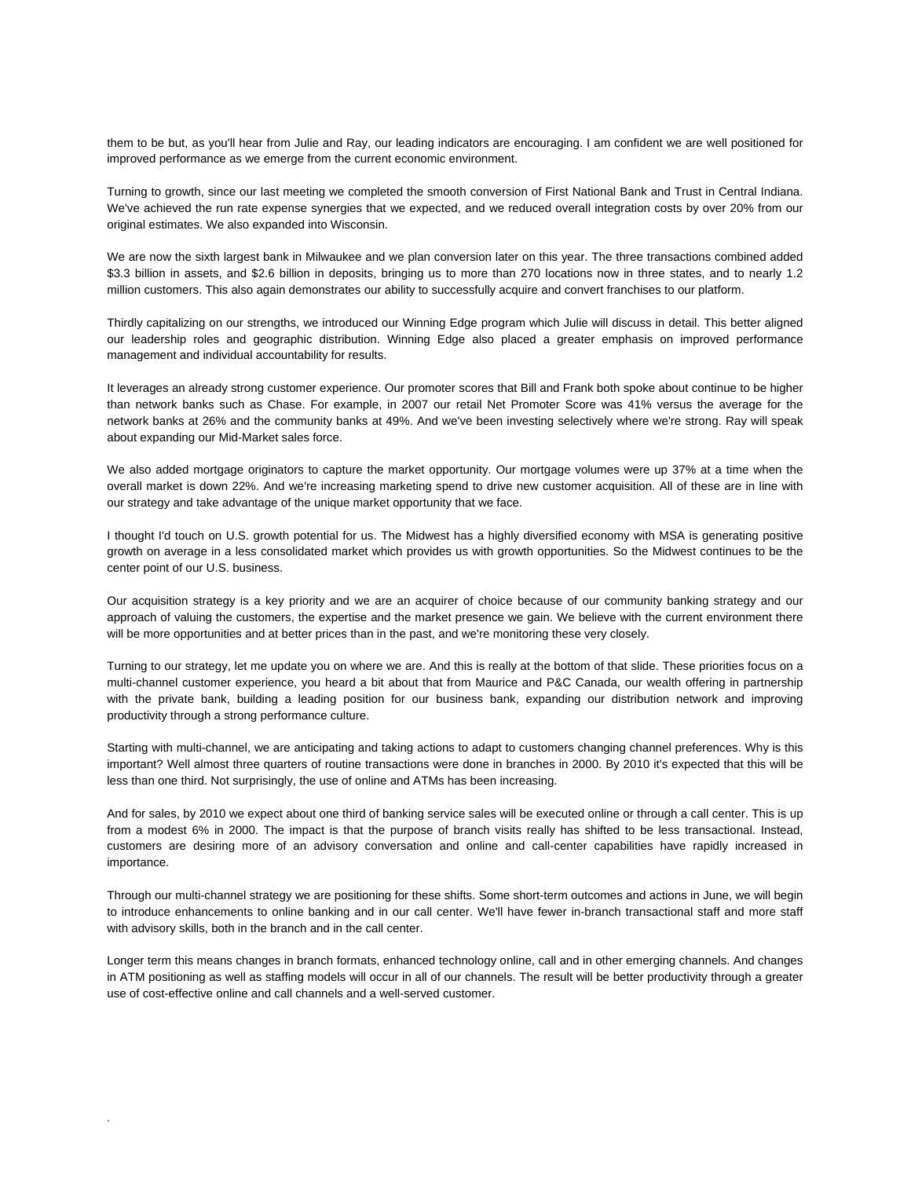them to be but, as you'll hear from Julie and Ray, our leading indicators are encouraging. I am confident we are well positioned for improved performance as we emerge from the current economic environment.

Turning to growth, since our last meeting we completed the smooth conversion of First National Bank and Trust in Central Indiana. We've achieved the run rate expense synergies that we expected, and we reduced overall integration costs by over 20% from our original estimates. We also expanded into Wisconsin.

We are now the sixth largest bank in Milwaukee and we plan conversion later on this year. The three transactions combined added \$3.3 billion in assets, and \$2.6 billion in deposits, bringing us to more than 270 locations now in three states, and to nearly 1.2 million customers. This also again demonstrates our ability to successfully acquire and convert franchises to our platform.

Thirdly capitalizing on our strengths, we introduced our Winning Edge program which Julie will discuss in detail. This better aligned our leadership roles and geographic distribution. Winning Edge also placed a greater emphasis on improved performance management and individual accountability for results.

It leverages an already strong customer experience. Our promoter scores that Bill and Frank both spoke about continue to be higher than network banks such as Chase. For example, in 2007 our retail Net Promoter Score was 41% versus the average for the network banks at 26% and the community banks at 49%. And we've been investing selectively where we're strong. Ray will speak about expanding our Mid-Market sales force.

We also added mortgage originators to capture the market opportunity. Our mortgage volumes were up 37% at a time when the overall market is down 22%. And we're increasing marketing spend to drive new customer acquisition. All of these are in line with our strategy and take advantage of the unique market opportunity that we face.

I thought I'd touch on U.S. growth potential for us. The Midwest has a highly diversified economy with MSA is generating positive growth on average in a less consolidated market which provides us with growth opportunities. So the Midwest continues to be the center point of our U.S. business.

Our acquisition strategy is a key priority and we are an acquirer of choice because of our community banking strategy and our approach of valuing the customers, the expertise and the market presence we gain. We believe with the current environment there will be more opportunities and at better prices than in the past, and we're monitoring these very closely.

Turning to our strategy, let me update you on where we are. And this is really at the bottom of that slide. These priorities focus on a multi-channel customer experience, you heard a bit about that from Maurice and P&C Canada, our wealth offering in partnership with the private bank, building a leading position for our business bank, expanding our distribution network and improving productivity through a strong performance culture.

Starting with multi-channel, we are anticipating and taking actions to adapt to customers changing channel preferences. Why is this important? Well almost three quarters of routine transactions were done in branches in 2000. By 2010 it's expected that this will be less than one third. Not surprisingly, the use of online and ATMs has been increasing.

And for sales, by 2010 we expect about one third of banking service sales will be executed online or through a call center. This is up from a modest 6% in 2000. The impact is that the purpose of branch visits really has shifted to be less transactional. Instead, customers are desiring more of an advisory conversation and online and call-center capabilities have rapidly increased in importance.

Through our multi-channel strategy we are positioning for these shifts. Some short-term outcomes and actions in June, we will begin to introduce enhancements to online banking and in our call center. We'll have fewer in-branch transactional staff and more staff with advisory skills, both in the branch and in the call center.

Longer term this means changes in branch formats, enhanced technology online, call and in other emerging channels. And changes in ATM positioning as well as staffing models will occur in all of our channels. The result will be better productivity through a greater use of cost-effective online and call channels and a well-served customer.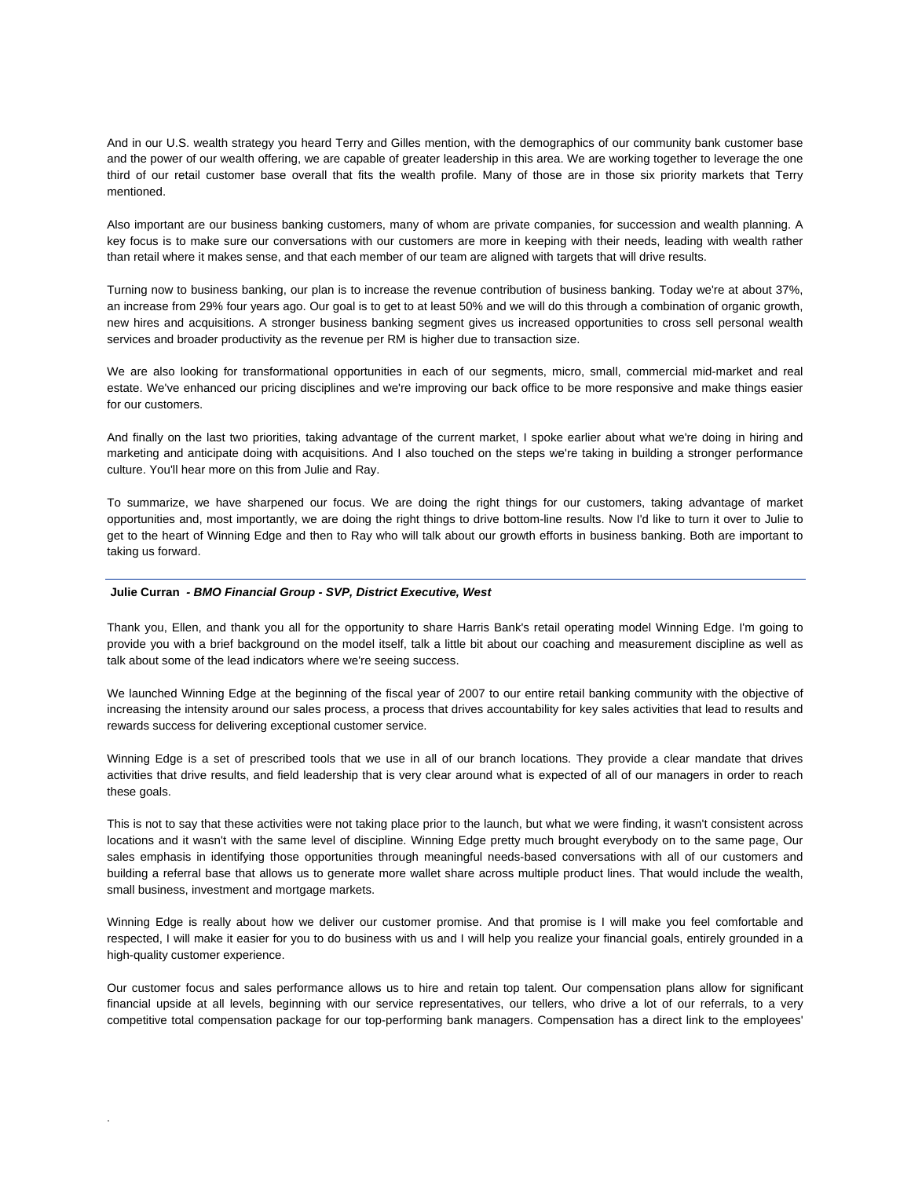And in our U.S. wealth strategy you heard Terry and Gilles mention, with the demographics of our community bank customer base and the power of our wealth offering, we are capable of greater leadership in this area. We are working together to leverage the one third of our retail customer base overall that fits the wealth profile. Many of those are in those six priority markets that Terry mentioned.

Also important are our business banking customers, many of whom are private companies, for succession and wealth planning. A key focus is to make sure our conversations with our customers are more in keeping with their needs, leading with wealth rather than retail where it makes sense, and that each member of our team are aligned with targets that will drive results.

Turning now to business banking, our plan is to increase the revenue contribution of business banking. Today we're at about 37%, an increase from 29% four years ago. Our goal is to get to at least 50% and we will do this through a combination of organic growth, new hires and acquisitions. A stronger business banking segment gives us increased opportunities to cross sell personal wealth services and broader productivity as the revenue per RM is higher due to transaction size.

We are also looking for transformational opportunities in each of our segments, micro, small, commercial mid-market and real estate. We've enhanced our pricing disciplines and we're improving our back office to be more responsive and make things easier for our customers.

And finally on the last two priorities, taking advantage of the current market, I spoke earlier about what we're doing in hiring and marketing and anticipate doing with acquisitions. And I also touched on the steps we're taking in building a stronger performance culture. You'll hear more on this from Julie and Ray.

To summarize, we have sharpened our focus. We are doing the right things for our customers, taking advantage of market opportunities and, most importantly, we are doing the right things to drive bottom-line results. Now I'd like to turn it over to Julie to get to the heart of Winning Edge and then to Ray who will talk about our growth efforts in business banking. Both are important to taking us forward.

#### **Julie Curran** *- BMO Financial Group - SVP, District Executive, West*

.

Thank you, Ellen, and thank you all for the opportunity to share Harris Bank's retail operating model Winning Edge. I'm going to provide you with a brief background on the model itself, talk a little bit about our coaching and measurement discipline as well as talk about some of the lead indicators where we're seeing success.

We launched Winning Edge at the beginning of the fiscal year of 2007 to our entire retail banking community with the objective of increasing the intensity around our sales process, a process that drives accountability for key sales activities that lead to results and rewards success for delivering exceptional customer service.

Winning Edge is a set of prescribed tools that we use in all of our branch locations. They provide a clear mandate that drives activities that drive results, and field leadership that is very clear around what is expected of all of our managers in order to reach these goals.

This is not to say that these activities were not taking place prior to the launch, but what we were finding, it wasn't consistent across locations and it wasn't with the same level of discipline. Winning Edge pretty much brought everybody on to the same page, Our sales emphasis in identifying those opportunities through meaningful needs-based conversations with all of our customers and building a referral base that allows us to generate more wallet share across multiple product lines. That would include the wealth, small business, investment and mortgage markets.

Winning Edge is really about how we deliver our customer promise. And that promise is I will make you feel comfortable and respected, I will make it easier for you to do business with us and I will help you realize your financial goals, entirely grounded in a high-quality customer experience.

Our customer focus and sales performance allows us to hire and retain top talent. Our compensation plans allow for significant financial upside at all levels, beginning with our service representatives, our tellers, who drive a lot of our referrals, to a very competitive total compensation package for our top-performing bank managers. Compensation has a direct link to the employees'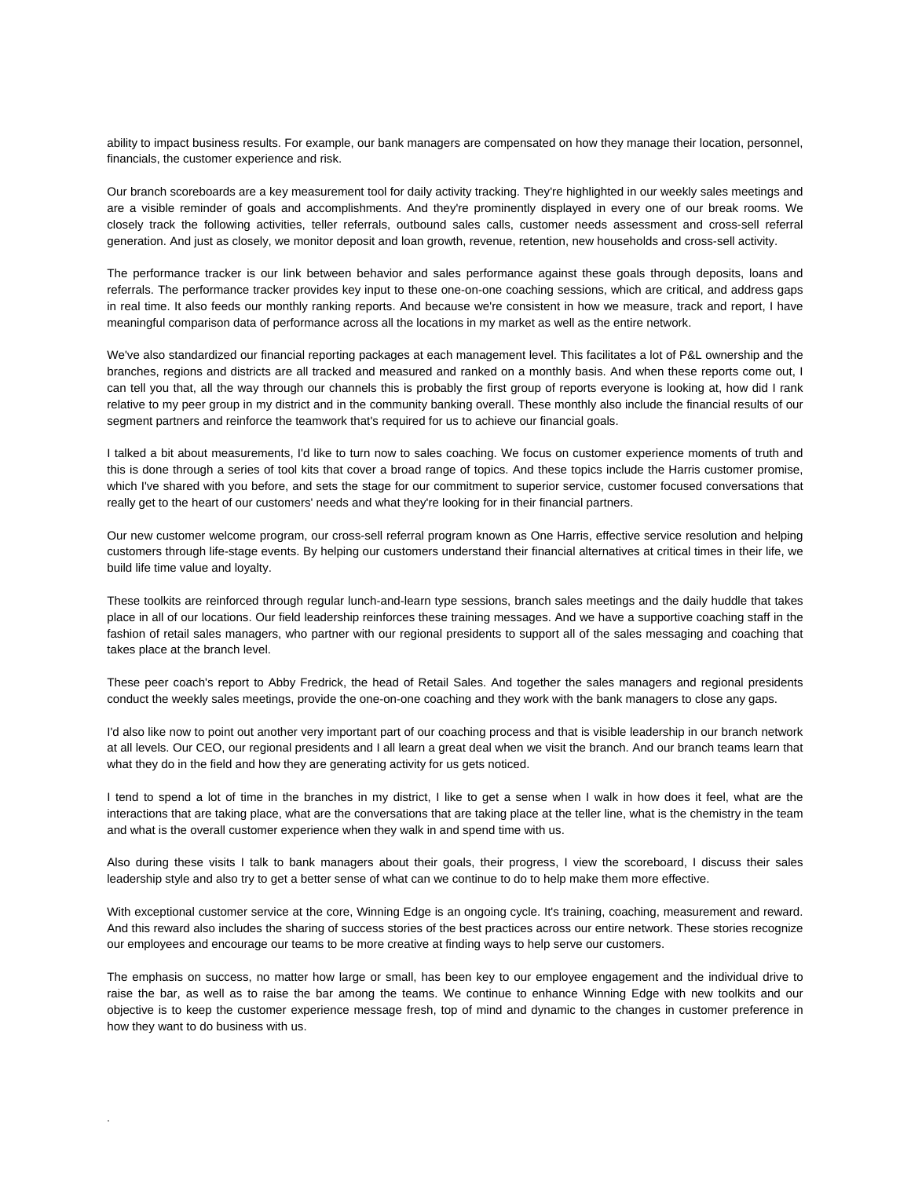ability to impact business results. For example, our bank managers are compensated on how they manage their location, personnel, financials, the customer experience and risk.

Our branch scoreboards are a key measurement tool for daily activity tracking. They're highlighted in our weekly sales meetings and are a visible reminder of goals and accomplishments. And they're prominently displayed in every one of our break rooms. We closely track the following activities, teller referrals, outbound sales calls, customer needs assessment and cross-sell referral generation. And just as closely, we monitor deposit and loan growth, revenue, retention, new households and cross-sell activity.

The performance tracker is our link between behavior and sales performance against these goals through deposits, loans and referrals. The performance tracker provides key input to these one-on-one coaching sessions, which are critical, and address gaps in real time. It also feeds our monthly ranking reports. And because we're consistent in how we measure, track and report, I have meaningful comparison data of performance across all the locations in my market as well as the entire network.

We've also standardized our financial reporting packages at each management level. This facilitates a lot of P&L ownership and the branches, regions and districts are all tracked and measured and ranked on a monthly basis. And when these reports come out, I can tell you that, all the way through our channels this is probably the first group of reports everyone is looking at, how did I rank relative to my peer group in my district and in the community banking overall. These monthly also include the financial results of our segment partners and reinforce the teamwork that's required for us to achieve our financial goals.

I talked a bit about measurements, I'd like to turn now to sales coaching. We focus on customer experience moments of truth and this is done through a series of tool kits that cover a broad range of topics. And these topics include the Harris customer promise, which I've shared with you before, and sets the stage for our commitment to superior service, customer focused conversations that really get to the heart of our customers' needs and what they're looking for in their financial partners.

Our new customer welcome program, our cross-sell referral program known as One Harris, effective service resolution and helping customers through life-stage events. By helping our customers understand their financial alternatives at critical times in their life, we build life time value and loyalty.

These toolkits are reinforced through regular lunch-and-learn type sessions, branch sales meetings and the daily huddle that takes place in all of our locations. Our field leadership reinforces these training messages. And we have a supportive coaching staff in the fashion of retail sales managers, who partner with our regional presidents to support all of the sales messaging and coaching that takes place at the branch level.

These peer coach's report to Abby Fredrick, the head of Retail Sales. And together the sales managers and regional presidents conduct the weekly sales meetings, provide the one-on-one coaching and they work with the bank managers to close any gaps.

I'd also like now to point out another very important part of our coaching process and that is visible leadership in our branch network at all levels. Our CEO, our regional presidents and I all learn a great deal when we visit the branch. And our branch teams learn that what they do in the field and how they are generating activity for us gets noticed.

I tend to spend a lot of time in the branches in my district, I like to get a sense when I walk in how does it feel, what are the interactions that are taking place, what are the conversations that are taking place at the teller line, what is the chemistry in the team and what is the overall customer experience when they walk in and spend time with us.

Also during these visits I talk to bank managers about their goals, their progress, I view the scoreboard, I discuss their sales leadership style and also try to get a better sense of what can we continue to do to help make them more effective.

With exceptional customer service at the core, Winning Edge is an ongoing cycle. It's training, coaching, measurement and reward. And this reward also includes the sharing of success stories of the best practices across our entire network. These stories recognize our employees and encourage our teams to be more creative at finding ways to help serve our customers.

The emphasis on success, no matter how large or small, has been key to our employee engagement and the individual drive to raise the bar, as well as to raise the bar among the teams. We continue to enhance Winning Edge with new toolkits and our objective is to keep the customer experience message fresh, top of mind and dynamic to the changes in customer preference in how they want to do business with us.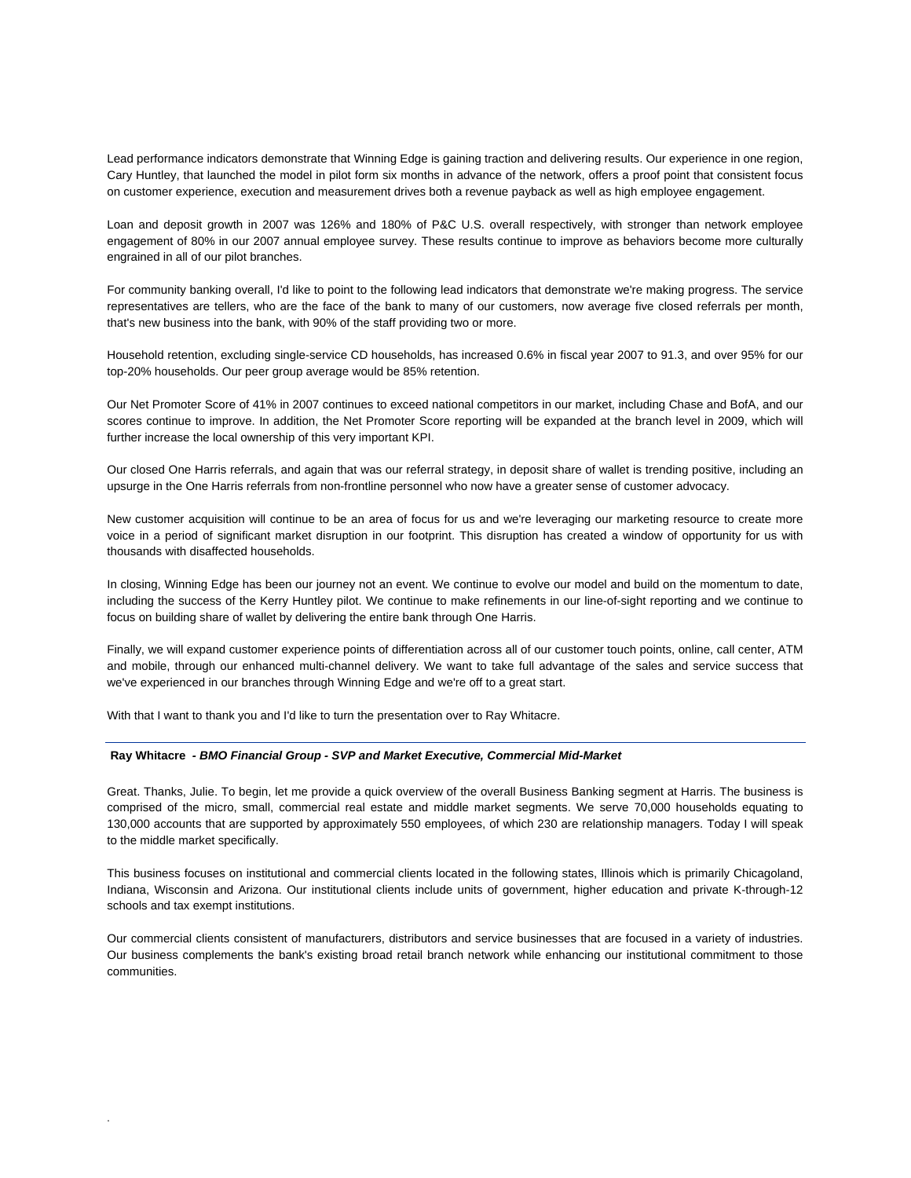Lead performance indicators demonstrate that Winning Edge is gaining traction and delivering results. Our experience in one region, Cary Huntley, that launched the model in pilot form six months in advance of the network, offers a proof point that consistent focus on customer experience, execution and measurement drives both a revenue payback as well as high employee engagement.

Loan and deposit growth in 2007 was 126% and 180% of P&C U.S. overall respectively, with stronger than network employee engagement of 80% in our 2007 annual employee survey. These results continue to improve as behaviors become more culturally engrained in all of our pilot branches.

For community banking overall, I'd like to point to the following lead indicators that demonstrate we're making progress. The service representatives are tellers, who are the face of the bank to many of our customers, now average five closed referrals per month, that's new business into the bank, with 90% of the staff providing two or more.

Household retention, excluding single-service CD households, has increased 0.6% in fiscal year 2007 to 91.3, and over 95% for our top-20% households. Our peer group average would be 85% retention.

Our Net Promoter Score of 41% in 2007 continues to exceed national competitors in our market, including Chase and BofA, and our scores continue to improve. In addition, the Net Promoter Score reporting will be expanded at the branch level in 2009, which will further increase the local ownership of this very important KPI.

Our closed One Harris referrals, and again that was our referral strategy, in deposit share of wallet is trending positive, including an upsurge in the One Harris referrals from non-frontline personnel who now have a greater sense of customer advocacy.

New customer acquisition will continue to be an area of focus for us and we're leveraging our marketing resource to create more voice in a period of significant market disruption in our footprint. This disruption has created a window of opportunity for us with thousands with disaffected households.

In closing, Winning Edge has been our journey not an event. We continue to evolve our model and build on the momentum to date, including the success of the Kerry Huntley pilot. We continue to make refinements in our line-of-sight reporting and we continue to focus on building share of wallet by delivering the entire bank through One Harris.

Finally, we will expand customer experience points of differentiation across all of our customer touch points, online, call center, ATM and mobile, through our enhanced multi-channel delivery. We want to take full advantage of the sales and service success that we've experienced in our branches through Winning Edge and we're off to a great start.

With that I want to thank you and I'd like to turn the presentation over to Ray Whitacre.

.

## **Ray Whitacre** *- BMO Financial Group - SVP and Market Executive, Commercial Mid-Market*

Great. Thanks, Julie. To begin, let me provide a quick overview of the overall Business Banking segment at Harris. The business is comprised of the micro, small, commercial real estate and middle market segments. We serve 70,000 households equating to 130,000 accounts that are supported by approximately 550 employees, of which 230 are relationship managers. Today I will speak to the middle market specifically.

This business focuses on institutional and commercial clients located in the following states, Illinois which is primarily Chicagoland, Indiana, Wisconsin and Arizona. Our institutional clients include units of government, higher education and private K-through-12 schools and tax exempt institutions.

Our commercial clients consistent of manufacturers, distributors and service businesses that are focused in a variety of industries. Our business complements the bank's existing broad retail branch network while enhancing our institutional commitment to those communities.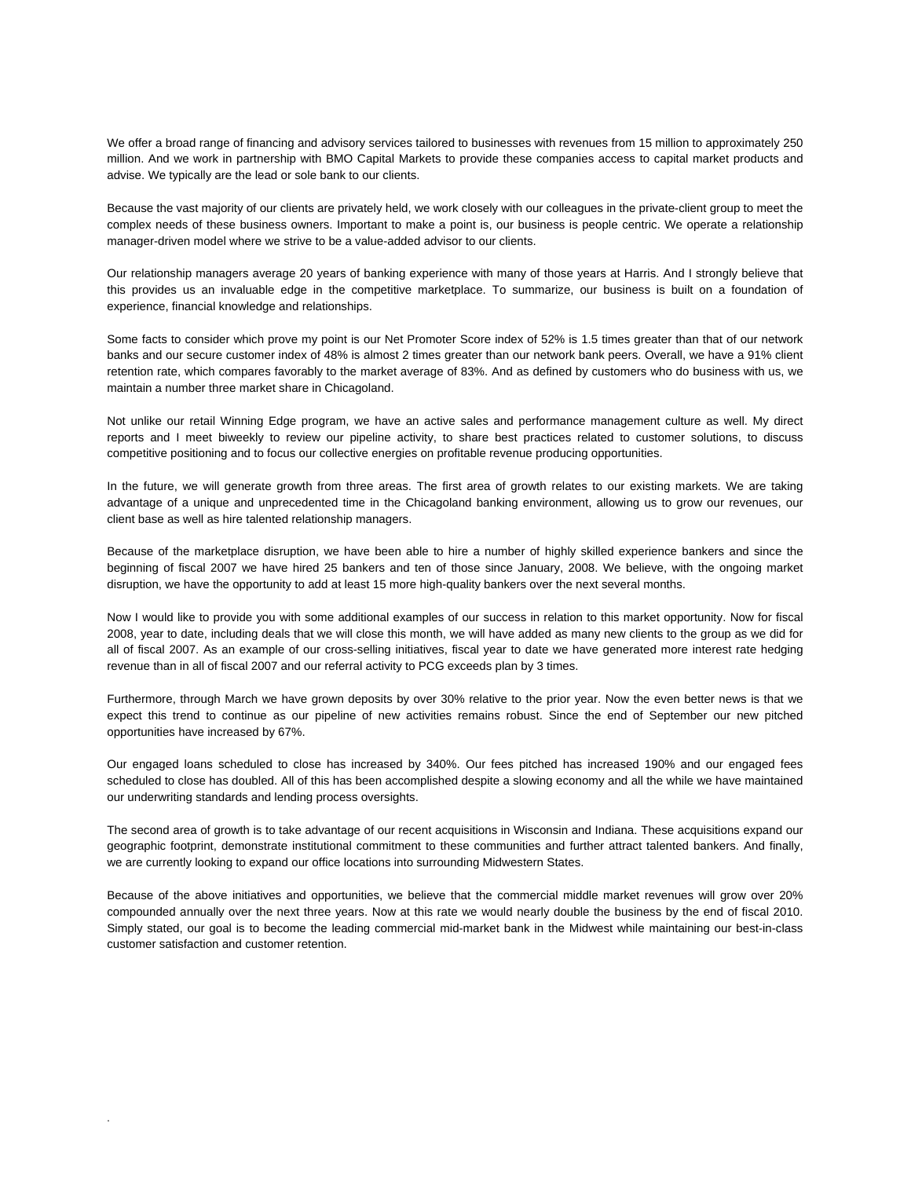We offer a broad range of financing and advisory services tailored to businesses with revenues from 15 million to approximately 250 million. And we work in partnership with BMO Capital Markets to provide these companies access to capital market products and advise. We typically are the lead or sole bank to our clients.

Because the vast majority of our clients are privately held, we work closely with our colleagues in the private-client group to meet the complex needs of these business owners. Important to make a point is, our business is people centric. We operate a relationship manager-driven model where we strive to be a value-added advisor to our clients.

Our relationship managers average 20 years of banking experience with many of those years at Harris. And I strongly believe that this provides us an invaluable edge in the competitive marketplace. To summarize, our business is built on a foundation of experience, financial knowledge and relationships.

Some facts to consider which prove my point is our Net Promoter Score index of 52% is 1.5 times greater than that of our network banks and our secure customer index of 48% is almost 2 times greater than our network bank peers. Overall, we have a 91% client retention rate, which compares favorably to the market average of 83%. And as defined by customers who do business with us, we maintain a number three market share in Chicagoland.

Not unlike our retail Winning Edge program, we have an active sales and performance management culture as well. My direct reports and I meet biweekly to review our pipeline activity, to share best practices related to customer solutions, to discuss competitive positioning and to focus our collective energies on profitable revenue producing opportunities.

In the future, we will generate growth from three areas. The first area of growth relates to our existing markets. We are taking advantage of a unique and unprecedented time in the Chicagoland banking environment, allowing us to grow our revenues, our client base as well as hire talented relationship managers.

Because of the marketplace disruption, we have been able to hire a number of highly skilled experience bankers and since the beginning of fiscal 2007 we have hired 25 bankers and ten of those since January, 2008. We believe, with the ongoing market disruption, we have the opportunity to add at least 15 more high-quality bankers over the next several months.

Now I would like to provide you with some additional examples of our success in relation to this market opportunity. Now for fiscal 2008, year to date, including deals that we will close this month, we will have added as many new clients to the group as we did for all of fiscal 2007. As an example of our cross-selling initiatives, fiscal year to date we have generated more interest rate hedging revenue than in all of fiscal 2007 and our referral activity to PCG exceeds plan by 3 times.

Furthermore, through March we have grown deposits by over 30% relative to the prior year. Now the even better news is that we expect this trend to continue as our pipeline of new activities remains robust. Since the end of September our new pitched opportunities have increased by 67%.

Our engaged loans scheduled to close has increased by 340%. Our fees pitched has increased 190% and our engaged fees scheduled to close has doubled. All of this has been accomplished despite a slowing economy and all the while we have maintained our underwriting standards and lending process oversights.

The second area of growth is to take advantage of our recent acquisitions in Wisconsin and Indiana. These acquisitions expand our geographic footprint, demonstrate institutional commitment to these communities and further attract talented bankers. And finally, we are currently looking to expand our office locations into surrounding Midwestern States.

Because of the above initiatives and opportunities, we believe that the commercial middle market revenues will grow over 20% compounded annually over the next three years. Now at this rate we would nearly double the business by the end of fiscal 2010. Simply stated, our goal is to become the leading commercial mid-market bank in the Midwest while maintaining our best-in-class customer satisfaction and customer retention.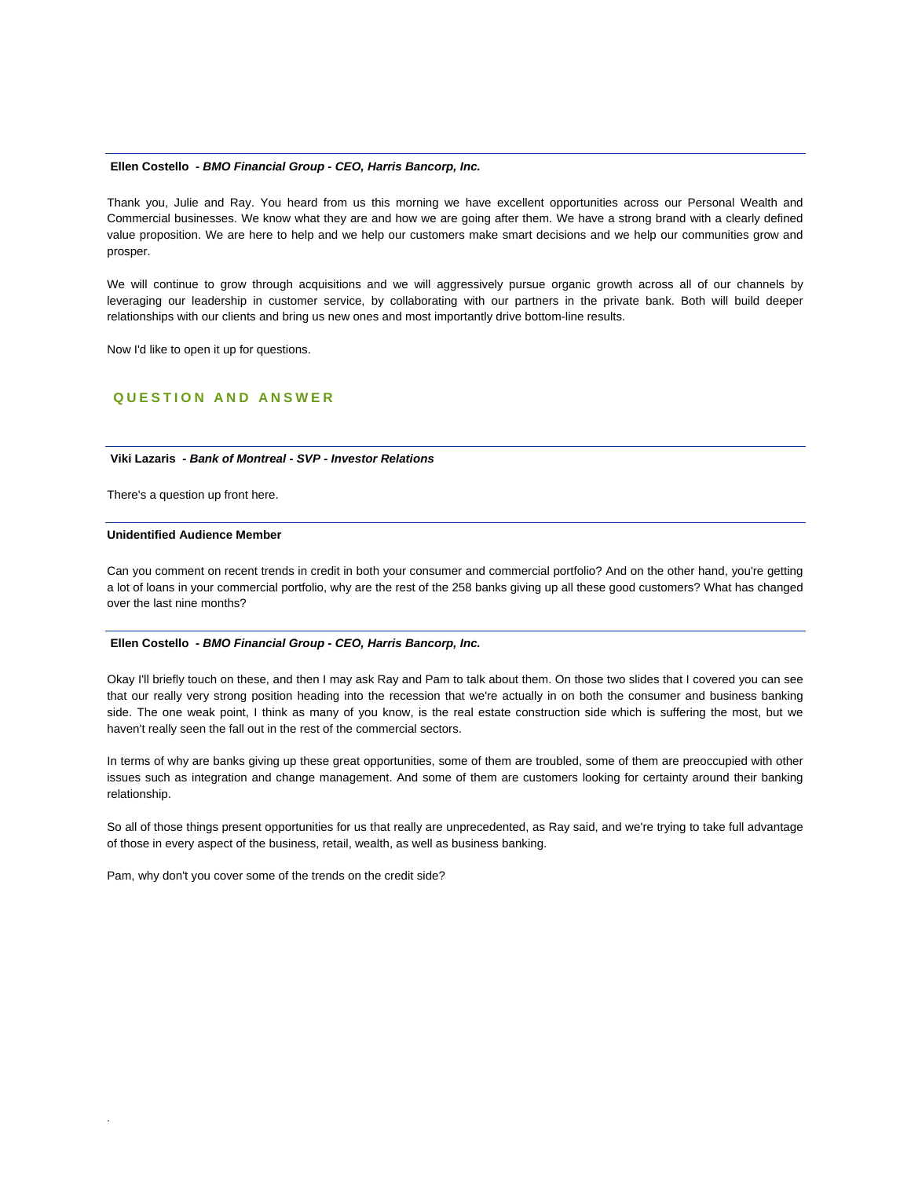# **Ellen Costello** *- BMO Financial Group - CEO, Harris Bancorp, Inc.*

Thank you, Julie and Ray. You heard from us this morning we have excellent opportunities across our Personal Wealth and Commercial businesses. We know what they are and how we are going after them. We have a strong brand with a clearly defined value proposition. We are here to help and we help our customers make smart decisions and we help our communities grow and prosper.

We will continue to grow through acquisitions and we will aggressively pursue organic growth across all of our channels by leveraging our leadership in customer service, by collaborating with our partners in the private bank. Both will build deeper relationships with our clients and bring us new ones and most importantly drive bottom-line results.

Now I'd like to open it up for questions.

# **QUESTION AND ANSWER**

# **Viki Lazaris** *- Bank of Montreal - SVP - Investor Relations*

There's a question up front here.

## **Unidentified Audience Member**

.

Can you comment on recent trends in credit in both your consumer and commercial portfolio? And on the other hand, you're getting a lot of loans in your commercial portfolio, why are the rest of the 258 banks giving up all these good customers? What has changed over the last nine months?

#### **Ellen Costello** *- BMO Financial Group - CEO, Harris Bancorp, Inc.*

Okay I'll briefly touch on these, and then I may ask Ray and Pam to talk about them. On those two slides that I covered you can see that our really very strong position heading into the recession that we're actually in on both the consumer and business banking side. The one weak point, I think as many of you know, is the real estate construction side which is suffering the most, but we haven't really seen the fall out in the rest of the commercial sectors.

In terms of why are banks giving up these great opportunities, some of them are troubled, some of them are preoccupied with other issues such as integration and change management. And some of them are customers looking for certainty around their banking relationship.

So all of those things present opportunities for us that really are unprecedented, as Ray said, and we're trying to take full advantage of those in every aspect of the business, retail, wealth, as well as business banking.

Pam, why don't you cover some of the trends on the credit side?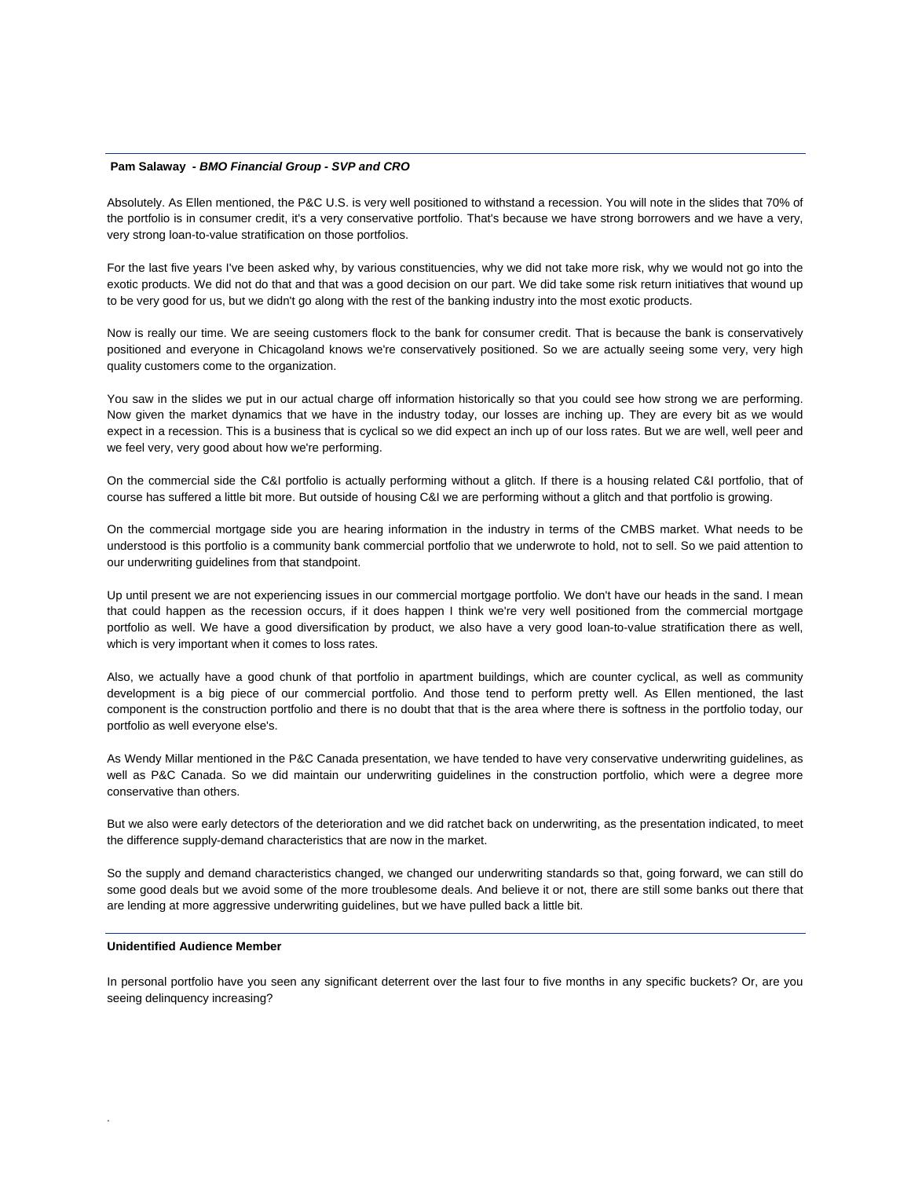#### **Pam Salaway** *- BMO Financial Group - SVP and CRO*

Absolutely. As Ellen mentioned, the P&C U.S. is very well positioned to withstand a recession. You will note in the slides that 70% of the portfolio is in consumer credit, it's a very conservative portfolio. That's because we have strong borrowers and we have a very, very strong loan-to-value stratification on those portfolios.

For the last five years I've been asked why, by various constituencies, why we did not take more risk, why we would not go into the exotic products. We did not do that and that was a good decision on our part. We did take some risk return initiatives that wound up to be very good for us, but we didn't go along with the rest of the banking industry into the most exotic products.

Now is really our time. We are seeing customers flock to the bank for consumer credit. That is because the bank is conservatively positioned and everyone in Chicagoland knows we're conservatively positioned. So we are actually seeing some very, very high quality customers come to the organization.

You saw in the slides we put in our actual charge off information historically so that you could see how strong we are performing. Now given the market dynamics that we have in the industry today, our losses are inching up. They are every bit as we would expect in a recession. This is a business that is cyclical so we did expect an inch up of our loss rates. But we are well, well peer and we feel very, very good about how we're performing.

On the commercial side the C&I portfolio is actually performing without a glitch. If there is a housing related C&I portfolio, that of course has suffered a little bit more. But outside of housing C&I we are performing without a glitch and that portfolio is growing.

On the commercial mortgage side you are hearing information in the industry in terms of the CMBS market. What needs to be understood is this portfolio is a community bank commercial portfolio that we underwrote to hold, not to sell. So we paid attention to our underwriting guidelines from that standpoint.

Up until present we are not experiencing issues in our commercial mortgage portfolio. We don't have our heads in the sand. I mean that could happen as the recession occurs, if it does happen I think we're very well positioned from the commercial mortgage portfolio as well. We have a good diversification by product, we also have a very good loan-to-value stratification there as well, which is very important when it comes to loss rates.

Also, we actually have a good chunk of that portfolio in apartment buildings, which are counter cyclical, as well as community development is a big piece of our commercial portfolio. And those tend to perform pretty well. As Ellen mentioned, the last component is the construction portfolio and there is no doubt that that is the area where there is softness in the portfolio today, our portfolio as well everyone else's.

As Wendy Millar mentioned in the P&C Canada presentation, we have tended to have very conservative underwriting guidelines, as well as P&C Canada. So we did maintain our underwriting guidelines in the construction portfolio, which were a degree more conservative than others.

But we also were early detectors of the deterioration and we did ratchet back on underwriting, as the presentation indicated, to meet the difference supply-demand characteristics that are now in the market.

So the supply and demand characteristics changed, we changed our underwriting standards so that, going forward, we can still do some good deals but we avoid some of the more troublesome deals. And believe it or not, there are still some banks out there that are lending at more aggressive underwriting guidelines, but we have pulled back a little bit.

#### **Unidentified Audience Member**

.

In personal portfolio have you seen any significant deterrent over the last four to five months in any specific buckets? Or, are you seeing delinquency increasing?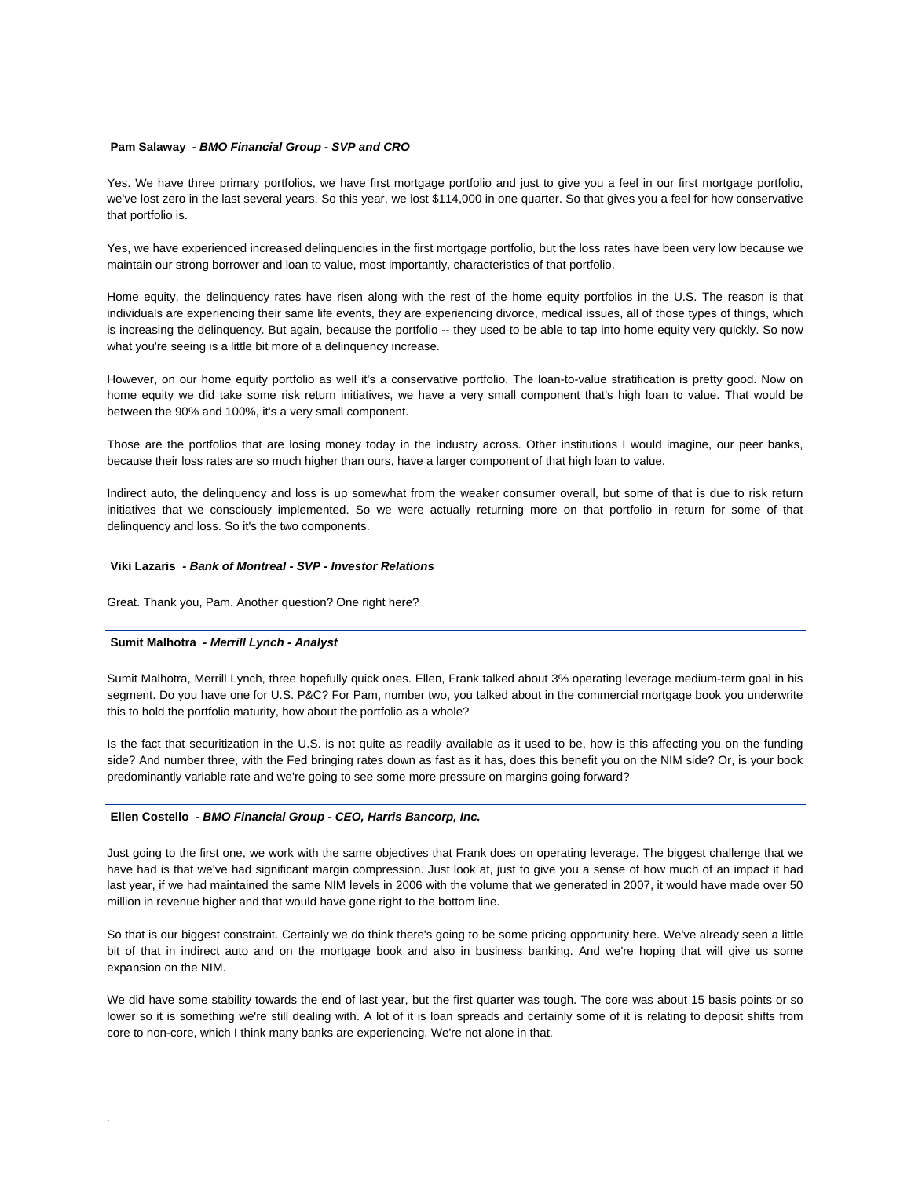## **Pam Salaway** *- BMO Financial Group - SVP and CRO*

Yes. We have three primary portfolios, we have first mortgage portfolio and just to give you a feel in our first mortgage portfolio, we've lost zero in the last several years. So this year, we lost \$114,000 in one quarter. So that gives you a feel for how conservative that portfolio is.

Yes, we have experienced increased delinquencies in the first mortgage portfolio, but the loss rates have been very low because we maintain our strong borrower and loan to value, most importantly, characteristics of that portfolio.

Home equity, the delinquency rates have risen along with the rest of the home equity portfolios in the U.S. The reason is that individuals are experiencing their same life events, they are experiencing divorce, medical issues, all of those types of things, which is increasing the delinquency. But again, because the portfolio -- they used to be able to tap into home equity very quickly. So now what you're seeing is a little bit more of a delinquency increase.

However, on our home equity portfolio as well it's a conservative portfolio. The loan-to-value stratification is pretty good. Now on home equity we did take some risk return initiatives, we have a very small component that's high loan to value. That would be between the 90% and 100%, it's a very small component.

Those are the portfolios that are losing money today in the industry across. Other institutions I would imagine, our peer banks, because their loss rates are so much higher than ours, have a larger component of that high loan to value.

Indirect auto, the delinquency and loss is up somewhat from the weaker consumer overall, but some of that is due to risk return initiatives that we consciously implemented. So we were actually returning more on that portfolio in return for some of that delinquency and loss. So it's the two components.

## **Viki Lazaris** *- Bank of Montreal - SVP - Investor Relations*

Great. Thank you, Pam. Another question? One right here?

#### **Sumit Malhotra** *- Merrill Lynch - Analyst*

.

Sumit Malhotra, Merrill Lynch, three hopefully quick ones. Ellen, Frank talked about 3% operating leverage medium-term goal in his segment. Do you have one for U.S. P&C? For Pam, number two, you talked about in the commercial mortgage book you underwrite this to hold the portfolio maturity, how about the portfolio as a whole?

Is the fact that securitization in the U.S. is not quite as readily available as it used to be, how is this affecting you on the funding side? And number three, with the Fed bringing rates down as fast as it has, does this benefit you on the NIM side? Or, is your book predominantly variable rate and we're going to see some more pressure on margins going forward?

## **Ellen Costello** *- BMO Financial Group - CEO, Harris Bancorp, Inc.*

Just going to the first one, we work with the same objectives that Frank does on operating leverage. The biggest challenge that we have had is that we've had significant margin compression. Just look at, just to give you a sense of how much of an impact it had last year, if we had maintained the same NIM levels in 2006 with the volume that we generated in 2007, it would have made over 50 million in revenue higher and that would have gone right to the bottom line.

So that is our biggest constraint. Certainly we do think there's going to be some pricing opportunity here. We've already seen a little bit of that in indirect auto and on the mortgage book and also in business banking. And we're hoping that will give us some expansion on the NIM.

We did have some stability towards the end of last year, but the first quarter was tough. The core was about 15 basis points or so lower so it is something we're still dealing with. A lot of it is loan spreads and certainly some of it is relating to deposit shifts from core to non-core, which I think many banks are experiencing. We're not alone in that.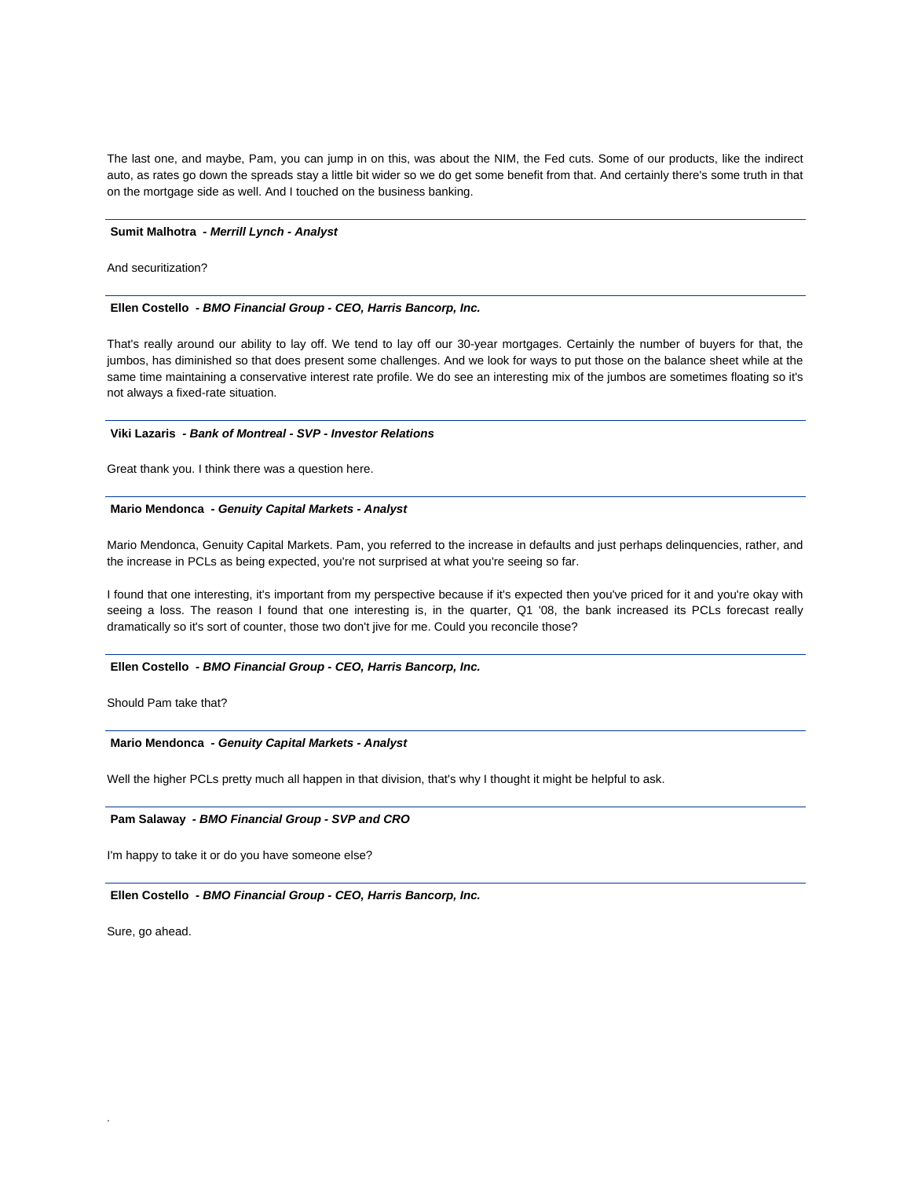The last one, and maybe, Pam, you can jump in on this, was about the NIM, the Fed cuts. Some of our products, like the indirect auto, as rates go down the spreads stay a little bit wider so we do get some benefit from that. And certainly there's some truth in that on the mortgage side as well. And I touched on the business banking.

#### **Sumit Malhotra** *- Merrill Lynch - Analyst*

And securitization?

#### **Ellen Costello** *- BMO Financial Group - CEO, Harris Bancorp, Inc.*

That's really around our ability to lay off. We tend to lay off our 30-year mortgages. Certainly the number of buyers for that, the jumbos, has diminished so that does present some challenges. And we look for ways to put those on the balance sheet while at the same time maintaining a conservative interest rate profile. We do see an interesting mix of the jumbos are sometimes floating so it's not always a fixed-rate situation.

## **Viki Lazaris** *- Bank of Montreal - SVP - Investor Relations*

Great thank you. I think there was a question here.

#### **Mario Mendonca** *- Genuity Capital Markets - Analyst*

Mario Mendonca, Genuity Capital Markets. Pam, you referred to the increase in defaults and just perhaps delinquencies, rather, and the increase in PCLs as being expected, you're not surprised at what you're seeing so far.

I found that one interesting, it's important from my perspective because if it's expected then you've priced for it and you're okay with seeing a loss. The reason I found that one interesting is, in the quarter, Q1 '08, the bank increased its PCLs forecast really dramatically so it's sort of counter, those two don't jive for me. Could you reconcile those?

## **Ellen Costello** *- BMO Financial Group - CEO, Harris Bancorp, Inc.*

Should Pam take that?

## **Mario Mendonca** *- Genuity Capital Markets - Analyst*

Well the higher PCLs pretty much all happen in that division, that's why I thought it might be helpful to ask.

## **Pam Salaway** *- BMO Financial Group - SVP and CRO*

I'm happy to take it or do you have someone else?

#### **Ellen Costello** *- BMO Financial Group - CEO, Harris Bancorp, Inc.*

Sure, go ahead.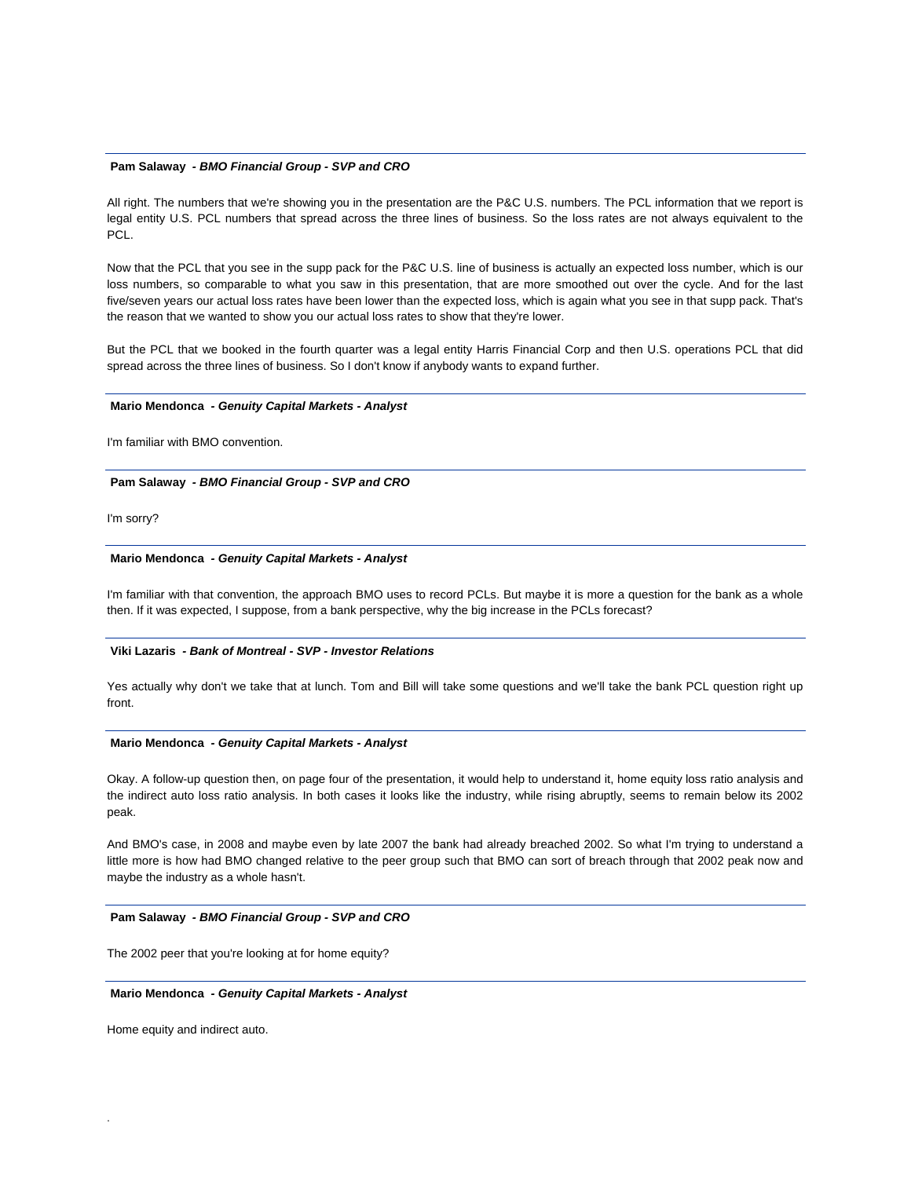#### **Pam Salaway** *- BMO Financial Group - SVP and CRO*

All right. The numbers that we're showing you in the presentation are the P&C U.S. numbers. The PCL information that we report is legal entity U.S. PCL numbers that spread across the three lines of business. So the loss rates are not always equivalent to the PCL.

Now that the PCL that you see in the supp pack for the P&C U.S. line of business is actually an expected loss number, which is our loss numbers, so comparable to what you saw in this presentation, that are more smoothed out over the cycle. And for the last five/seven years our actual loss rates have been lower than the expected loss, which is again what you see in that supp pack. That's the reason that we wanted to show you our actual loss rates to show that they're lower.

But the PCL that we booked in the fourth quarter was a legal entity Harris Financial Corp and then U.S. operations PCL that did spread across the three lines of business. So I don't know if anybody wants to expand further.

#### **Mario Mendonca** *- Genuity Capital Markets - Analyst*

I'm familiar with BMO convention.

#### **Pam Salaway** *- BMO Financial Group - SVP and CRO*

I'm sorry?

## **Mario Mendonca** *- Genuity Capital Markets - Analyst*

I'm familiar with that convention, the approach BMO uses to record PCLs. But maybe it is more a question for the bank as a whole then. If it was expected, I suppose, from a bank perspective, why the big increase in the PCLs forecast?

#### **Viki Lazaris** *- Bank of Montreal - SVP - Investor Relations*

Yes actually why don't we take that at lunch. Tom and Bill will take some questions and we'll take the bank PCL question right up front.

## **Mario Mendonca** *- Genuity Capital Markets - Analyst*

Okay. A follow-up question then, on page four of the presentation, it would help to understand it, home equity loss ratio analysis and the indirect auto loss ratio analysis. In both cases it looks like the industry, while rising abruptly, seems to remain below its 2002 peak.

And BMO's case, in 2008 and maybe even by late 2007 the bank had already breached 2002. So what I'm trying to understand a little more is how had BMO changed relative to the peer group such that BMO can sort of breach through that 2002 peak now and maybe the industry as a whole hasn't.

#### **Pam Salaway** *- BMO Financial Group - SVP and CRO*

The 2002 peer that you're looking at for home equity?

#### **Mario Mendonca** *- Genuity Capital Markets - Analyst*

Home equity and indirect auto.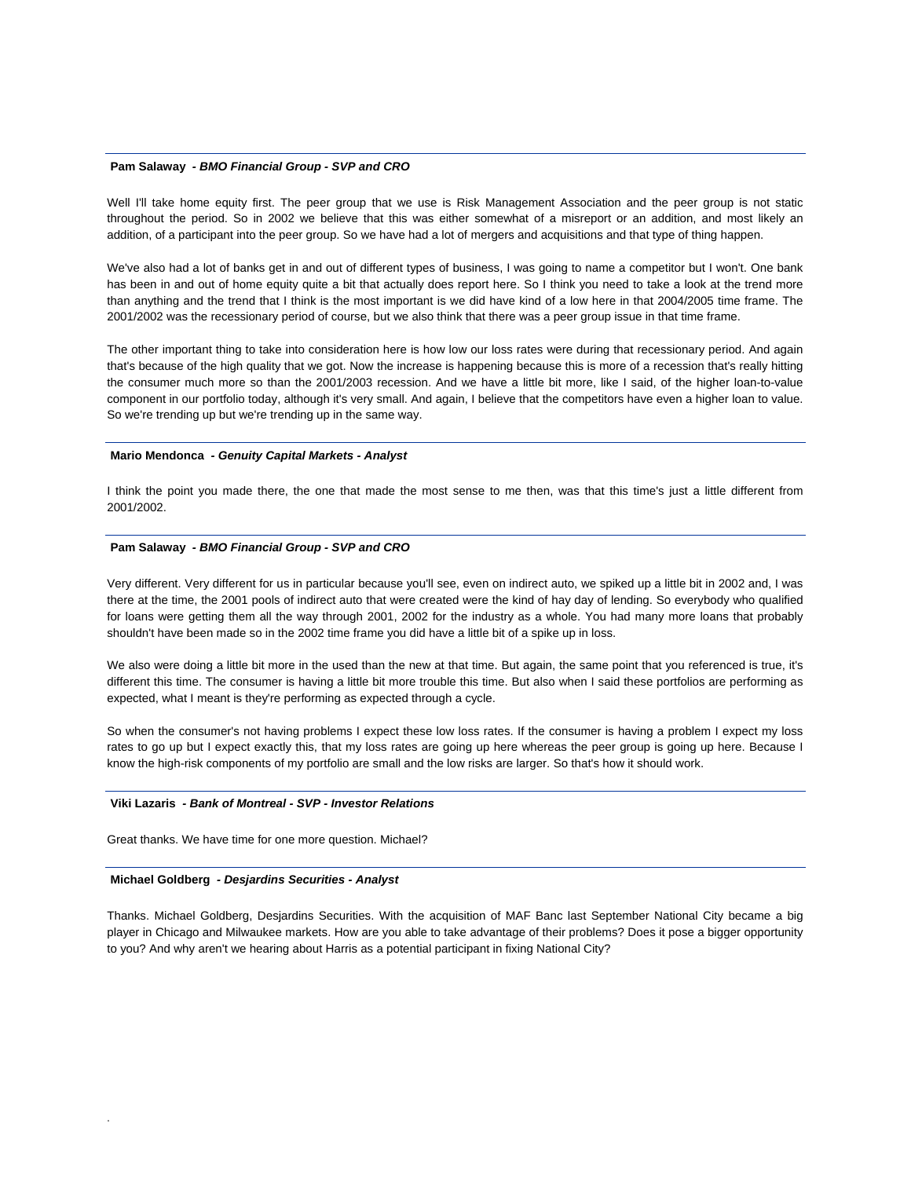#### **Pam Salaway** *- BMO Financial Group - SVP and CRO*

Well I'll take home equity first. The peer group that we use is Risk Management Association and the peer group is not static throughout the period. So in 2002 we believe that this was either somewhat of a misreport or an addition, and most likely an addition, of a participant into the peer group. So we have had a lot of mergers and acquisitions and that type of thing happen.

We've also had a lot of banks get in and out of different types of business, I was going to name a competitor but I won't. One bank has been in and out of home equity quite a bit that actually does report here. So I think you need to take a look at the trend more than anything and the trend that I think is the most important is we did have kind of a low here in that 2004/2005 time frame. The 2001/2002 was the recessionary period of course, but we also think that there was a peer group issue in that time frame.

The other important thing to take into consideration here is how low our loss rates were during that recessionary period. And again that's because of the high quality that we got. Now the increase is happening because this is more of a recession that's really hitting the consumer much more so than the 2001/2003 recession. And we have a little bit more, like I said, of the higher loan-to-value component in our portfolio today, although it's very small. And again, I believe that the competitors have even a higher loan to value. So we're trending up but we're trending up in the same way.

#### **Mario Mendonca** *- Genuity Capital Markets - Analyst*

I think the point you made there, the one that made the most sense to me then, was that this time's just a little different from 2001/2002.

#### **Pam Salaway** *- BMO Financial Group - SVP and CRO*

Very different. Very different for us in particular because you'll see, even on indirect auto, we spiked up a little bit in 2002 and, I was there at the time, the 2001 pools of indirect auto that were created were the kind of hay day of lending. So everybody who qualified for loans were getting them all the way through 2001, 2002 for the industry as a whole. You had many more loans that probably shouldn't have been made so in the 2002 time frame you did have a little bit of a spike up in loss.

We also were doing a little bit more in the used than the new at that time. But again, the same point that you referenced is true, it's different this time. The consumer is having a little bit more trouble this time. But also when I said these portfolios are performing as expected, what I meant is they're performing as expected through a cycle.

So when the consumer's not having problems I expect these low loss rates. If the consumer is having a problem I expect my loss rates to go up but I expect exactly this, that my loss rates are going up here whereas the peer group is going up here. Because I know the high-risk components of my portfolio are small and the low risks are larger. So that's how it should work.

## **Viki Lazaris** *- Bank of Montreal - SVP - Investor Relations*

Great thanks. We have time for one more question. Michael?

## **Michael Goldberg** *- Desjardins Securities - Analyst*

.

Thanks. Michael Goldberg, Desjardins Securities. With the acquisition of MAF Banc last September National City became a big player in Chicago and Milwaukee markets. How are you able to take advantage of their problems? Does it pose a bigger opportunity to you? And why aren't we hearing about Harris as a potential participant in fixing National City?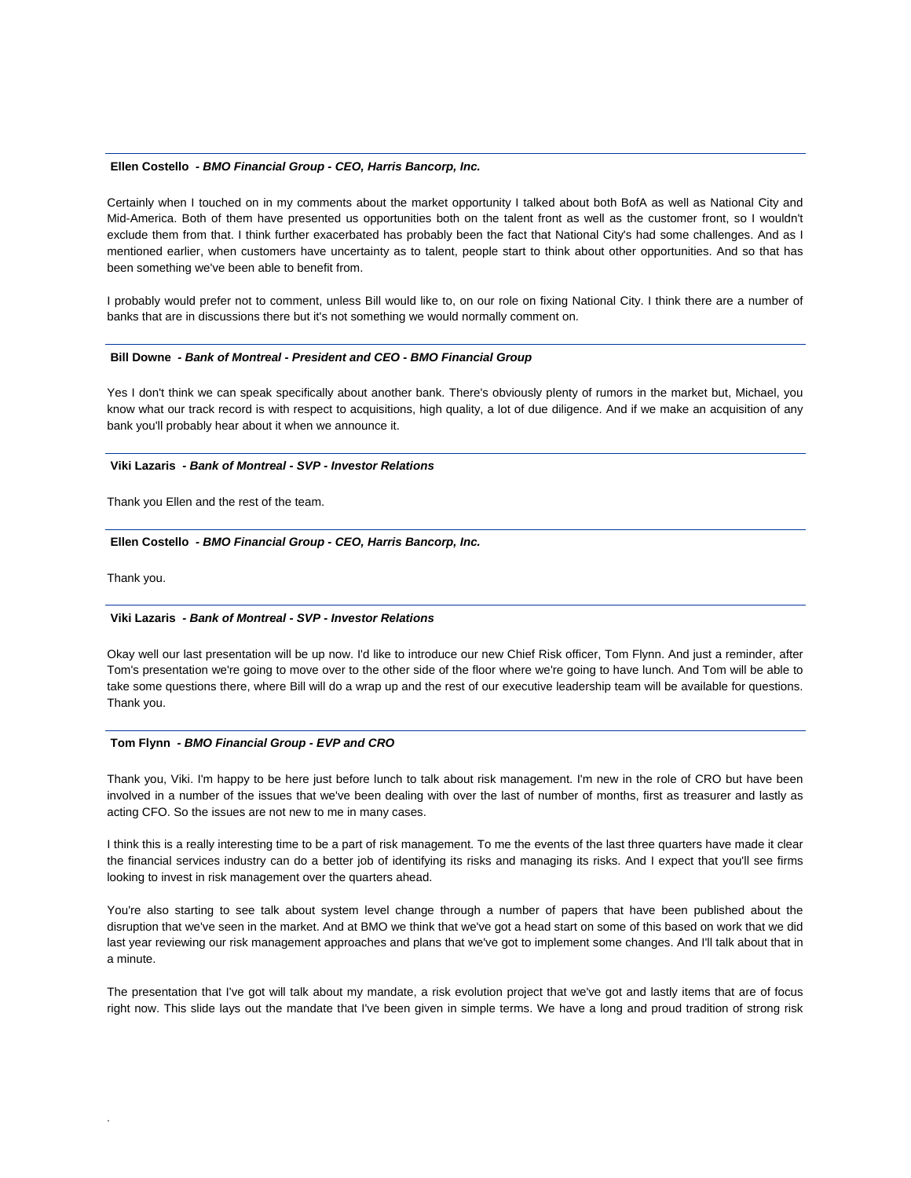#### **Ellen Costello** *- BMO Financial Group - CEO, Harris Bancorp, Inc.*

Certainly when I touched on in my comments about the market opportunity I talked about both BofA as well as National City and Mid-America. Both of them have presented us opportunities both on the talent front as well as the customer front, so I wouldn't exclude them from that. I think further exacerbated has probably been the fact that National City's had some challenges. And as I mentioned earlier, when customers have uncertainty as to talent, people start to think about other opportunities. And so that has been something we've been able to benefit from.

I probably would prefer not to comment, unless Bill would like to, on our role on fixing National City. I think there are a number of banks that are in discussions there but it's not something we would normally comment on.

#### **Bill Downe** *- Bank of Montreal - President and CEO - BMO Financial Group*

Yes I don't think we can speak specifically about another bank. There's obviously plenty of rumors in the market but, Michael, you know what our track record is with respect to acquisitions, high quality, a lot of due diligence. And if we make an acquisition of any bank you'll probably hear about it when we announce it.

## **Viki Lazaris** *- Bank of Montreal - SVP - Investor Relations*

Thank you Ellen and the rest of the team.

#### **Ellen Costello** *- BMO Financial Group - CEO, Harris Bancorp, Inc.*

Thank you.

.

## **Viki Lazaris** *- Bank of Montreal - SVP - Investor Relations*

Okay well our last presentation will be up now. I'd like to introduce our new Chief Risk officer, Tom Flynn. And just a reminder, after Tom's presentation we're going to move over to the other side of the floor where we're going to have lunch. And Tom will be able to take some questions there, where Bill will do a wrap up and the rest of our executive leadership team will be available for questions. Thank you.

## **Tom Flynn** *- BMO Financial Group - EVP and CRO*

Thank you, Viki. I'm happy to be here just before lunch to talk about risk management. I'm new in the role of CRO but have been involved in a number of the issues that we've been dealing with over the last of number of months, first as treasurer and lastly as acting CFO. So the issues are not new to me in many cases.

I think this is a really interesting time to be a part of risk management. To me the events of the last three quarters have made it clear the financial services industry can do a better job of identifying its risks and managing its risks. And I expect that you'll see firms looking to invest in risk management over the quarters ahead.

You're also starting to see talk about system level change through a number of papers that have been published about the disruption that we've seen in the market. And at BMO we think that we've got a head start on some of this based on work that we did last year reviewing our risk management approaches and plans that we've got to implement some changes. And I'll talk about that in a minute.

The presentation that I've got will talk about my mandate, a risk evolution project that we've got and lastly items that are of focus right now. This slide lays out the mandate that I've been given in simple terms. We have a long and proud tradition of strong risk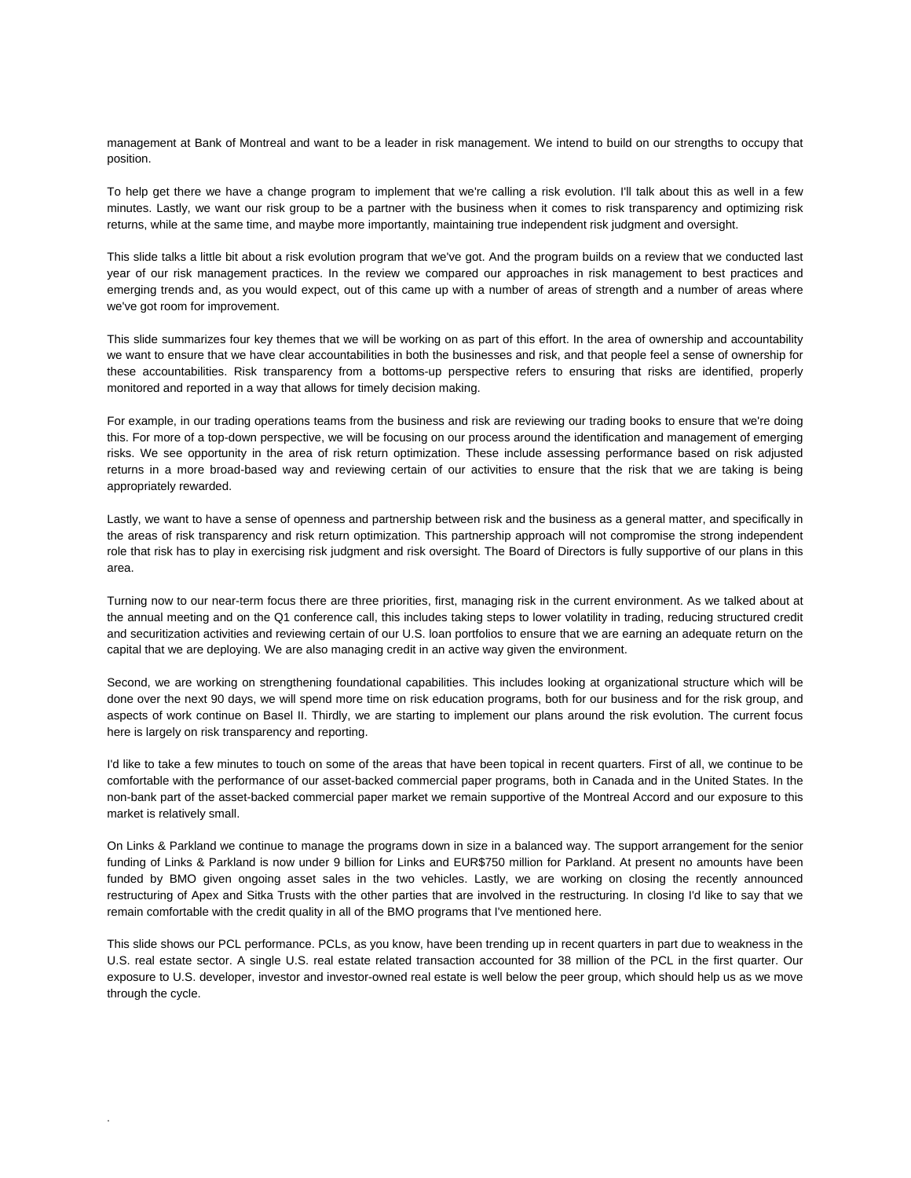management at Bank of Montreal and want to be a leader in risk management. We intend to build on our strengths to occupy that position.

To help get there we have a change program to implement that we're calling a risk evolution. I'll talk about this as well in a few minutes. Lastly, we want our risk group to be a partner with the business when it comes to risk transparency and optimizing risk returns, while at the same time, and maybe more importantly, maintaining true independent risk judgment and oversight.

This slide talks a little bit about a risk evolution program that we've got. And the program builds on a review that we conducted last year of our risk management practices. In the review we compared our approaches in risk management to best practices and emerging trends and, as you would expect, out of this came up with a number of areas of strength and a number of areas where we've got room for improvement.

This slide summarizes four key themes that we will be working on as part of this effort. In the area of ownership and accountability we want to ensure that we have clear accountabilities in both the businesses and risk, and that people feel a sense of ownership for these accountabilities. Risk transparency from a bottoms-up perspective refers to ensuring that risks are identified, properly monitored and reported in a way that allows for timely decision making.

For example, in our trading operations teams from the business and risk are reviewing our trading books to ensure that we're doing this. For more of a top-down perspective, we will be focusing on our process around the identification and management of emerging risks. We see opportunity in the area of risk return optimization. These include assessing performance based on risk adjusted returns in a more broad-based way and reviewing certain of our activities to ensure that the risk that we are taking is being appropriately rewarded.

Lastly, we want to have a sense of openness and partnership between risk and the business as a general matter, and specifically in the areas of risk transparency and risk return optimization. This partnership approach will not compromise the strong independent role that risk has to play in exercising risk judgment and risk oversight. The Board of Directors is fully supportive of our plans in this area.

Turning now to our near-term focus there are three priorities, first, managing risk in the current environment. As we talked about at the annual meeting and on the Q1 conference call, this includes taking steps to lower volatility in trading, reducing structured credit and securitization activities and reviewing certain of our U.S. loan portfolios to ensure that we are earning an adequate return on the capital that we are deploying. We are also managing credit in an active way given the environment.

Second, we are working on strengthening foundational capabilities. This includes looking at organizational structure which will be done over the next 90 days, we will spend more time on risk education programs, both for our business and for the risk group, and aspects of work continue on Basel II. Thirdly, we are starting to implement our plans around the risk evolution. The current focus here is largely on risk transparency and reporting.

I'd like to take a few minutes to touch on some of the areas that have been topical in recent quarters. First of all, we continue to be comfortable with the performance of our asset-backed commercial paper programs, both in Canada and in the United States. In the non-bank part of the asset-backed commercial paper market we remain supportive of the Montreal Accord and our exposure to this market is relatively small.

On Links & Parkland we continue to manage the programs down in size in a balanced way. The support arrangement for the senior funding of Links & Parkland is now under 9 billion for Links and EUR\$750 million for Parkland. At present no amounts have been funded by BMO given ongoing asset sales in the two vehicles. Lastly, we are working on closing the recently announced restructuring of Apex and Sitka Trusts with the other parties that are involved in the restructuring. In closing I'd like to say that we remain comfortable with the credit quality in all of the BMO programs that I've mentioned here.

This slide shows our PCL performance. PCLs, as you know, have been trending up in recent quarters in part due to weakness in the U.S. real estate sector. A single U.S. real estate related transaction accounted for 38 million of the PCL in the first quarter. Our exposure to U.S. developer, investor and investor-owned real estate is well below the peer group, which should help us as we move through the cycle.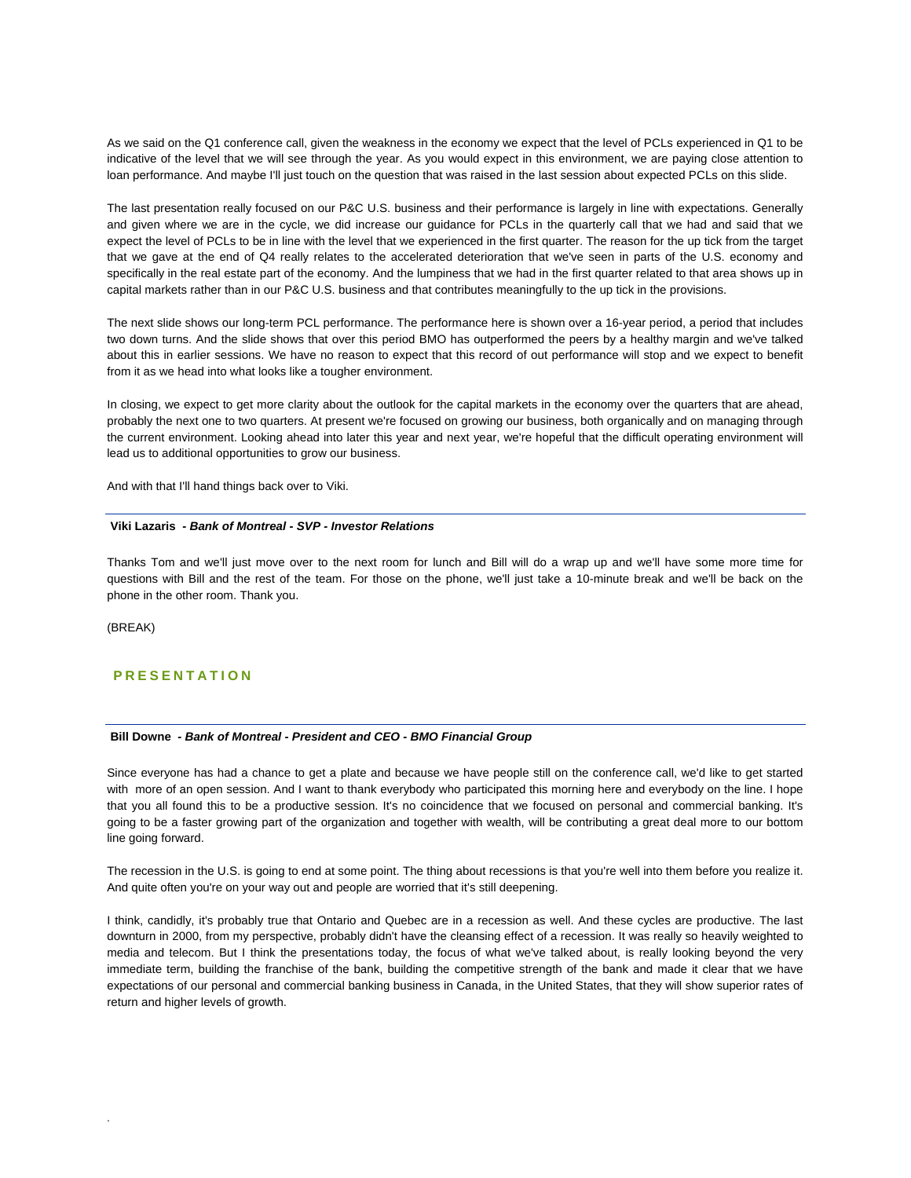As we said on the Q1 conference call, given the weakness in the economy we expect that the level of PCLs experienced in Q1 to be indicative of the level that we will see through the year. As you would expect in this environment, we are paying close attention to loan performance. And maybe I'll just touch on the question that was raised in the last session about expected PCLs on this slide.

The last presentation really focused on our P&C U.S. business and their performance is largely in line with expectations. Generally and given where we are in the cycle, we did increase our guidance for PCLs in the quarterly call that we had and said that we expect the level of PCLs to be in line with the level that we experienced in the first quarter. The reason for the up tick from the target that we gave at the end of Q4 really relates to the accelerated deterioration that we've seen in parts of the U.S. economy and specifically in the real estate part of the economy. And the lumpiness that we had in the first quarter related to that area shows up in capital markets rather than in our P&C U.S. business and that contributes meaningfully to the up tick in the provisions.

The next slide shows our long-term PCL performance. The performance here is shown over a 16-year period, a period that includes two down turns. And the slide shows that over this period BMO has outperformed the peers by a healthy margin and we've talked about this in earlier sessions. We have no reason to expect that this record of out performance will stop and we expect to benefit from it as we head into what looks like a tougher environment.

In closing, we expect to get more clarity about the outlook for the capital markets in the economy over the quarters that are ahead, probably the next one to two quarters. At present we're focused on growing our business, both organically and on managing through the current environment. Looking ahead into later this year and next year, we're hopeful that the difficult operating environment will lead us to additional opportunities to grow our business.

And with that I'll hand things back over to Viki.

## **Viki Lazaris** *- Bank of Montreal - SVP - Investor Relations*

Thanks Tom and we'll just move over to the next room for lunch and Bill will do a wrap up and we'll have some more time for questions with Bill and the rest of the team. For those on the phone, we'll just take a 10-minute break and we'll be back on the phone in the other room. Thank you.

(BREAK)

.

# **PRESENTATION**

## **Bill Downe** *- Bank of Montreal - President and CEO - BMO Financial Group*

Since everyone has had a chance to get a plate and because we have people still on the conference call, we'd like to get started with more of an open session. And I want to thank everybody who participated this morning here and everybody on the line. I hope that you all found this to be a productive session. It's no coincidence that we focused on personal and commercial banking. It's going to be a faster growing part of the organization and together with wealth, will be contributing a great deal more to our bottom line going forward.

The recession in the U.S. is going to end at some point. The thing about recessions is that you're well into them before you realize it. And quite often you're on your way out and people are worried that it's still deepening.

I think, candidly, it's probably true that Ontario and Quebec are in a recession as well. And these cycles are productive. The last downturn in 2000, from my perspective, probably didn't have the cleansing effect of a recession. It was really so heavily weighted to media and telecom. But I think the presentations today, the focus of what we've talked about, is really looking beyond the very immediate term, building the franchise of the bank, building the competitive strength of the bank and made it clear that we have expectations of our personal and commercial banking business in Canada, in the United States, that they will show superior rates of return and higher levels of growth.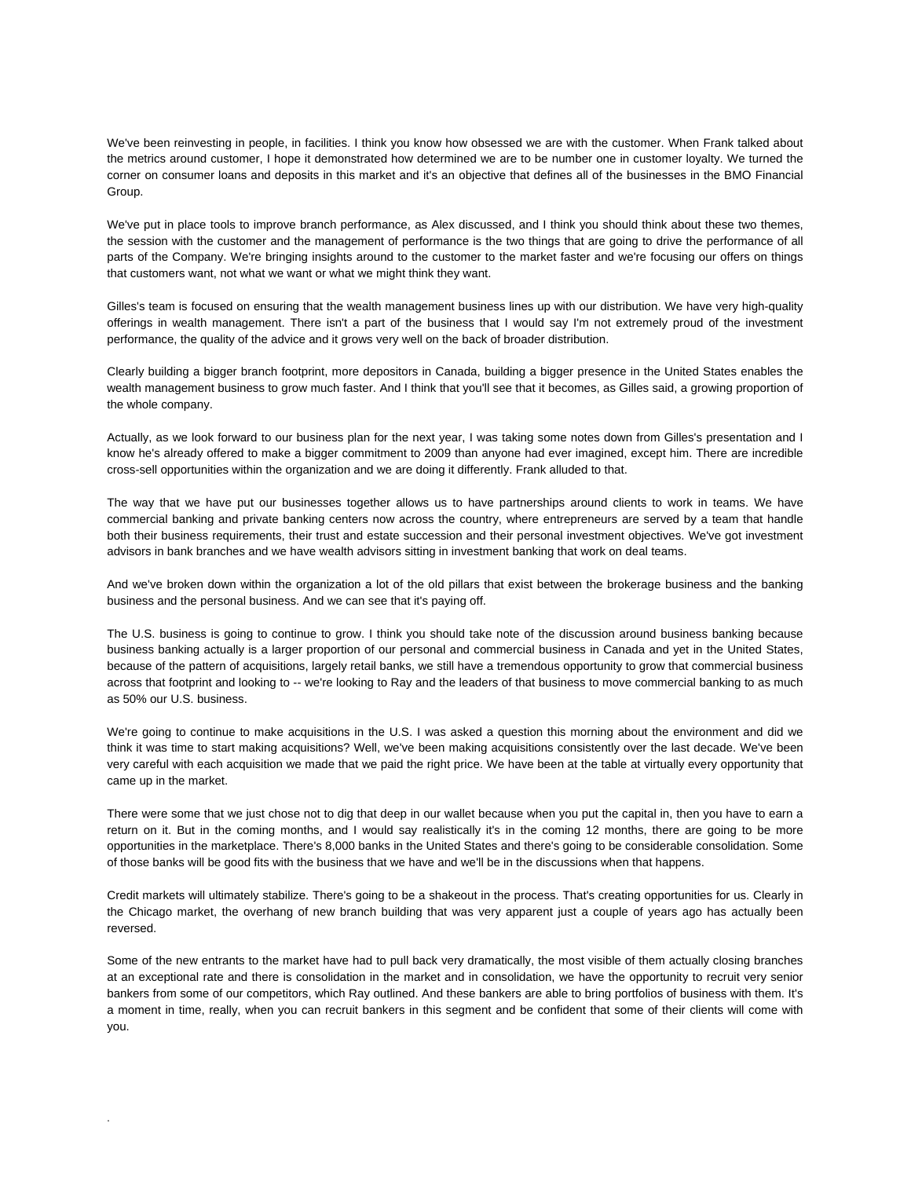We've been reinvesting in people, in facilities. I think you know how obsessed we are with the customer. When Frank talked about the metrics around customer, I hope it demonstrated how determined we are to be number one in customer loyalty. We turned the corner on consumer loans and deposits in this market and it's an objective that defines all of the businesses in the BMO Financial Group.

We've put in place tools to improve branch performance, as Alex discussed, and I think you should think about these two themes, the session with the customer and the management of performance is the two things that are going to drive the performance of all parts of the Company. We're bringing insights around to the customer to the market faster and we're focusing our offers on things that customers want, not what we want or what we might think they want.

Gilles's team is focused on ensuring that the wealth management business lines up with our distribution. We have very high-quality offerings in wealth management. There isn't a part of the business that I would say I'm not extremely proud of the investment performance, the quality of the advice and it grows very well on the back of broader distribution.

Clearly building a bigger branch footprint, more depositors in Canada, building a bigger presence in the United States enables the wealth management business to grow much faster. And I think that you'll see that it becomes, as Gilles said, a growing proportion of the whole company.

Actually, as we look forward to our business plan for the next year, I was taking some notes down from Gilles's presentation and I know he's already offered to make a bigger commitment to 2009 than anyone had ever imagined, except him. There are incredible cross-sell opportunities within the organization and we are doing it differently. Frank alluded to that.

The way that we have put our businesses together allows us to have partnerships around clients to work in teams. We have commercial banking and private banking centers now across the country, where entrepreneurs are served by a team that handle both their business requirements, their trust and estate succession and their personal investment objectives. We've got investment advisors in bank branches and we have wealth advisors sitting in investment banking that work on deal teams.

And we've broken down within the organization a lot of the old pillars that exist between the brokerage business and the banking business and the personal business. And we can see that it's paying off.

The U.S. business is going to continue to grow. I think you should take note of the discussion around business banking because business banking actually is a larger proportion of our personal and commercial business in Canada and yet in the United States, because of the pattern of acquisitions, largely retail banks, we still have a tremendous opportunity to grow that commercial business across that footprint and looking to -- we're looking to Ray and the leaders of that business to move commercial banking to as much as 50% our U.S. business.

We're going to continue to make acquisitions in the U.S. I was asked a question this morning about the environment and did we think it was time to start making acquisitions? Well, we've been making acquisitions consistently over the last decade. We've been very careful with each acquisition we made that we paid the right price. We have been at the table at virtually every opportunity that came up in the market.

There were some that we just chose not to dig that deep in our wallet because when you put the capital in, then you have to earn a return on it. But in the coming months, and I would say realistically it's in the coming 12 months, there are going to be more opportunities in the marketplace. There's 8,000 banks in the United States and there's going to be considerable consolidation. Some of those banks will be good fits with the business that we have and we'll be in the discussions when that happens.

Credit markets will ultimately stabilize. There's going to be a shakeout in the process. That's creating opportunities for us. Clearly in the Chicago market, the overhang of new branch building that was very apparent just a couple of years ago has actually been reversed.

Some of the new entrants to the market have had to pull back very dramatically, the most visible of them actually closing branches at an exceptional rate and there is consolidation in the market and in consolidation, we have the opportunity to recruit very senior bankers from some of our competitors, which Ray outlined. And these bankers are able to bring portfolios of business with them. It's a moment in time, really, when you can recruit bankers in this segment and be confident that some of their clients will come with you.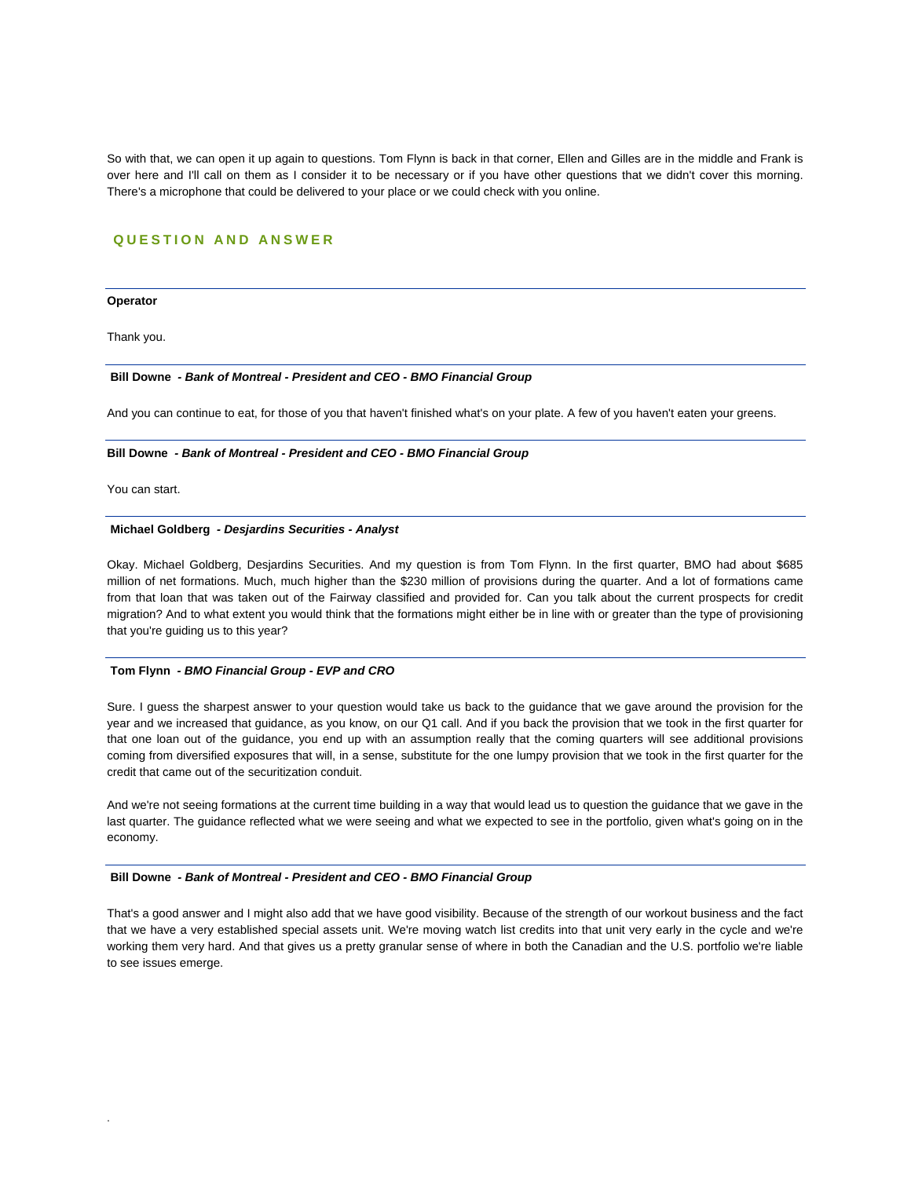So with that, we can open it up again to questions. Tom Flynn is back in that corner, Ellen and Gilles are in the middle and Frank is over here and I'll call on them as I consider it to be necessary or if you have other questions that we didn't cover this morning. There's a microphone that could be delivered to your place or we could check with you online.

## **QUESTION AND ANSWER**

#### **Operator**

Thank you.

## **Bill Downe** *- Bank of Montreal - President and CEO - BMO Financial Group*

And you can continue to eat, for those of you that haven't finished what's on your plate. A few of you haven't eaten your greens.

#### **Bill Downe** *- Bank of Montreal - President and CEO - BMO Financial Group*

You can start.

.

#### **Michael Goldberg** *- Desjardins Securities - Analyst*

Okay. Michael Goldberg, Desjardins Securities. And my question is from Tom Flynn. In the first quarter, BMO had about \$685 million of net formations. Much, much higher than the \$230 million of provisions during the quarter. And a lot of formations came from that loan that was taken out of the Fairway classified and provided for. Can you talk about the current prospects for credit migration? And to what extent you would think that the formations might either be in line with or greater than the type of provisioning that you're guiding us to this year?

#### **Tom Flynn** *- BMO Financial Group - EVP and CRO*

Sure. I guess the sharpest answer to your question would take us back to the guidance that we gave around the provision for the year and we increased that guidance, as you know, on our Q1 call. And if you back the provision that we took in the first quarter for that one loan out of the guidance, you end up with an assumption really that the coming quarters will see additional provisions coming from diversified exposures that will, in a sense, substitute for the one lumpy provision that we took in the first quarter for the credit that came out of the securitization conduit.

And we're not seeing formations at the current time building in a way that would lead us to question the guidance that we gave in the last quarter. The guidance reflected what we were seeing and what we expected to see in the portfolio, given what's going on in the economy.

#### **Bill Downe** *- Bank of Montreal - President and CEO - BMO Financial Group*

That's a good answer and I might also add that we have good visibility. Because of the strength of our workout business and the fact that we have a very established special assets unit. We're moving watch list credits into that unit very early in the cycle and we're working them very hard. And that gives us a pretty granular sense of where in both the Canadian and the U.S. portfolio we're liable to see issues emerge.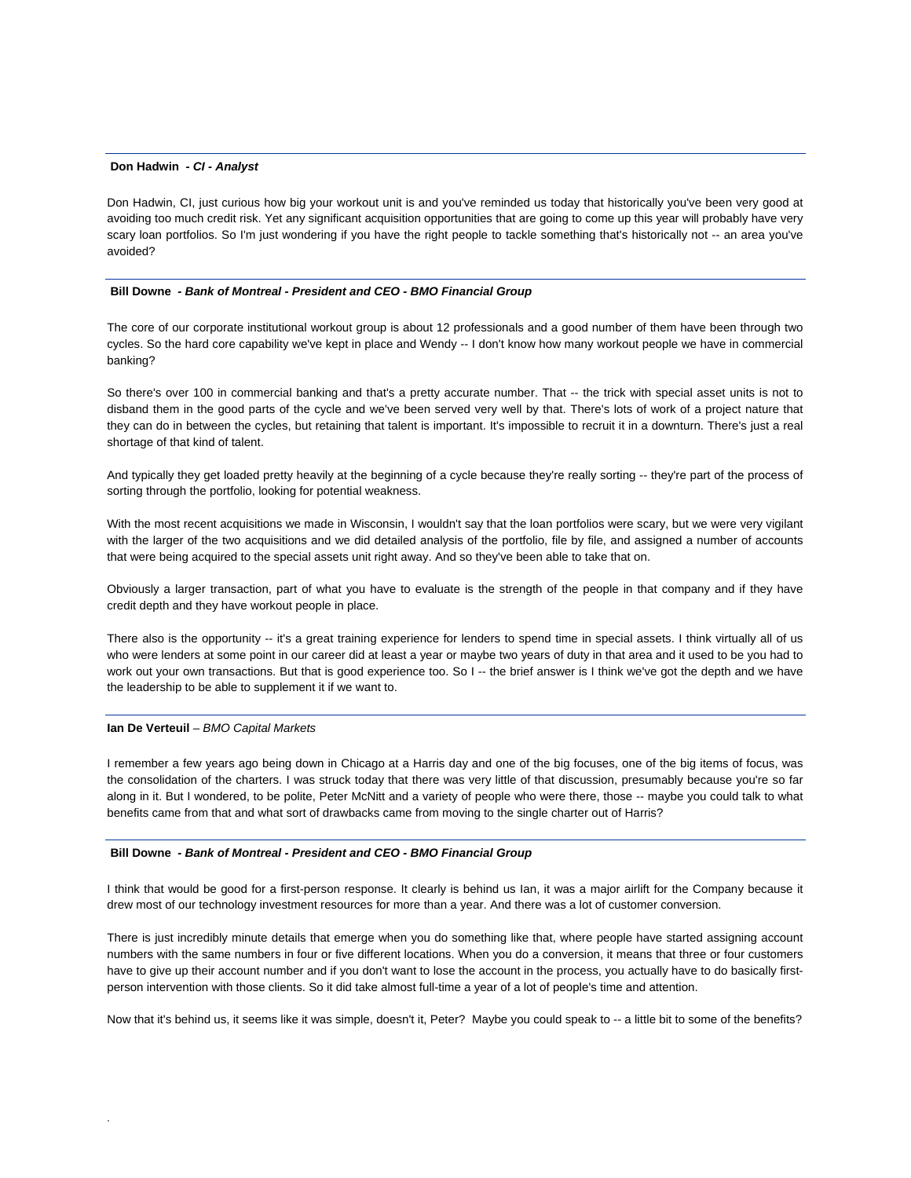#### **Don Hadwin** *- CI - Analyst*

Don Hadwin, CI, just curious how big your workout unit is and you've reminded us today that historically you've been very good at avoiding too much credit risk. Yet any significant acquisition opportunities that are going to come up this year will probably have very scary loan portfolios. So I'm just wondering if you have the right people to tackle something that's historically not -- an area you've avoided?

#### **Bill Downe** *- Bank of Montreal - President and CEO - BMO Financial Group*

The core of our corporate institutional workout group is about 12 professionals and a good number of them have been through two cycles. So the hard core capability we've kept in place and Wendy -- I don't know how many workout people we have in commercial banking?

So there's over 100 in commercial banking and that's a pretty accurate number. That -- the trick with special asset units is not to disband them in the good parts of the cycle and we've been served very well by that. There's lots of work of a project nature that they can do in between the cycles, but retaining that talent is important. It's impossible to recruit it in a downturn. There's just a real shortage of that kind of talent.

And typically they get loaded pretty heavily at the beginning of a cycle because they're really sorting -- they're part of the process of sorting through the portfolio, looking for potential weakness.

With the most recent acquisitions we made in Wisconsin, I wouldn't say that the loan portfolios were scary, but we were very vigilant with the larger of the two acquisitions and we did detailed analysis of the portfolio, file by file, and assigned a number of accounts that were being acquired to the special assets unit right away. And so they've been able to take that on.

Obviously a larger transaction, part of what you have to evaluate is the strength of the people in that company and if they have credit depth and they have workout people in place.

There also is the opportunity -- it's a great training experience for lenders to spend time in special assets. I think virtually all of us who were lenders at some point in our career did at least a year or maybe two years of duty in that area and it used to be you had to work out your own transactions. But that is good experience too. So I -- the brief answer is I think we've got the depth and we have the leadership to be able to supplement it if we want to.

## **Ian De Verteuil** *– BMO Capital Markets*

.

I remember a few years ago being down in Chicago at a Harris day and one of the big focuses, one of the big items of focus, was the consolidation of the charters. I was struck today that there was very little of that discussion, presumably because you're so far along in it. But I wondered, to be polite, Peter McNitt and a variety of people who were there, those -- maybe you could talk to what benefits came from that and what sort of drawbacks came from moving to the single charter out of Harris?

#### **Bill Downe** *- Bank of Montreal - President and CEO - BMO Financial Group*

I think that would be good for a first-person response. It clearly is behind us Ian, it was a major airlift for the Company because it drew most of our technology investment resources for more than a year. And there was a lot of customer conversion.

There is just incredibly minute details that emerge when you do something like that, where people have started assigning account numbers with the same numbers in four or five different locations. When you do a conversion, it means that three or four customers have to give up their account number and if you don't want to lose the account in the process, you actually have to do basically firstperson intervention with those clients. So it did take almost full-time a year of a lot of people's time and attention.

Now that it's behind us, it seems like it was simple, doesn't it, Peter? Maybe you could speak to -- a little bit to some of the benefits?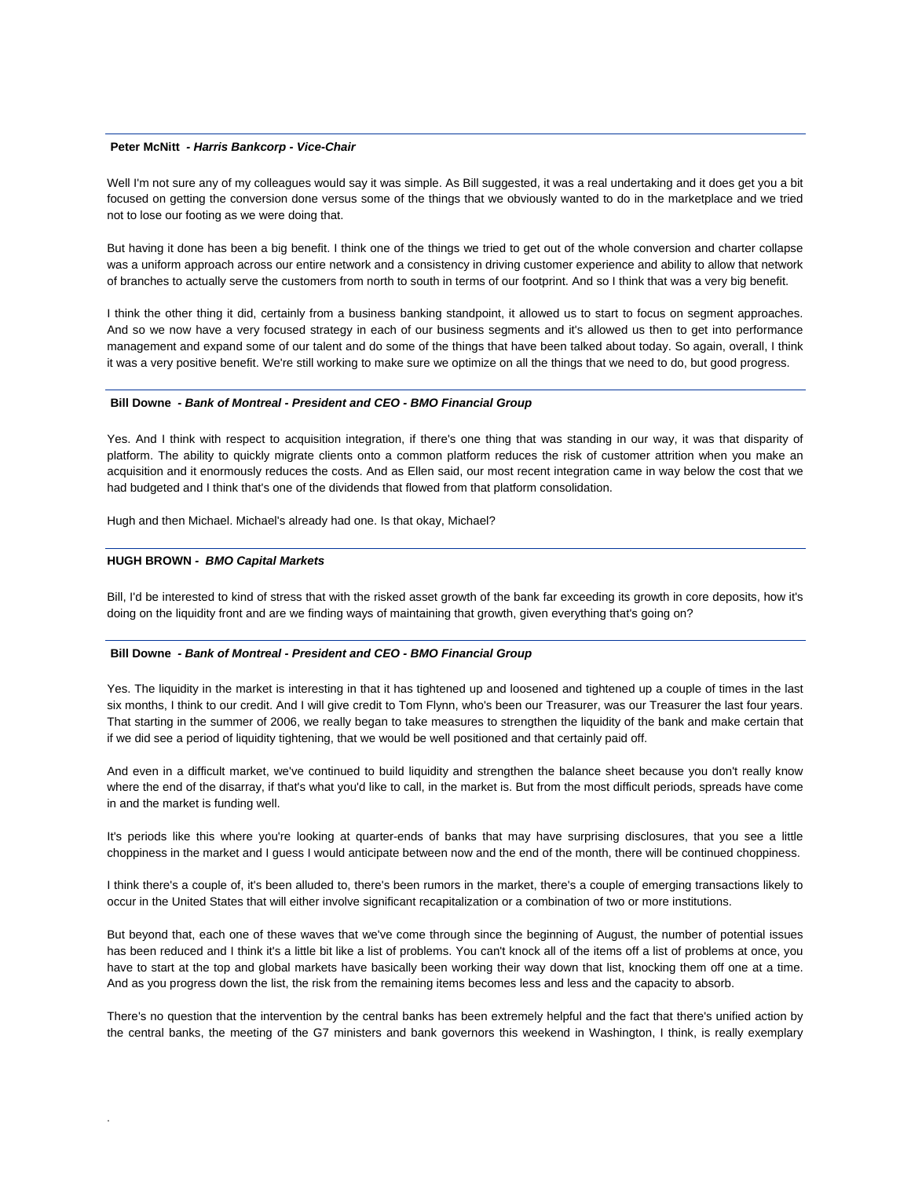## **Peter McNitt** *- Harris Bankcorp - Vice-Chair*

Well I'm not sure any of my colleagues would say it was simple. As Bill suggested, it was a real undertaking and it does get you a bit focused on getting the conversion done versus some of the things that we obviously wanted to do in the marketplace and we tried not to lose our footing as we were doing that.

But having it done has been a big benefit. I think one of the things we tried to get out of the whole conversion and charter collapse was a uniform approach across our entire network and a consistency in driving customer experience and ability to allow that network of branches to actually serve the customers from north to south in terms of our footprint. And so I think that was a very big benefit.

I think the other thing it did, certainly from a business banking standpoint, it allowed us to start to focus on segment approaches. And so we now have a very focused strategy in each of our business segments and it's allowed us then to get into performance management and expand some of our talent and do some of the things that have been talked about today. So again, overall, I think it was a very positive benefit. We're still working to make sure we optimize on all the things that we need to do, but good progress.

#### **Bill Downe** *- Bank of Montreal - President and CEO - BMO Financial Group*

Yes. And I think with respect to acquisition integration, if there's one thing that was standing in our way, it was that disparity of platform. The ability to quickly migrate clients onto a common platform reduces the risk of customer attrition when you make an acquisition and it enormously reduces the costs. And as Ellen said, our most recent integration came in way below the cost that we had budgeted and I think that's one of the dividends that flowed from that platform consolidation.

Hugh and then Michael. Michael's already had one. Is that okay, Michael?

#### **HUGH BROWN** *- BMO Capital Markets*

.

Bill, I'd be interested to kind of stress that with the risked asset growth of the bank far exceeding its growth in core deposits, how it's doing on the liquidity front and are we finding ways of maintaining that growth, given everything that's going on?

## **Bill Downe** *- Bank of Montreal - President and CEO - BMO Financial Group*

Yes. The liquidity in the market is interesting in that it has tightened up and loosened and tightened up a couple of times in the last six months, I think to our credit. And I will give credit to Tom Flynn, who's been our Treasurer, was our Treasurer the last four years. That starting in the summer of 2006, we really began to take measures to strengthen the liquidity of the bank and make certain that if we did see a period of liquidity tightening, that we would be well positioned and that certainly paid off.

And even in a difficult market, we've continued to build liquidity and strengthen the balance sheet because you don't really know where the end of the disarray, if that's what you'd like to call, in the market is. But from the most difficult periods, spreads have come in and the market is funding well.

It's periods like this where you're looking at quarter-ends of banks that may have surprising disclosures, that you see a little choppiness in the market and I guess I would anticipate between now and the end of the month, there will be continued choppiness.

I think there's a couple of, it's been alluded to, there's been rumors in the market, there's a couple of emerging transactions likely to occur in the United States that will either involve significant recapitalization or a combination of two or more institutions.

But beyond that, each one of these waves that we've come through since the beginning of August, the number of potential issues has been reduced and I think it's a little bit like a list of problems. You can't knock all of the items off a list of problems at once, you have to start at the top and global markets have basically been working their way down that list, knocking them off one at a time. And as you progress down the list, the risk from the remaining items becomes less and less and the capacity to absorb.

There's no question that the intervention by the central banks has been extremely helpful and the fact that there's unified action by the central banks, the meeting of the G7 ministers and bank governors this weekend in Washington, I think, is really exemplary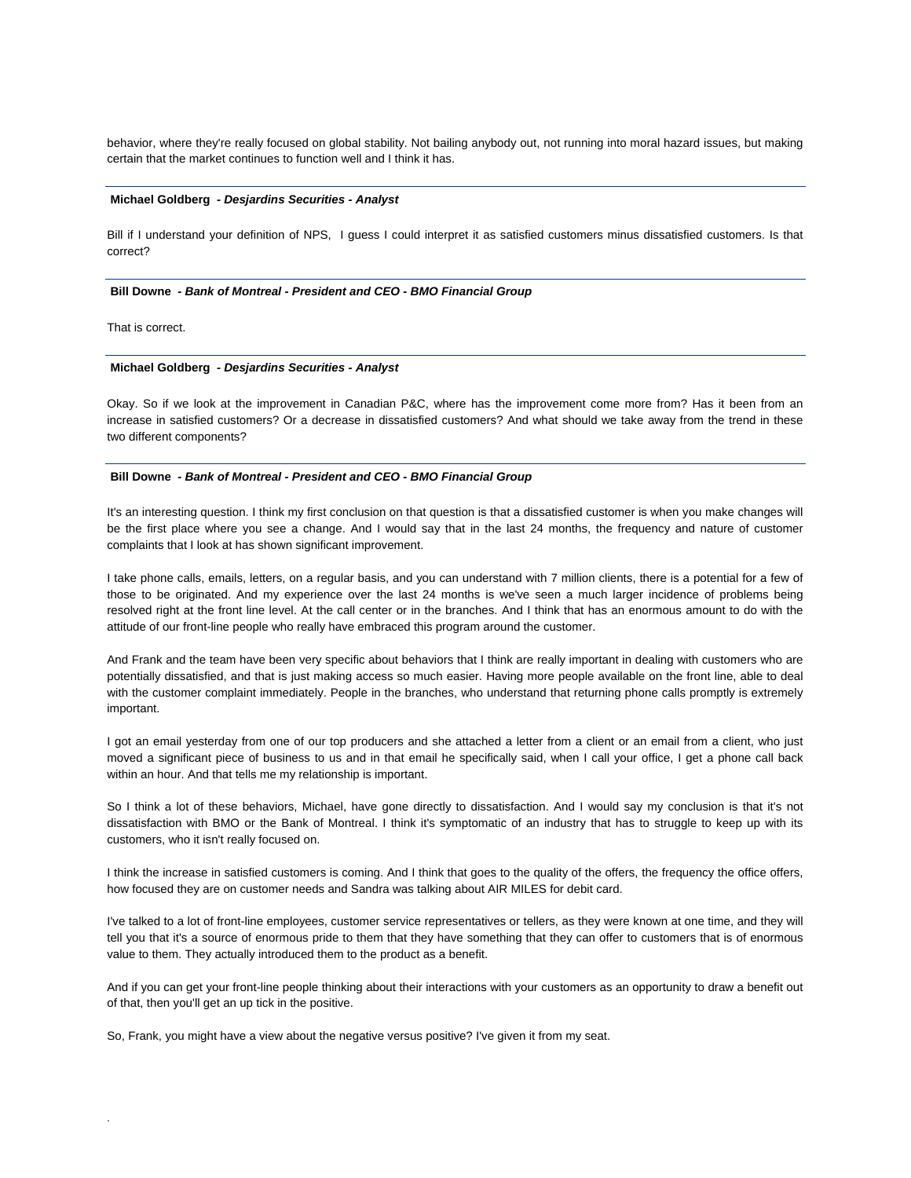behavior, where they're really focused on global stability. Not bailing anybody out, not running into moral hazard issues, but making certain that the market continues to function well and I think it has.

#### **Michael Goldberg** *- Desjardins Securities - Analyst*

Bill if I understand your definition of NPS, I guess I could interpret it as satisfied customers minus dissatisfied customers. Is that correct?

#### **Bill Downe** *- Bank of Montreal - President and CEO - BMO Financial Group*

That is correct.

.

#### **Michael Goldberg** *- Desjardins Securities - Analyst*

Okay. So if we look at the improvement in Canadian P&C, where has the improvement come more from? Has it been from an increase in satisfied customers? Or a decrease in dissatisfied customers? And what should we take away from the trend in these two different components?

#### **Bill Downe** *- Bank of Montreal - President and CEO - BMO Financial Group*

It's an interesting question. I think my first conclusion on that question is that a dissatisfied customer is when you make changes will be the first place where you see a change. And I would say that in the last 24 months, the frequency and nature of customer complaints that I look at has shown significant improvement.

I take phone calls, emails, letters, on a regular basis, and you can understand with 7 million clients, there is a potential for a few of those to be originated. And my experience over the last 24 months is we've seen a much larger incidence of problems being resolved right at the front line level. At the call center or in the branches. And I think that has an enormous amount to do with the attitude of our front-line people who really have embraced this program around the customer.

And Frank and the team have been very specific about behaviors that I think are really important in dealing with customers who are potentially dissatisfied, and that is just making access so much easier. Having more people available on the front line, able to deal with the customer complaint immediately. People in the branches, who understand that returning phone calls promptly is extremely important.

I got an email yesterday from one of our top producers and she attached a letter from a client or an email from a client, who just moved a significant piece of business to us and in that email he specifically said, when I call your office, I get a phone call back within an hour. And that tells me my relationship is important.

So I think a lot of these behaviors, Michael, have gone directly to dissatisfaction. And I would say my conclusion is that it's not dissatisfaction with BMO or the Bank of Montreal. I think it's symptomatic of an industry that has to struggle to keep up with its customers, who it isn't really focused on.

I think the increase in satisfied customers is coming. And I think that goes to the quality of the offers, the frequency the office offers, how focused they are on customer needs and Sandra was talking about AIR MILES for debit card.

I've talked to a lot of front-line employees, customer service representatives or tellers, as they were known at one time, and they will tell you that it's a source of enormous pride to them that they have something that they can offer to customers that is of enormous value to them. They actually introduced them to the product as a benefit.

And if you can get your front-line people thinking about their interactions with your customers as an opportunity to draw a benefit out of that, then you'll get an up tick in the positive.

So, Frank, you might have a view about the negative versus positive? I've given it from my seat.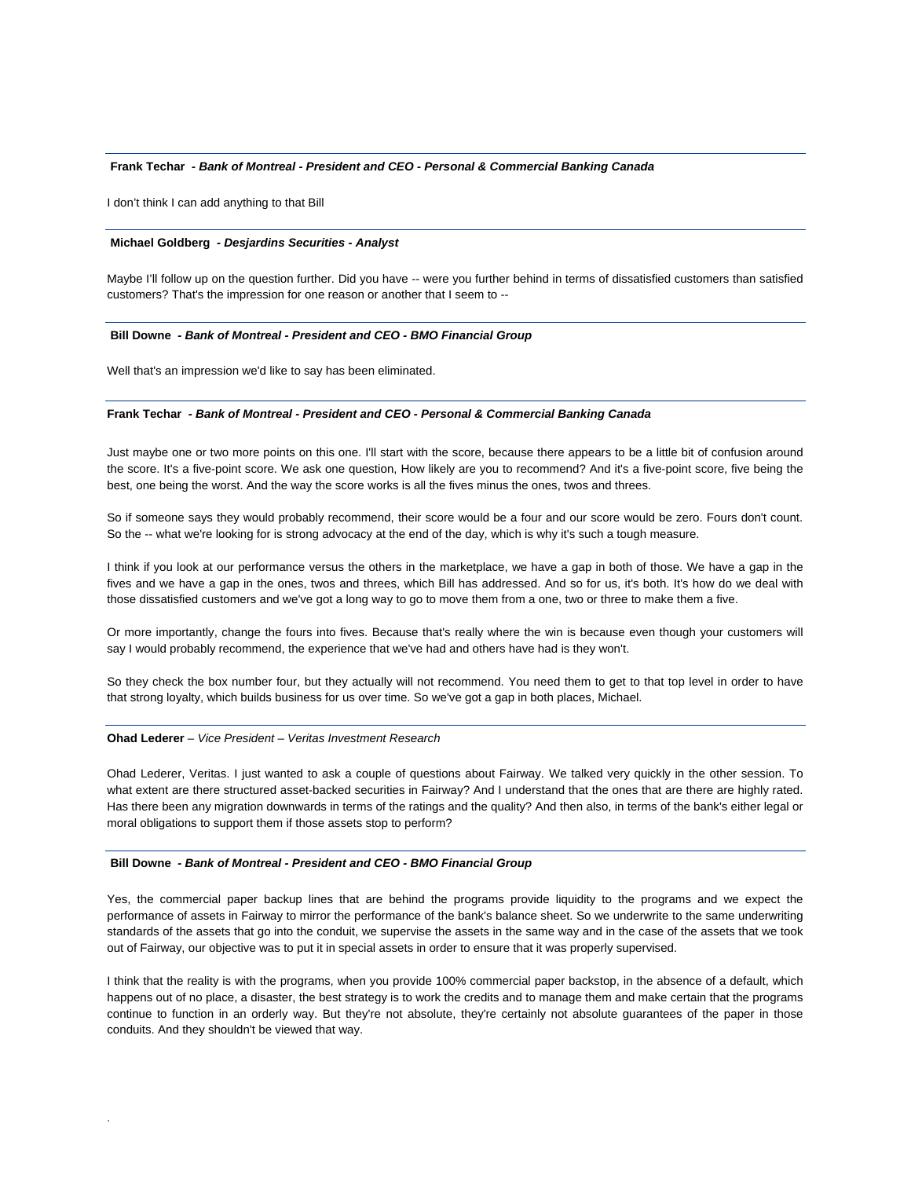#### **Frank Techar** *- Bank of Montreal - President and CEO - Personal & Commercial Banking Canada*

I don't think I can add anything to that Bill

#### **Michael Goldberg** *- Desjardins Securities - Analyst*

Maybe I'll follow up on the question further. Did you have -- were you further behind in terms of dissatisfied customers than satisfied customers? That's the impression for one reason or another that I seem to --

#### **Bill Downe** *- Bank of Montreal - President and CEO - BMO Financial Group*

Well that's an impression we'd like to say has been eliminated.

## **Frank Techar** *- Bank of Montreal - President and CEO - Personal & Commercial Banking Canada*

Just maybe one or two more points on this one. I'll start with the score, because there appears to be a little bit of confusion around the score. It's a five-point score. We ask one question, How likely are you to recommend? And it's a five-point score, five being the best, one being the worst. And the way the score works is all the fives minus the ones, twos and threes.

So if someone says they would probably recommend, their score would be a four and our score would be zero. Fours don't count. So the -- what we're looking for is strong advocacy at the end of the day, which is why it's such a tough measure.

I think if you look at our performance versus the others in the marketplace, we have a gap in both of those. We have a gap in the fives and we have a gap in the ones, twos and threes, which Bill has addressed. And so for us, it's both. It's how do we deal with those dissatisfied customers and we've got a long way to go to move them from a one, two or three to make them a five.

Or more importantly, change the fours into fives. Because that's really where the win is because even though your customers will say I would probably recommend, the experience that we've had and others have had is they won't.

So they check the box number four, but they actually will not recommend. You need them to get to that top level in order to have that strong loyalty, which builds business for us over time. So we've got a gap in both places, Michael.

#### **Ohad Lederer** *– Vice President – Veritas Investment Research*

.

Ohad Lederer, Veritas. I just wanted to ask a couple of questions about Fairway. We talked very quickly in the other session. To what extent are there structured asset-backed securities in Fairway? And I understand that the ones that are there are highly rated. Has there been any migration downwards in terms of the ratings and the quality? And then also, in terms of the bank's either legal or moral obligations to support them if those assets stop to perform?

#### **Bill Downe** *- Bank of Montreal - President and CEO - BMO Financial Group*

Yes, the commercial paper backup lines that are behind the programs provide liquidity to the programs and we expect the performance of assets in Fairway to mirror the performance of the bank's balance sheet. So we underwrite to the same underwriting standards of the assets that go into the conduit, we supervise the assets in the same way and in the case of the assets that we took out of Fairway, our objective was to put it in special assets in order to ensure that it was properly supervised.

I think that the reality is with the programs, when you provide 100% commercial paper backstop, in the absence of a default, which happens out of no place, a disaster, the best strategy is to work the credits and to manage them and make certain that the programs continue to function in an orderly way. But they're not absolute, they're certainly not absolute guarantees of the paper in those conduits. And they shouldn't be viewed that way.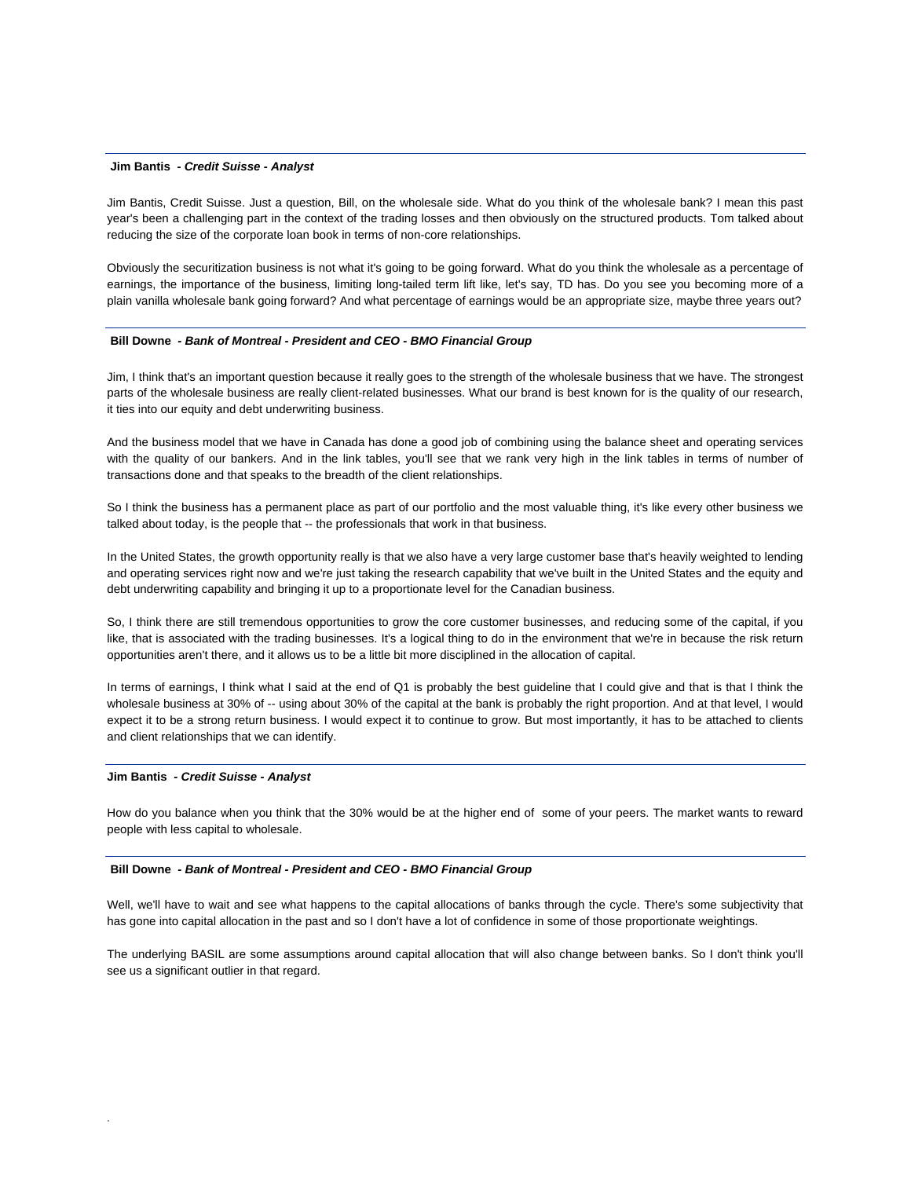#### **Jim Bantis** *- Credit Suisse - Analyst*

Jim Bantis, Credit Suisse. Just a question, Bill, on the wholesale side. What do you think of the wholesale bank? I mean this past year's been a challenging part in the context of the trading losses and then obviously on the structured products. Tom talked about reducing the size of the corporate loan book in terms of non-core relationships.

Obviously the securitization business is not what it's going to be going forward. What do you think the wholesale as a percentage of earnings, the importance of the business, limiting long-tailed term lift like, let's say, TD has. Do you see you becoming more of a plain vanilla wholesale bank going forward? And what percentage of earnings would be an appropriate size, maybe three years out?

#### **Bill Downe** *- Bank of Montreal - President and CEO - BMO Financial Group*

Jim, I think that's an important question because it really goes to the strength of the wholesale business that we have. The strongest parts of the wholesale business are really client-related businesses. What our brand is best known for is the quality of our research, it ties into our equity and debt underwriting business.

And the business model that we have in Canada has done a good job of combining using the balance sheet and operating services with the quality of our bankers. And in the link tables, you'll see that we rank very high in the link tables in terms of number of transactions done and that speaks to the breadth of the client relationships.

So I think the business has a permanent place as part of our portfolio and the most valuable thing, it's like every other business we talked about today, is the people that -- the professionals that work in that business.

In the United States, the growth opportunity really is that we also have a very large customer base that's heavily weighted to lending and operating services right now and we're just taking the research capability that we've built in the United States and the equity and debt underwriting capability and bringing it up to a proportionate level for the Canadian business.

So, I think there are still tremendous opportunities to grow the core customer businesses, and reducing some of the capital, if you like, that is associated with the trading businesses. It's a logical thing to do in the environment that we're in because the risk return opportunities aren't there, and it allows us to be a little bit more disciplined in the allocation of capital.

In terms of earnings, I think what I said at the end of Q1 is probably the best guideline that I could give and that is that I think the wholesale business at 30% of -- using about 30% of the capital at the bank is probably the right proportion. And at that level, I would expect it to be a strong return business. I would expect it to continue to grow. But most importantly, it has to be attached to clients and client relationships that we can identify.

#### **Jim Bantis** *- Credit Suisse - Analyst*

.

How do you balance when you think that the 30% would be at the higher end of some of your peers. The market wants to reward people with less capital to wholesale.

## **Bill Downe** *- Bank of Montreal - President and CEO - BMO Financial Group*

Well, we'll have to wait and see what happens to the capital allocations of banks through the cycle. There's some subjectivity that has gone into capital allocation in the past and so I don't have a lot of confidence in some of those proportionate weightings.

The underlying BASIL are some assumptions around capital allocation that will also change between banks. So I don't think you'll see us a significant outlier in that regard.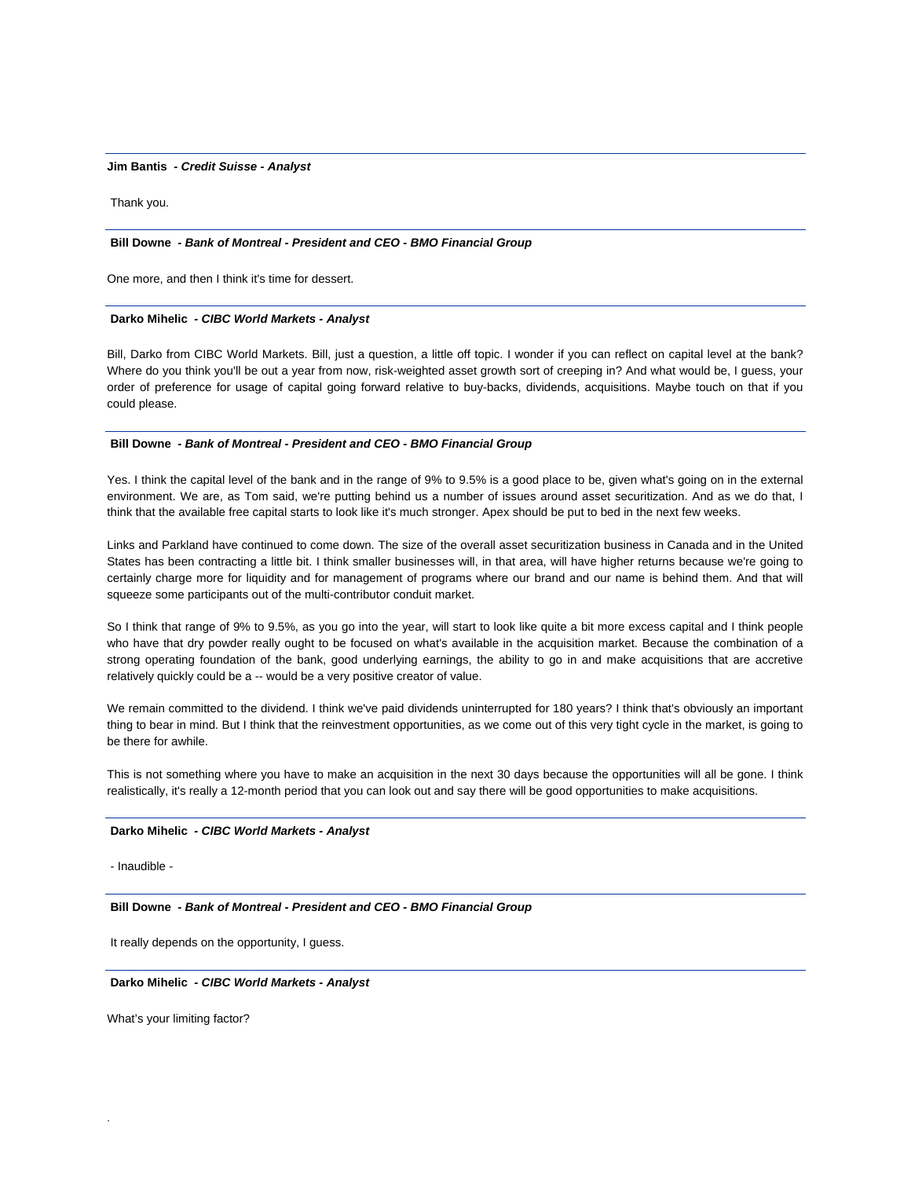#### **Jim Bantis** *- Credit Suisse - Analyst*

Thank you.

#### **Bill Downe** *- Bank of Montreal - President and CEO - BMO Financial Group*

One more, and then I think it's time for dessert.

## **Darko Mihelic** *- CIBC World Markets - Analyst*

Bill, Darko from CIBC World Markets. Bill, just a question, a little off topic. I wonder if you can reflect on capital level at the bank? Where do you think you'll be out a year from now, risk-weighted asset growth sort of creeping in? And what would be, I guess, your order of preference for usage of capital going forward relative to buy-backs, dividends, acquisitions. Maybe touch on that if you could please.

## **Bill Downe** *- Bank of Montreal - President and CEO - BMO Financial Group*

Yes. I think the capital level of the bank and in the range of 9% to 9.5% is a good place to be, given what's going on in the external environment. We are, as Tom said, we're putting behind us a number of issues around asset securitization. And as we do that, I think that the available free capital starts to look like it's much stronger. Apex should be put to bed in the next few weeks.

Links and Parkland have continued to come down. The size of the overall asset securitization business in Canada and in the United States has been contracting a little bit. I think smaller businesses will, in that area, will have higher returns because we're going to certainly charge more for liquidity and for management of programs where our brand and our name is behind them. And that will squeeze some participants out of the multi-contributor conduit market.

So I think that range of 9% to 9.5%, as you go into the year, will start to look like quite a bit more excess capital and I think people who have that dry powder really ought to be focused on what's available in the acquisition market. Because the combination of a strong operating foundation of the bank, good underlying earnings, the ability to go in and make acquisitions that are accretive relatively quickly could be a -- would be a very positive creator of value.

We remain committed to the dividend. I think we've paid dividends uninterrupted for 180 years? I think that's obviously an important thing to bear in mind. But I think that the reinvestment opportunities, as we come out of this very tight cycle in the market, is going to be there for awhile.

This is not something where you have to make an acquisition in the next 30 days because the opportunities will all be gone. I think realistically, it's really a 12-month period that you can look out and say there will be good opportunities to make acquisitions.

#### **Darko Mihelic** *- CIBC World Markets - Analyst*

- Inaudible -

.

 **Bill Downe** *- Bank of Montreal - President and CEO - BMO Financial Group* 

It really depends on the opportunity, I guess.

## **Darko Mihelic** *- CIBC World Markets - Analyst*

What's your limiting factor?